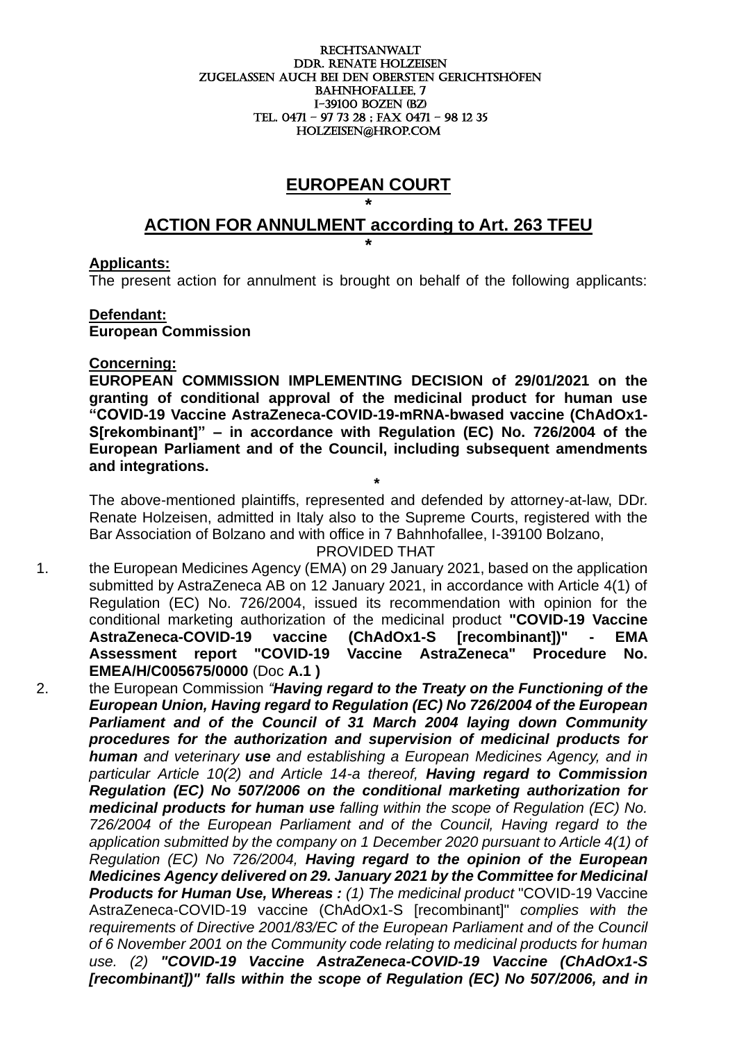#### RECHTSANWALT DDr. Renate holzeisen ZUGELASSEN AUCH BEI DEN OBERSTEN GERICHTSHÖFEN BAHNHOFALLEE, 7 I-39100 boZEN (BZ) Tel. 0471 – 97 73 28 ; fax 0471 – 98 12 35 holzeisen@hrop.com

# **EUROPEAN COURT**

### **\* ACTION FOR ANNULMENT according to Art. 263 TFEU \***

#### **Applicants:**

The present action for annulment is brought on behalf of the following applicants:

#### **Defendant:**

**European Commission**

**\*** 

#### **Concerning:**

**EUROPEAN COMMISSION IMPLEMENTING DECISION of 29/01/2021 on the granting of conditional approval of the medicinal product for human use "COVID-19 Vaccine AstraZeneca-COVID-19-mRNA-bwased vaccine (ChAdOx1- S[rekombinant]" – in accordance with Regulation (EC) No. 726/2004 of the European Parliament and of the Council, including subsequent amendments and integrations.**

The above-mentioned plaintiffs, represented and defended by attorney-at-law, DDr. Renate Holzeisen, admitted in Italy also to the Supreme Courts, registered with the Bar Association of Bolzano and with office in 7 Bahnhofallee, I-39100 Bolzano,

#### PROVIDED THAT

- 1. the European Medicines Agency (EMA) on 29 January 2021, based on the application submitted by AstraZeneca AB on 12 January 2021, in accordance with Article 4(1) of Regulation (EC) No. 726/2004, issued its recommendation with opinion for the conditional marketing authorization of the medicinal product **"COVID-19 Vaccine AstraZeneca-COVID-19 vaccine (ChAdOx1-S [recombinant])" - EMA Assessment report "COVID-19 Vaccine AstraZeneca" Procedure No. EMEA/H/C005675/0000** (Doc **A.1 )**
- 2. the European Commission *"Having regard to the Treaty on the Functioning of the European Union, Having regard to Regulation (EC) No 726/2004 of the European Parliament and of the Council of 31 March 2004 laying down Community procedures for the authorization and supervision of medicinal products for human and veterinary use and establishing a European Medicines Agency, and in particular Article 10(2) and Article 14-a thereof, Having regard to Commission Regulation (EC) No 507/2006 on the conditional marketing authorization for medicinal products for human use falling within the scope of Regulation (EC) No. 726/2004 of the European Parliament and of the Council, Having regard to the application submitted by the company on 1 December 2020 pursuant to Article 4(1) of Regulation (EC) No 726/2004, Having regard to the opinion of the European Medicines Agency delivered on 29. January 2021 by the Committee for Medicinal Products for Human Use, Whereas : (1) The medicinal product* "COVID-19 Vaccine AstraZeneca-COVID-19 vaccine (ChAdOx1-S [recombinant]" *complies with the requirements of Directive 2001/83/EC of the European Parliament and of the Council of 6 November 2001 on the Community code relating to medicinal products for human use. (2) "COVID-19 Vaccine AstraZeneca-COVID-19 Vaccine (ChAdOx1-S [recombinant])" falls within the scope of Regulation (EC) No 507/2006, and in*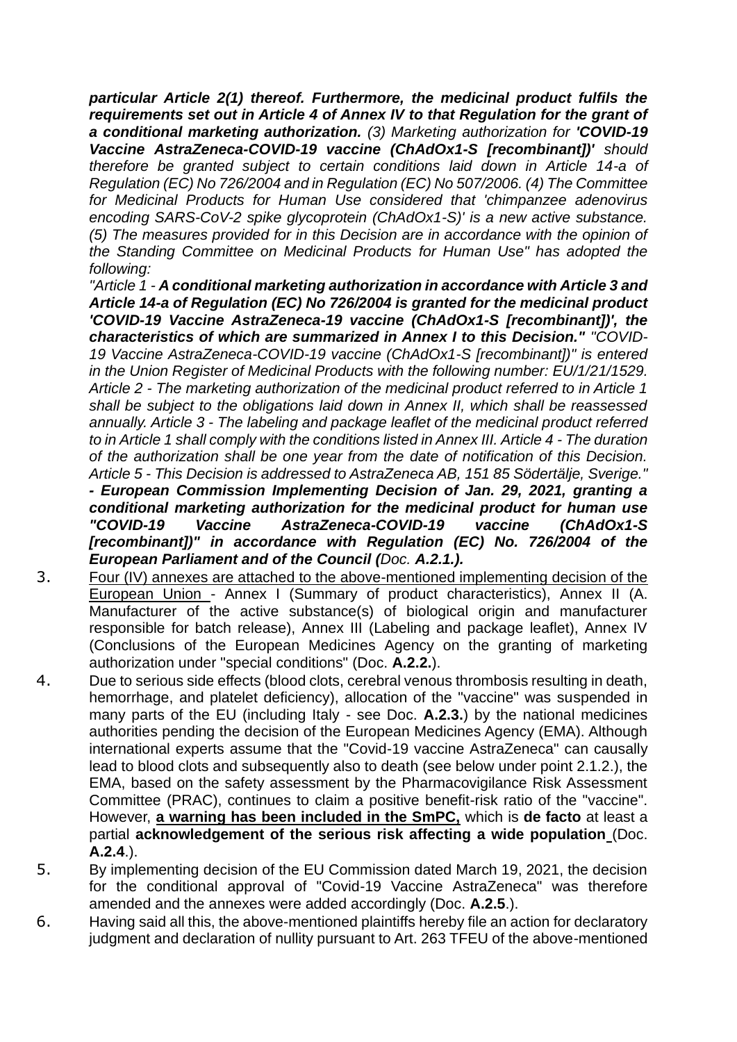*particular Article 2(1) thereof. Furthermore, the medicinal product fulfils the requirements set out in Article 4 of Annex IV to that Regulation for the grant of a conditional marketing authorization. (3) Marketing authorization for 'COVID-19 Vaccine AstraZeneca-COVID-19 vaccine (ChAdOx1-S [recombinant])' should therefore be granted subject to certain conditions laid down in Article 14-a of Regulation (EC) No 726/2004 and in Regulation (EC) No 507/2006. (4) The Committee for Medicinal Products for Human Use considered that 'chimpanzee adenovirus encoding SARS-CoV-2 spike glycoprotein (ChAdOx1-S)' is a new active substance. (5) The measures provided for in this Decision are in accordance with the opinion of the Standing Committee on Medicinal Products for Human Use" has adopted the following:*

*"Article 1 - A conditional marketing authorization in accordance with Article 3 and Article 14-a of Regulation (EC) No 726/2004 is granted for the medicinal product 'COVID-19 Vaccine AstraZeneca-19 vaccine (ChAdOx1-S [recombinant])', the characteristics of which are summarized in Annex I to this Decision." "COVID-19 Vaccine AstraZeneca-COVID-19 vaccine (ChAdOx1-S [recombinant])" is entered in the Union Register of Medicinal Products with the following number: EU/1/21/1529. Article 2 - The marketing authorization of the medicinal product referred to in Article 1 shall be subject to the obligations laid down in Annex II, which shall be reassessed annually. Article 3 - The labeling and package leaflet of the medicinal product referred to in Article 1 shall comply with the conditions listed in Annex III. Article 4 - The duration of the authorization shall be one year from the date of notification of this Decision. Article 5 - This Decision is addressed to AstraZeneca AB, 151 85 Södertälje, Sverige."*

*- European Commission Implementing Decision of Jan. 29, 2021, granting a conditional marketing authorization for the medicinal product for human use "COVID-19 Vaccine AstraZeneca-COVID-19 vaccine (ChAdOx1-S [recombinant])" in accordance with Regulation (EC) No. 726/2004 of the European Parliament and of the Council (Doc. A.2.1.).*

- 3. Four (IV) annexes are attached to the above-mentioned implementing decision of the European Union - Annex I (Summary of product characteristics), Annex II (A. Manufacturer of the active substance(s) of biological origin and manufacturer responsible for batch release), Annex III (Labeling and package leaflet), Annex IV (Conclusions of the European Medicines Agency on the granting of marketing authorization under "special conditions" (Doc. **A.2.2.**).
- 4. Due to serious side effects (blood clots, cerebral venous thrombosis resulting in death, hemorrhage, and platelet deficiency), allocation of the "vaccine" was suspended in many parts of the EU (including Italy - see Doc. **A.2.3.**) by the national medicines authorities pending the decision of the European Medicines Agency (EMA). Although international experts assume that the "Covid-19 vaccine AstraZeneca" can causally lead to blood clots and subsequently also to death (see below under point 2.1.2.), the EMA, based on the safety assessment by the Pharmacovigilance Risk Assessment Committee (PRAC), continues to claim a positive benefit-risk ratio of the "vaccine". However, **a warning has been included in the SmPC,** which is **de facto** at least a partial **acknowledgement of the serious risk affecting a wide population** (Doc. **A.2.4**.).
- 5. By implementing decision of the EU Commission dated March 19, 2021, the decision for the conditional approval of "Covid-19 Vaccine AstraZeneca" was therefore amended and the annexes were added accordingly (Doc. **A.2.5**.).
- 6. Having said all this, the above-mentioned plaintiffs hereby file an action for declaratory judgment and declaration of nullity pursuant to Art. 263 TFEU of the above-mentioned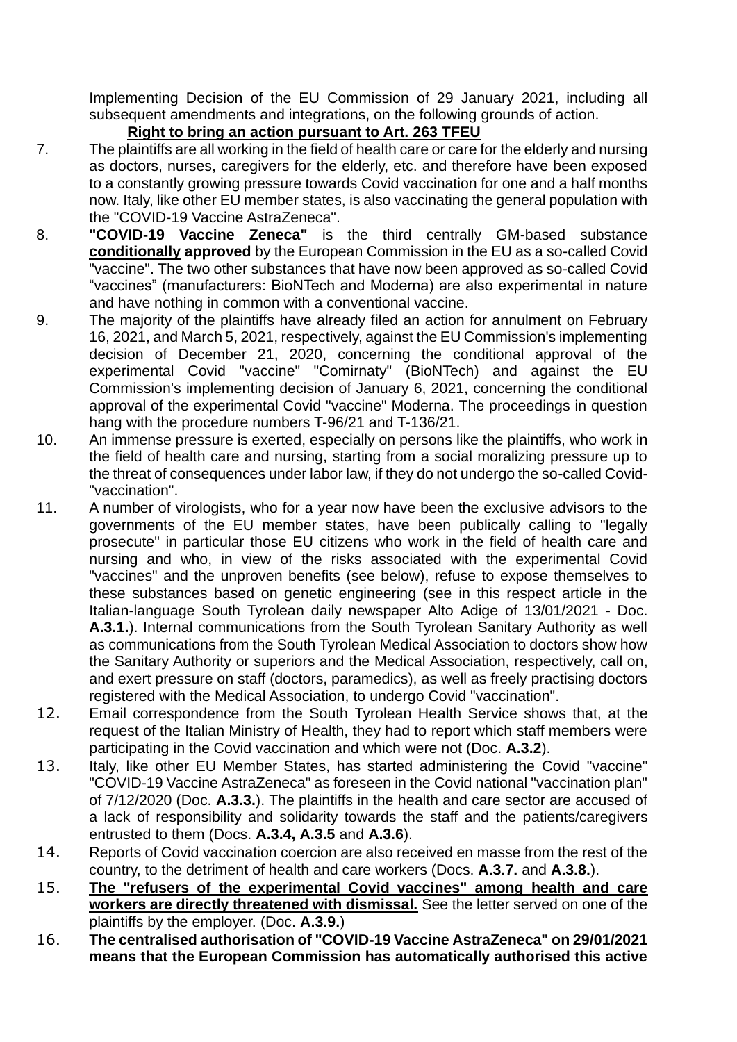Implementing Decision of the EU Commission of 29 January 2021, including all subsequent amendments and integrations, on the following grounds of action.

## **Right to bring an action pursuant to Art. 263 TFEU**

- 7. The plaintiffs are all working in the field of health care or care for the elderly and nursing as doctors, nurses, caregivers for the elderly, etc. and therefore have been exposed to a constantly growing pressure towards Covid vaccination for one and a half months now. Italy, like other EU member states, is also vaccinating the general population with the "COVID-19 Vaccine AstraZeneca".
- 8. **"COVID-19 Vaccine Zeneca"** is the third centrally GM-based substance **conditionally approved** by the European Commission in the EU as a so-called Covid "vaccine". The two other substances that have now been approved as so-called Covid "vaccines" (manufacturers: BioNTech and Moderna) are also experimental in nature and have nothing in common with a conventional vaccine.
- 9. The majority of the plaintiffs have already filed an action for annulment on February 16, 2021, and March 5, 2021, respectively, against the EU Commission's implementing decision of December 21, 2020, concerning the conditional approval of the experimental Covid "vaccine" "Comirnaty" (BioNTech) and against the EU Commission's implementing decision of January 6, 2021, concerning the conditional approval of the experimental Covid "vaccine" Moderna. The proceedings in question hang with the procedure numbers T-96/21 and T-136/21.
- 10. An immense pressure is exerted, especially on persons like the plaintiffs, who work in the field of health care and nursing, starting from a social moralizing pressure up to the threat of consequences under labor law, if they do not undergo the so-called Covid- "vaccination".
- 11. A number of virologists, who for a year now have been the exclusive advisors to the governments of the EU member states, have been publically calling to "legally prosecute" in particular those EU citizens who work in the field of health care and nursing and who, in view of the risks associated with the experimental Covid "vaccines" and the unproven benefits (see below), refuse to expose themselves to these substances based on genetic engineering (see in this respect article in the Italian-language South Tyrolean daily newspaper Alto Adige of 13/01/2021 - Doc. **A.3.1.**). Internal communications from the South Tyrolean Sanitary Authority as well as communications from the South Tyrolean Medical Association to doctors show how the Sanitary Authority or superiors and the Medical Association, respectively, call on, and exert pressure on staff (doctors, paramedics), as well as freely practising doctors registered with the Medical Association, to undergo Covid "vaccination".
- 12. Email correspondence from the South Tyrolean Health Service shows that, at the request of the Italian Ministry of Health, they had to report which staff members were participating in the Covid vaccination and which were not (Doc. **A.3.2**).
- 13. Italy, like other EU Member States, has started administering the Covid "vaccine" "COVID-19 Vaccine AstraZeneca" as foreseen in the Covid national "vaccination plan" of 7/12/2020 (Doc. **A.3.3.**). The plaintiffs in the health and care sector are accused of a lack of responsibility and solidarity towards the staff and the patients/caregivers entrusted to them (Docs. **A.3.4, A.3.5** and **A.3.6**).
- 14. Reports of Covid vaccination coercion are also received en masse from the rest of the country, to the detriment of health and care workers (Docs. **A.3.7.** and **A.3.8.**).
- 15. **The "refusers of the experimental Covid vaccines" among health and care workers are directly threatened with dismissal.** See the letter served on one of the plaintiffs by the employer. (Doc. **A.3.9.**)
- 16. **The centralised authorisation of "COVID-19 Vaccine AstraZeneca" on 29/01/2021 means that the European Commission has automatically authorised this active**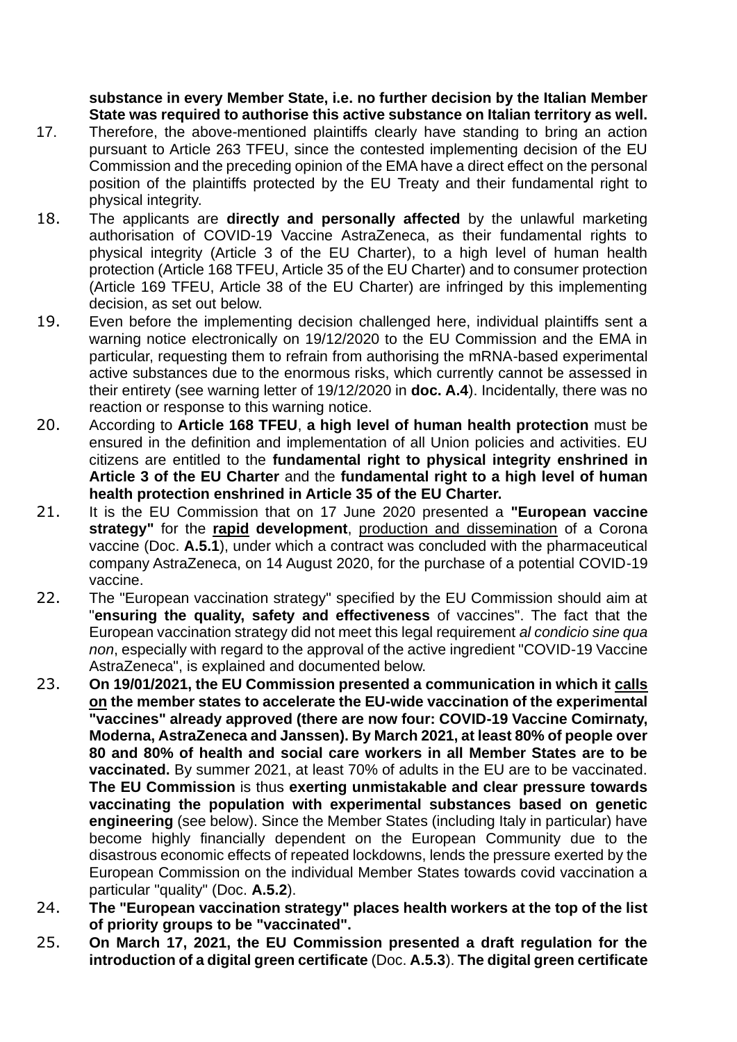**substance in every Member State, i.e. no further decision by the Italian Member State was required to authorise this active substance on Italian territory as well.**

- 17. Therefore, the above-mentioned plaintiffs clearly have standing to bring an action pursuant to Article 263 TFEU, since the contested implementing decision of the EU Commission and the preceding opinion of the EMA have a direct effect on the personal position of the plaintiffs protected by the EU Treaty and their fundamental right to physical integrity.
- 18. The applicants are **directly and personally affected** by the unlawful marketing authorisation of COVID-19 Vaccine AstraZeneca, as their fundamental rights to physical integrity (Article 3 of the EU Charter), to a high level of human health protection (Article 168 TFEU, Article 35 of the EU Charter) and to consumer protection (Article 169 TFEU, Article 38 of the EU Charter) are infringed by this implementing decision, as set out below.
- 19. Even before the implementing decision challenged here, individual plaintiffs sent a warning notice electronically on 19/12/2020 to the EU Commission and the EMA in particular, requesting them to refrain from authorising the mRNA-based experimental active substances due to the enormous risks, which currently cannot be assessed in their entirety (see warning letter of 19/12/2020 in **doc. A.4**). Incidentally, there was no reaction or response to this warning notice.
- 20. According to **Article 168 TFEU**, **a high level of human health protection** must be ensured in the definition and implementation of all Union policies and activities. EU citizens are entitled to the **fundamental right to physical integrity enshrined in Article 3 of the EU Charter** and the **fundamental right to a high level of human health protection enshrined in Article 35 of the EU Charter.**
- 21. It is the EU Commission that on 17 June 2020 presented a **"European vaccine strategy"** for the **rapid development**, production and dissemination of a Corona vaccine (Doc. **A.5.1**), under which a contract was concluded with the pharmaceutical company AstraZeneca, on 14 August 2020, for the purchase of a potential COVID-19 vaccine.
- 22. The "European vaccination strategy" specified by the EU Commission should aim at "**ensuring the quality, safety and effectiveness** of vaccines". The fact that the European vaccination strategy did not meet this legal requirement *al condicio sine qua non*, especially with regard to the approval of the active ingredient "COVID-19 Vaccine AstraZeneca", is explained and documented below.
- 23. **On 19/01/2021, the EU Commission presented a communication in which it calls on the member states to accelerate the EU-wide vaccination of the experimental "vaccines" already approved (there are now four: COVID-19 Vaccine Comirnaty, Moderna, AstraZeneca and Janssen). By March 2021, at least 80% of people over 80 and 80% of health and social care workers in all Member States are to be vaccinated.** By summer 2021, at least 70% of adults in the EU are to be vaccinated. **The EU Commission** is thus **exerting unmistakable and clear pressure towards vaccinating the population with experimental substances based on genetic engineering** (see below). Since the Member States (including Italy in particular) have become highly financially dependent on the European Community due to the disastrous economic effects of repeated lockdowns, lends the pressure exerted by the European Commission on the individual Member States towards covid vaccination a particular "quality" (Doc. **A.5.2**).
- 24. **The "European vaccination strategy" places health workers at the top of the list of priority groups to be "vaccinated".**
- 25. **On March 17, 2021, the EU Commission presented a draft regulation for the introduction of a digital green certificate** (Doc. **A.5.3**). **The digital green certificate**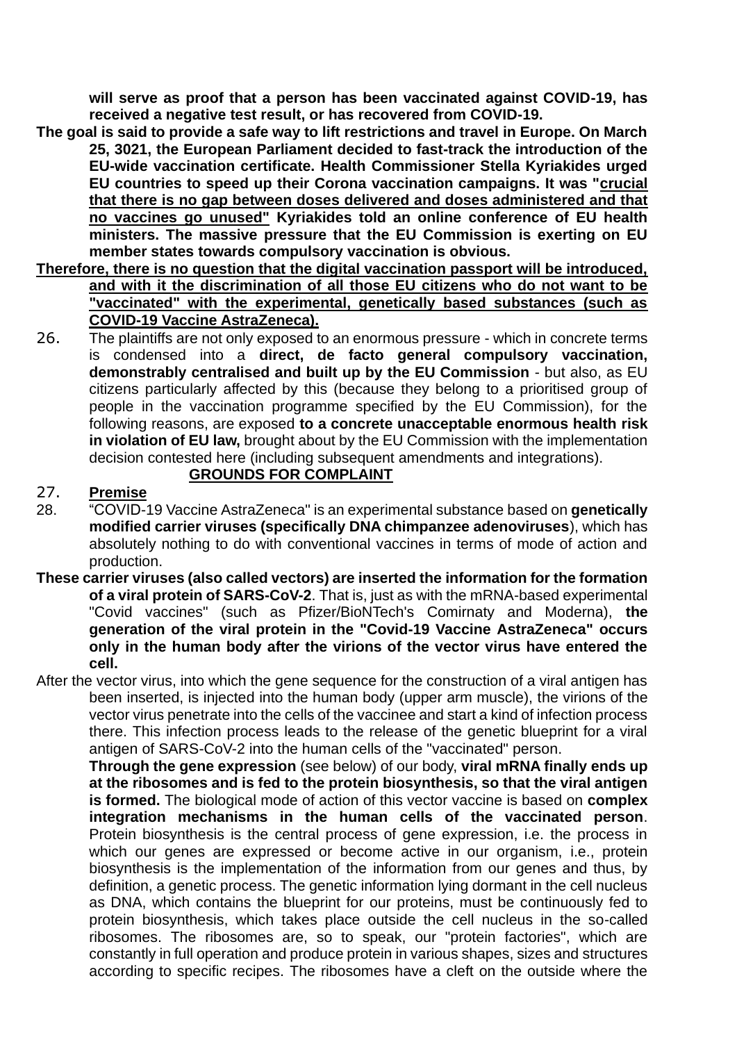**will serve as proof that a person has been vaccinated against COVID-19, has received a negative test result, or has recovered from COVID-19.**

- **The goal is said to provide a safe way to lift restrictions and travel in Europe. On March 25, 3021, the European Parliament decided to fast-track the introduction of the EU-wide vaccination certificate. Health Commissioner Stella Kyriakides urged EU countries to speed up their Corona vaccination campaigns. It was "crucial that there is no gap between doses delivered and doses administered and that no vaccines go unused" Kyriakides told an online conference of EU health ministers. The massive pressure that the EU Commission is exerting on EU member states towards compulsory vaccination is obvious.**
- **Therefore, there is no question that the digital vaccination passport will be introduced, and with it the discrimination of all those EU citizens who do not want to be "vaccinated" with the experimental, genetically based substances (such as COVID-19 Vaccine AstraZeneca).**
- 26. The plaintiffs are not only exposed to an enormous pressure which in concrete terms is condensed into a **direct, de facto general compulsory vaccination, demonstrably centralised and built up by the EU Commission** - but also, as EU citizens particularly affected by this (because they belong to a prioritised group of people in the vaccination programme specified by the EU Commission), for the following reasons, are exposed **to a concrete unacceptable enormous health risk in violation of EU law,** brought about by the EU Commission with the implementation decision contested here (including subsequent amendments and integrations).

### **GROUNDS FOR COMPLAINT**

#### 27. **Premise**

- 28. "COVID-19 Vaccine AstraZeneca" is an experimental substance based on **genetically modified carrier viruses (specifically DNA chimpanzee adenoviruses**), which has absolutely nothing to do with conventional vaccines in terms of mode of action and production.
- **These carrier viruses (also called vectors) are inserted the information for the formation of a viral protein of SARS-CoV-2**. That is, just as with the mRNA-based experimental "Covid vaccines" (such as Pfizer/BioNTech's Comirnaty and Moderna), **the generation of the viral protein in the "Covid-19 Vaccine AstraZeneca" occurs only in the human body after the virions of the vector virus have entered the cell.**
- After the vector virus, into which the gene sequence for the construction of a viral antigen has been inserted, is injected into the human body (upper arm muscle), the virions of the vector virus penetrate into the cells of the vaccinee and start a kind of infection process there. This infection process leads to the release of the genetic blueprint for a viral antigen of SARS-CoV-2 into the human cells of the "vaccinated" person.

**Through the gene expression** (see below) of our body, **viral mRNA finally ends up at the ribosomes and is fed to the protein biosynthesis, so that the viral antigen is formed.** The biological mode of action of this vector vaccine is based on **complex integration mechanisms in the human cells of the vaccinated person**. Protein biosynthesis is the central process of gene expression, i.e. the process in which our genes are expressed or become active in our organism, i.e., protein biosynthesis is the implementation of the information from our genes and thus, by definition, a genetic process. The genetic information lying dormant in the cell nucleus as DNA, which contains the blueprint for our proteins, must be continuously fed to protein biosynthesis, which takes place outside the cell nucleus in the so-called ribosomes. The ribosomes are, so to speak, our "protein factories", which are constantly in full operation and produce protein in various shapes, sizes and structures according to specific recipes. The ribosomes have a cleft on the outside where the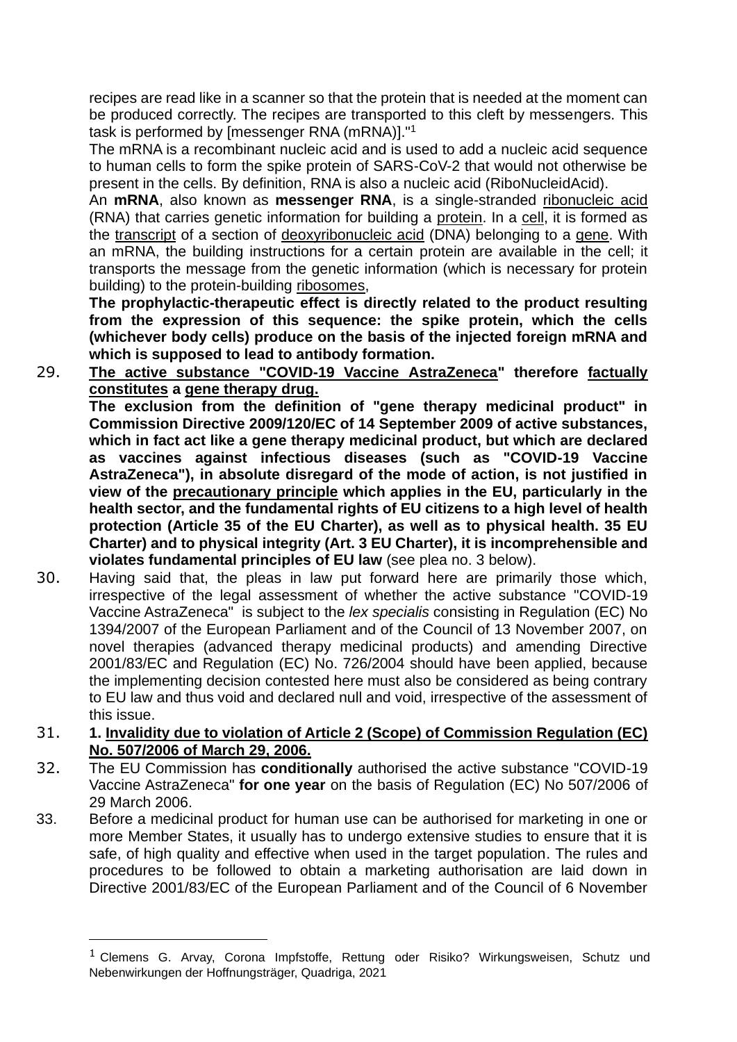recipes are read like in a scanner so that the protein that is needed at the moment can be produced correctly. The recipes are transported to this cleft by messengers. This task is performed by [messenger RNA (mRNA)]."<sup>1</sup>

The mRNA is a recombinant nucleic acid and is used to add a nucleic acid sequence to human cells to form the spike protein of SARS-CoV-2 that would not otherwise be present in the cells. By definition, RNA is also a nucleic acid (RiboNucleidAcid).

An **mRNA**, also known as **messenger RNA**, is a single-stranded ribonucleic acid (RNA) that carries genetic information for building a protein. In a cell, it is formed as the transcript of a section of deoxyribonucleic acid (DNA) belonging to a gene. With an mRNA, the building instructions for a certain protein are available in the cell; it transports the message from the genetic information (which is necessary for protein building) to the protein-building ribosomes,

**The prophylactic-therapeutic effect is directly related to the product resulting from the expression of this sequence: the spike protein, which the cells (whichever body cells) produce on the basis of the injected foreign mRNA and which is supposed to lead to antibody formation.**

29. **The active substance "COVID-19 Vaccine AstraZeneca" therefore factually constitutes a gene therapy drug.**

**The exclusion from the definition of "gene therapy medicinal product" in Commission Directive 2009/120/EC of 14 September 2009 of active substances, which in fact act like a gene therapy medicinal product, but which are declared as vaccines against infectious diseases (such as "COVID-19 Vaccine AstraZeneca"), in absolute disregard of the mode of action, is not justified in view of the precautionary principle which applies in the EU, particularly in the health sector, and the fundamental rights of EU citizens to a high level of health protection (Article 35 of the EU Charter), as well as to physical health. 35 EU Charter) and to physical integrity (Art. 3 EU Charter), it is incomprehensible and violates fundamental principles of EU law** (see plea no. 3 below).

- 30. Having said that, the pleas in law put forward here are primarily those which, irrespective of the legal assessment of whether the active substance "COVID-19 Vaccine AstraZeneca" is subject to the *lex specialis* consisting in Regulation (EC) No 1394/2007 of the European Parliament and of the Council of 13 November 2007, on novel therapies (advanced therapy medicinal products) and amending Directive 2001/83/EC and Regulation (EC) No. 726/2004 should have been applied, because the implementing decision contested here must also be considered as being contrary to EU law and thus void and declared null and void, irrespective of the assessment of this issue.
- 31. **1. Invalidity due to violation of Article 2 (Scope) of Commission Regulation (EC) No. 507/2006 of March 29, 2006.**
- 32. The EU Commission has **conditionally** authorised the active substance "COVID-19 Vaccine AstraZeneca" **for one year** on the basis of Regulation (EC) No 507/2006 of 29 March 2006.
- 33. Before a medicinal product for human use can be authorised for marketing in one or more Member States, it usually has to undergo extensive studies to ensure that it is safe, of high quality and effective when used in the target population. The rules and procedures to be followed to obtain a marketing authorisation are laid down in Directive 2001/83/EC of the European Parliament and of the Council of 6 November

 $1$  Clemens G. Arvay, Corona Impfstoffe, Rettung oder Risiko? Wirkungsweisen, Schutz und Nebenwirkungen der Hoffnungsträger, Quadriga, 2021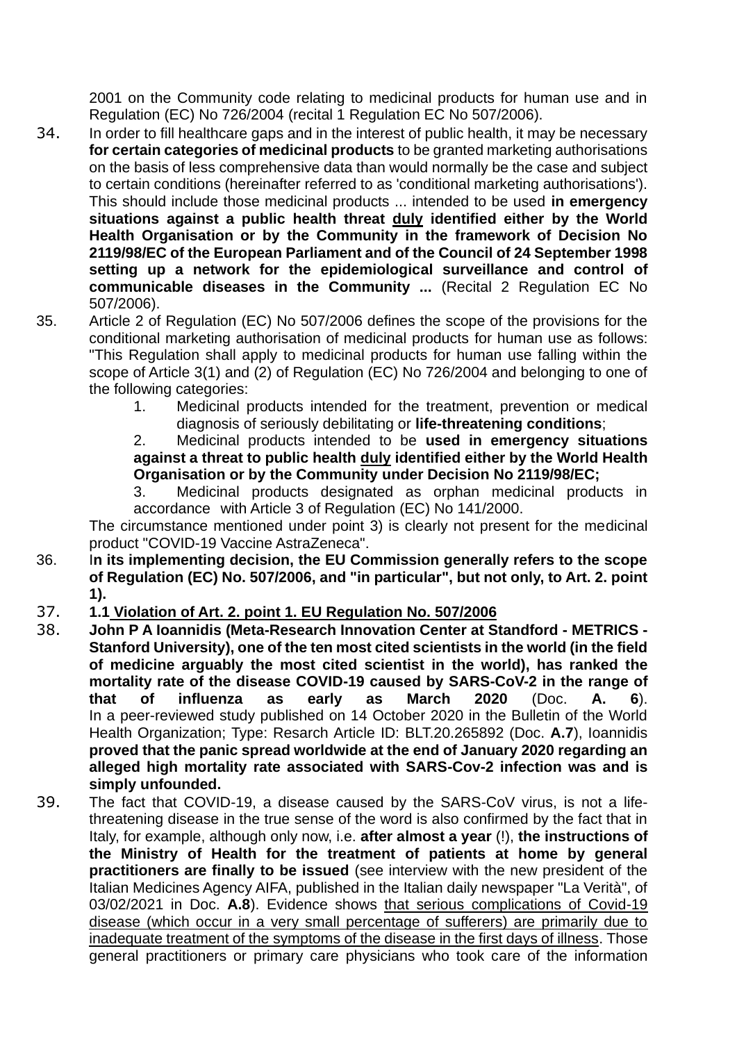2001 on the Community code relating to medicinal products for human use and in Regulation (EC) No 726/2004 (recital 1 Regulation EC No 507/2006).

- 34. In order to fill healthcare gaps and in the interest of public health, it may be necessary **for certain categories of medicinal products** to be granted marketing authorisations on the basis of less comprehensive data than would normally be the case and subject to certain conditions (hereinafter referred to as 'conditional marketing authorisations'). This should include those medicinal products ... intended to be used **in emergency situations against a public health threat duly identified either by the World Health Organisation or by the Community in the framework of Decision No 2119/98/EC of the European Parliament and of the Council of 24 September 1998 setting up a network for the epidemiological surveillance and control of communicable diseases in the Community ...** (Recital 2 Regulation EC No 507/2006).
- 35. Article 2 of Regulation (EC) No 507/2006 defines the scope of the provisions for the conditional marketing authorisation of medicinal products for human use as follows: "This Regulation shall apply to medicinal products for human use falling within the scope of Article 3(1) and (2) of Regulation (EC) No 726/2004 and belonging to one of the following categories:
	- 1. Medicinal products intended for the treatment, prevention or medical diagnosis of seriously debilitating or **life-threatening conditions**;

2. Medicinal products intended to be **used in emergency situations against a threat to public health duly identified either by the World Health Organisation or by the Community under Decision No 2119/98/EC;**

3. Medicinal products designated as orphan medicinal products in accordance with Article 3 of Regulation (EC) No 141/2000.

The circumstance mentioned under point 3) is clearly not present for the medicinal product "COVID-19 Vaccine AstraZeneca".

- 36. I**n its implementing decision, the EU Commission generally refers to the scope of Regulation (EC) No. 507/2006, and "in particular", but not only, to Art. 2. point 1).**
- 37. **1.1 Violation of Art. 2. point 1. EU Regulation No. 507/2006**
- 38. **John P A Ioannidis (Meta-Research Innovation Center at Standford - METRICS - Stanford University), one of the ten most cited scientists in the world (in the field of medicine arguably the most cited scientist in the world), has ranked the mortality rate of the disease COVID-19 caused by SARS-CoV-2 in the range of that of influenza as early as March 2020** (Doc. **A. 6**). In a peer-reviewed study published on 14 October 2020 in the Bulletin of the World Health Organization; Type: Resarch Article ID: BLT.20.265892 (Doc. **A.7**), Ioannidis **proved that the panic spread worldwide at the end of January 2020 regarding an alleged high mortality rate associated with SARS-Cov-2 infection was and is simply unfounded.**
- 39. The fact that COVID-19, a disease caused by the SARS-CoV virus, is not a lifethreatening disease in the true sense of the word is also confirmed by the fact that in Italy, for example, although only now, i.e. **after almost a year** (!), **the instructions of the Ministry of Health for the treatment of patients at home by general practitioners are finally to be issued** (see interview with the new president of the Italian Medicines Agency AIFA, published in the Italian daily newspaper "La Verità", of 03/02/2021 in Doc. **A.8**). Evidence shows that serious complications of Covid-19 disease (which occur in a very small percentage of sufferers) are primarily due to inadequate treatment of the symptoms of the disease in the first days of illness. Those general practitioners or primary care physicians who took care of the information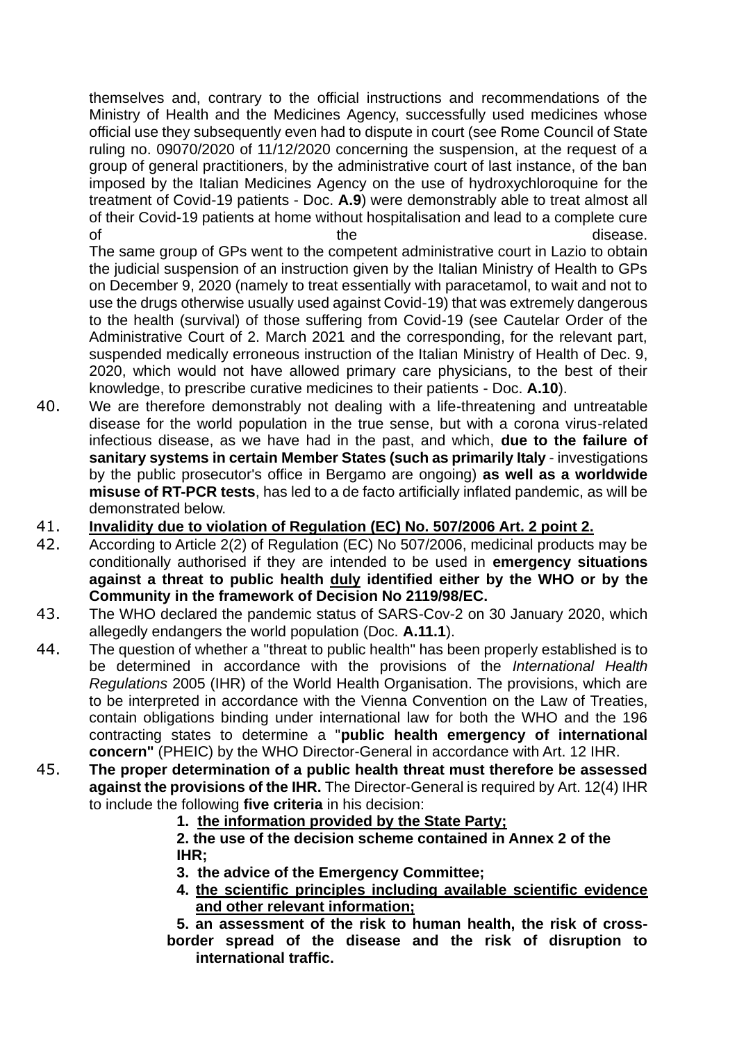themselves and, contrary to the official instructions and recommendations of the Ministry of Health and the Medicines Agency, successfully used medicines whose official use they subsequently even had to dispute in court (see Rome Council of State ruling no. 09070/2020 of 11/12/2020 concerning the suspension, at the request of a group of general practitioners, by the administrative court of last instance, of the ban imposed by the Italian Medicines Agency on the use of hydroxychloroquine for the treatment of Covid-19 patients - Doc. **A.9**) were demonstrably able to treat almost all of their Covid-19 patients at home without hospitalisation and lead to a complete cure of the the disease.

The same group of GPs went to the competent administrative court in Lazio to obtain the judicial suspension of an instruction given by the Italian Ministry of Health to GPs on December 9, 2020 (namely to treat essentially with paracetamol, to wait and not to use the drugs otherwise usually used against Covid-19) that was extremely dangerous to the health (survival) of those suffering from Covid-19 (see Cautelar Order of the Administrative Court of 2. March 2021 and the corresponding, for the relevant part, suspended medically erroneous instruction of the Italian Ministry of Health of Dec. 9, 2020, which would not have allowed primary care physicians, to the best of their knowledge, to prescribe curative medicines to their patients - Doc. **A.10**).

- 40. We are therefore demonstrably not dealing with a life-threatening and untreatable disease for the world population in the true sense, but with a corona virus-related infectious disease, as we have had in the past, and which, **due to the failure of sanitary systems in certain Member States (such as primarily Italy** - investigations by the public prosecutor's office in Bergamo are ongoing) **as well as a worldwide misuse of RT-PCR tests**, has led to a de facto artificially inflated pandemic, as will be demonstrated below.
- 41. **Invalidity due to violation of Regulation (EC) No. 507/2006 Art. 2 point 2.**
- 42. According to Article 2(2) of Regulation (EC) No 507/2006, medicinal products may be conditionally authorised if they are intended to be used in **emergency situations against a threat to public health duly identified either by the WHO or by the Community in the framework of Decision No 2119/98/EC.**
- 43. The WHO declared the pandemic status of SARS-Cov-2 on 30 January 2020, which allegedly endangers the world population (Doc. **A.11.1**).
- 44. The question of whether a "threat to public health" has been properly established is to be determined in accordance with the provisions of the *International Health Regulations* 2005 (IHR) of the World Health Organisation. The provisions, which are to be interpreted in accordance with the Vienna Convention on the Law of Treaties, contain obligations binding under international law for both the WHO and the 196 contracting states to determine a "**public health emergency of international concern"** (PHEIC) by the WHO Director-General in accordance with Art. 12 IHR.
- 45. **The proper determination of a public health threat must therefore be assessed against the provisions of the IHR.** The Director-General is required by Art. 12(4) IHR to include the following **five criteria** in his decision:

### **1. the information provided by the State Party;**

**2. the use of the decision scheme contained in Annex 2 of the IHR;**

- **3. the advice of the Emergency Committee;**
- **4. the scientific principles including available scientific evidence and other relevant information;**

**5. an assessment of the risk to human health, the risk of cross border spread of the disease and the risk of disruption to international traffic.**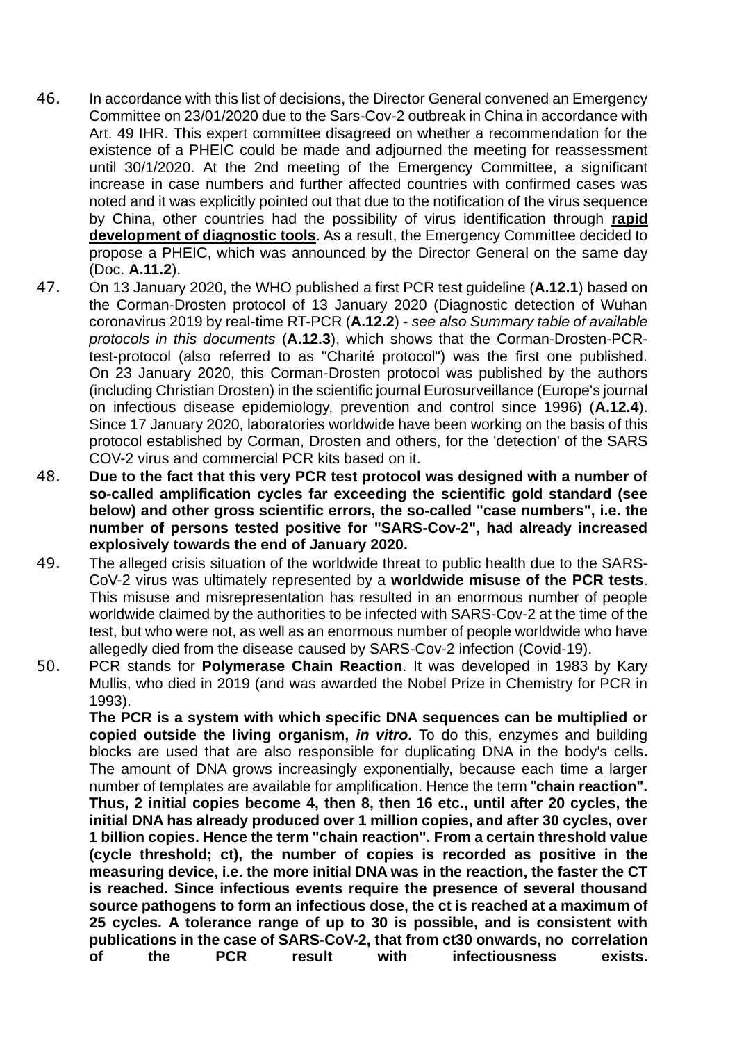- 46. In accordance with this list of decisions, the Director General convened an Emergency Committee on 23/01/2020 due to the Sars-Cov-2 outbreak in China in accordance with Art. 49 IHR. This expert committee disagreed on whether a recommendation for the existence of a PHEIC could be made and adjourned the meeting for reassessment until 30/1/2020. At the 2nd meeting of the Emergency Committee, a significant increase in case numbers and further affected countries with confirmed cases was noted and it was explicitly pointed out that due to the notification of the virus sequence by China, other countries had the possibility of virus identification through **rapid development of diagnostic tools**. As a result, the Emergency Committee decided to propose a PHEIC, which was announced by the Director General on the same day (Doc. **A.11.2**).
- 47. On 13 January 2020, the WHO published a first PCR test guideline (**A.12.1**) based on the Corman-Drosten protocol of 13 January 2020 (Diagnostic detection of Wuhan coronavirus 2019 by real-time RT-PCR (**A.12.2**) - *see also Summary table of available protocols in this documents* (**A.12.3**), which shows that the Corman-Drosten-PCRtest-protocol (also referred to as "Charité protocol") was the first one published. On 23 January 2020, this Corman-Drosten protocol was published by the authors (including Christian Drosten) in the scientific journal Eurosurveillance (Europe's journal on infectious disease epidemiology, prevention and control since 1996) (**A.12.4**). Since 17 January 2020, laboratories worldwide have been working on the basis of this protocol established by Corman, Drosten and others, for the 'detection' of the SARS COV-2 virus and commercial PCR kits based on it.
- 48. **Due to the fact that this very PCR test protocol was designed with a number of so-called amplification cycles far exceeding the scientific gold standard (see below) and other gross scientific errors, the so-called "case numbers", i.e. the number of persons tested positive for "SARS-Cov-2", had already increased explosively towards the end of January 2020.**
- 49. The alleged crisis situation of the worldwide threat to public health due to the SARS-CoV-2 virus was ultimately represented by a **worldwide misuse of the PCR tests**. This misuse and misrepresentation has resulted in an enormous number of people worldwide claimed by the authorities to be infected with SARS-Cov-2 at the time of the test, but who were not, as well as an enormous number of people worldwide who have allegedly died from the disease caused by SARS-Cov-2 infection (Covid-19).
- 50. PCR stands for **Polymerase Chain Reaction**. It was developed in 1983 by Kary Mullis, who died in 2019 (and was awarded the Nobel Prize in Chemistry for PCR in 1993).

**The PCR is a system with which specific DNA sequences can be multiplied or copied outside the living organism,** *in vitro***.** To do this, enzymes and building blocks are used that are also responsible for duplicating DNA in the body's cells**.** The amount of DNA grows increasingly exponentially, because each time a larger number of templates are available for amplification. Hence the term "**chain reaction". Thus, 2 initial copies become 4, then 8, then 16 etc., until after 20 cycles, the initial DNA has already produced over 1 million copies, and after 30 cycles, over 1 billion copies. Hence the term "chain reaction". From a certain threshold value (cycle threshold; ct), the number of copies is recorded as positive in the measuring device, i.e. the more initial DNA was in the reaction, the faster the CT is reached. Since infectious events require the presence of several thousand source pathogens to form an infectious dose, the ct is reached at a maximum of 25 cycles. A tolerance range of up to 30 is possible, and is consistent with publications in the case of SARS-CoV-2, that from ct30 onwards, no correlation of the PCR result with infectiousness exists.**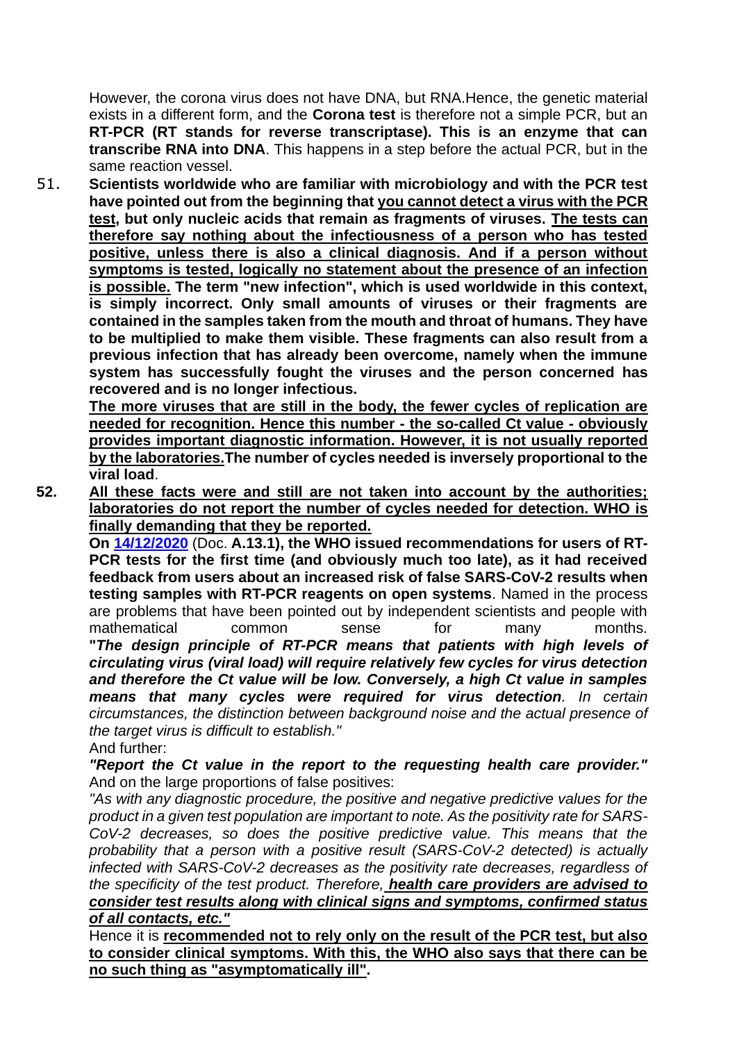However, the corona virus does not have DNA, but RNA.Hence, the genetic material exists in a different form, and the **Corona test** is therefore not a simple PCR, but an **RT-PCR (RT stands for reverse transcriptase). This is an enzyme that can transcribe RNA into DNA**. This happens in a step before the actual PCR, but in the same reaction vessel.

51. **Scientists worldwide who are familiar with microbiology and with the PCR test have pointed out from the beginning that you cannot detect a virus with the PCR test, but only nucleic acids that remain as fragments of viruses. The tests can therefore say nothing about the infectiousness of a person who has tested positive, unless there is also a clinical diagnosis. And if a person without symptoms is tested, logically no statement about the presence of an infection is possible. The term "new infection", which is used worldwide in this context, is simply incorrect. Only small amounts of viruses or their fragments are contained in the samples taken from the mouth and throat of humans. They have to be multiplied to make them visible. These fragments can also result from a previous infection that has already been overcome, namely when the immune system has successfully fought the viruses and the person concerned has recovered and is no longer infectious.**

**The more viruses that are still in the body, the fewer cycles of replication are needed for recognition. Hence this number - the so-called Ct value - obviously provides important diagnostic information. However, it is not usually reported by the laboratories.The number of cycles needed is inversely proportional to the viral load**.

**52. All these facts were and still are not taken into account by the authorities; laboratories do not report the number of cycles needed for detection. WHO is finally demanding that they be reported.**

**On 14/12/2020** (Doc. **A.13.1), the WHO issued recommendations for users of RT-PCR tests for the first time (and obviously much too late), as it had received feedback from users about an increased risk of false SARS-CoV-2 results when testing samples with RT-PCR reagents on open systems**. Named in the process are problems that have been pointed out by independent scientists and people with mathematical common sense for many months. **"***The design principle of RT-PCR means that patients with high levels of circulating virus (viral load) will require relatively few cycles for virus detection and therefore the Ct value will be low. Conversely, a high Ct value in samples means that many cycles were required for virus detection. In certain circumstances, the distinction between background noise and the actual presence of the target virus is difficult to establish."*

And further:

*"Report the Ct value in the report to the requesting health care provider."* And on the large proportions of false positives:

*"As with any diagnostic procedure, the positive and negative predictive values for the product in a given test population are important to note. As the positivity rate for SARS-CoV-2 decreases, so does the positive predictive value. This means that the probability that a person with a positive result (SARS-CoV-2 detected) is actually infected with SARS-CoV-2 decreases as the positivity rate decreases, regardless of the specificity of the test product. Therefore, health care providers are advised to consider test results along with clinical signs and symptoms, confirmed status of all contacts, etc."*

Hence it is **recommended not to rely only on the result of the PCR test, but also to consider clinical symptoms. With this, the WHO also says that there can be no such thing as "asymptomatically ill".**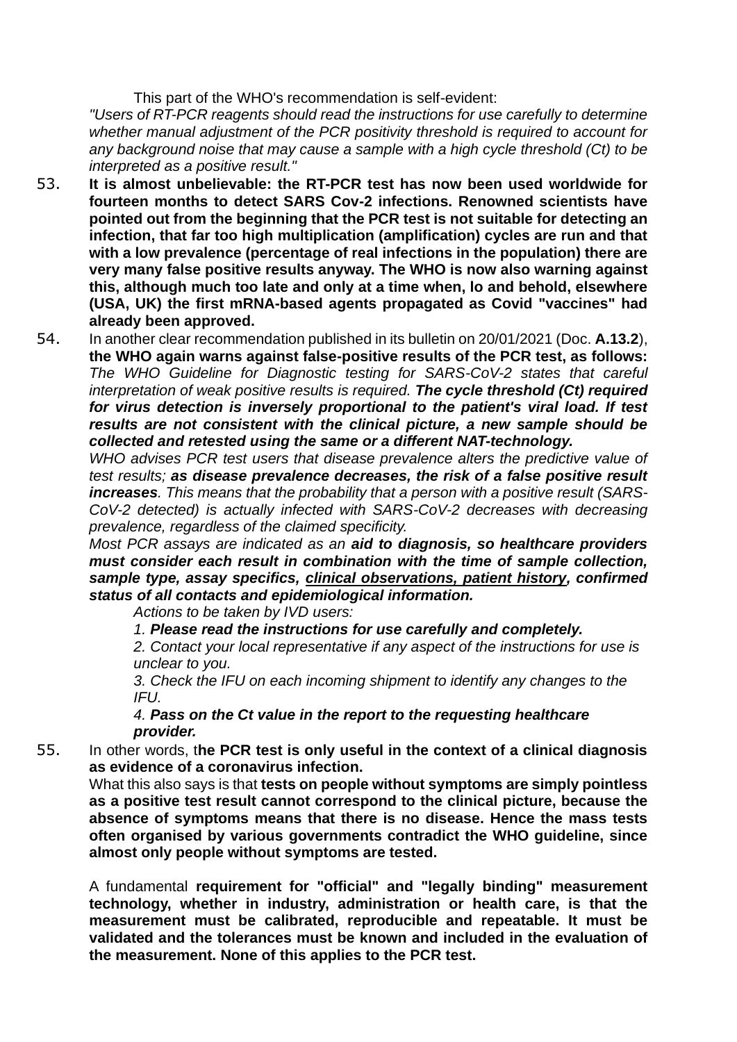This part of the WHO's recommendation is self-evident:

*"Users of RT-PCR reagents should read the instructions for use carefully to determine whether manual adjustment of the PCR positivity threshold is required to account for any background noise that may cause a sample with a high cycle threshold (Ct) to be interpreted as a positive result."*

- 53. **It is almost unbelievable: the RT-PCR test has now been used worldwide for fourteen months to detect SARS Cov-2 infections. Renowned scientists have pointed out from the beginning that the PCR test is not suitable for detecting an infection, that far too high multiplication (amplification) cycles are run and that with a low prevalence (percentage of real infections in the population) there are very many false positive results anyway. The WHO is now also warning against this, although much too late and only at a time when, lo and behold, elsewhere (USA, UK) the first mRNA-based agents propagated as Covid "vaccines" had already been approved.**
- 54. In another clear recommendation published in its bulletin on 20/01/2021 (Doc. **A.13.2**), **the WHO again warns against false-positive results of the PCR test, as follows:** *The WHO Guideline for Diagnostic testing for SARS-CoV-2 states that careful interpretation of weak positive results is required. The cycle threshold (Ct) required for virus detection is inversely proportional to the patient's viral load. If test results are not consistent with the clinical picture, a new sample should be collected and retested using the same or a different NAT-technology.*

*WHO advises PCR test users that disease prevalence alters the predictive value of test results; as disease prevalence decreases, the risk of a false positive result increases. This means that the probability that a person with a positive result (SARS-CoV-2 detected) is actually infected with SARS-CoV-2 decreases with decreasing prevalence, regardless of the claimed specificity.*

*Most PCR assays are indicated as an aid to diagnosis, so healthcare providers must consider each result in combination with the time of sample collection, sample type, assay specifics, clinical observations, patient history, confirmed status of all contacts and epidemiological information.*

*Actions to be taken by IVD users:*

*1. Please read the instructions for use carefully and completely.*

*2. Contact your local representative if any aspect of the instructions for use is unclear to you.*

*3. Check the IFU on each incoming shipment to identify any changes to the IFU.*

*4. Pass on the Ct value in the report to the requesting healthcare provider.*

55. In other words, t**he PCR test is only useful in the context of a clinical diagnosis as evidence of a coronavirus infection.**

What this also says is that **tests on people without symptoms are simply pointless as a positive test result cannot correspond to the clinical picture, because the absence of symptoms means that there is no disease. Hence the mass tests often organised by various governments contradict the WHO guideline, since almost only people without symptoms are tested.**

A fundamental **requirement for "official" and "legally binding" measurement technology, whether in industry, administration or health care, is that the measurement must be calibrated, reproducible and repeatable. It must be validated and the tolerances must be known and included in the evaluation of the measurement. None of this applies to the PCR test.**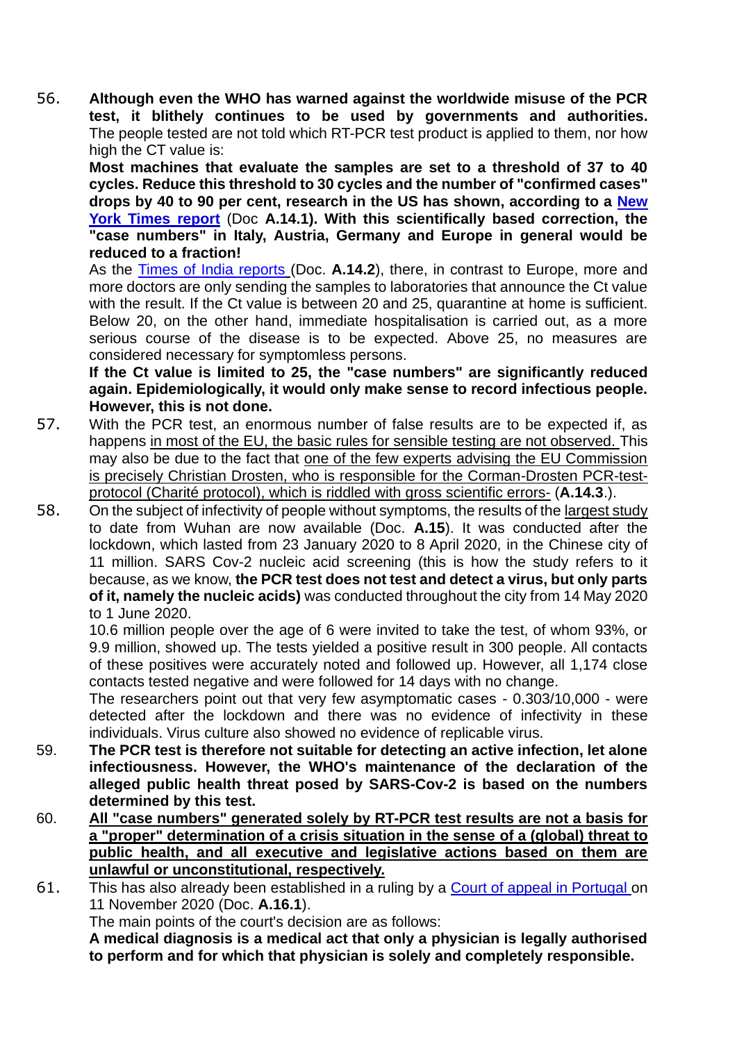56. **Although even the WHO has warned against the worldwide misuse of the PCR test, it blithely continues to be used by governments and authorities.** The people tested are not told which RT-PCR test product is applied to them, nor how high the CT value is:

**Most machines that evaluate the samples are set to a threshold of 37 to 40 cycles. Reduce this threshold to 30 cycles and the number of "confirmed cases" drops by 40 to 90 per cent, research in the US has shown, according to a New York Times report** (Doc **A.14.1). With this scientifically based correction, the "case numbers" in Italy, Austria, Germany and Europe in general would be reduced to a fraction!**

As the Times of India reports (Doc. **A.14.2**), there, in contrast to Europe, more and more doctors are only sending the samples to laboratories that announce the Ct value with the result. If the Ct value is between 20 and 25, quarantine at home is sufficient. Below 20, on the other hand, immediate hospitalisation is carried out, as a more serious course of the disease is to be expected. Above 25, no measures are considered necessary for symptomless persons.

**If the Ct value is limited to 25, the "case numbers" are significantly reduced again. Epidemiologically, it would only make sense to record infectious people. However, this is not done.**

- 57. With the PCR test, an enormous number of false results are to be expected if, as happens in most of the EU, the basic rules for sensible testing are not observed. This may also be due to the fact that one of the few experts advising the EU Commission is precisely Christian Drosten, who is responsible for the Corman-Drosten PCR-testprotocol (Charité protocol), which is riddled with gross scientific errors- (**A.14.3**.).
- 58. On the subject of infectivity of people without symptoms, the results of the largest study to date from Wuhan are now available (Doc. **A.15**). It was conducted after the lockdown, which lasted from 23 January 2020 to 8 April 2020, in the Chinese city of 11 million. SARS Cov-2 nucleic acid screening (this is how the study refers to it because, as we know, **the PCR test does not test and detect a virus, but only parts of it, namely the nucleic acids)** was conducted throughout the city from 14 May 2020 to 1 June 2020.

10.6 million people over the age of 6 were invited to take the test, of whom 93%, or 9.9 million, showed up. The tests yielded a positive result in 300 people. All contacts of these positives were accurately noted and followed up. However, all 1,174 close contacts tested negative and were followed for 14 days with no change.

The researchers point out that very few asymptomatic cases - 0.303/10,000 - were detected after the lockdown and there was no evidence of infectivity in these individuals. Virus culture also showed no evidence of replicable virus.

- 59. **The PCR test is therefore not suitable for detecting an active infection, let alone infectiousness. However, the WHO's maintenance of the declaration of the alleged public health threat posed by SARS-Cov-2 is based on the numbers determined by this test.**
- 60. **All "case numbers" generated solely by RT-PCR test results are not a basis for a "proper" determination of a crisis situation in the sense of a (global) threat to public health, and all executive and legislative actions based on them are unlawful or unconstitutional, respectively.**
- 61. This has also already been established in a ruling by a Court of appeal in Portugal on 11 November 2020 (Doc. **A.16.1**). The main points of the court's decision are as follows:

**A medical diagnosis is a medical act that only a physician is legally authorised to perform and for which that physician is solely and completely responsible.**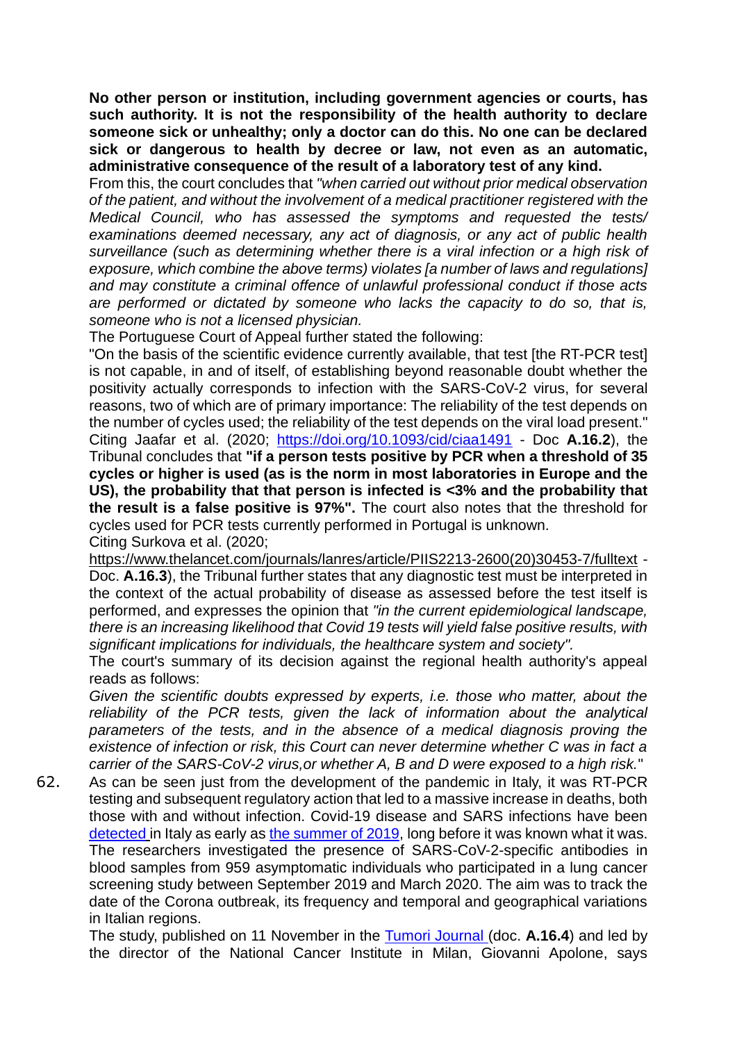**No other person or institution, including government agencies or courts, has such authority. It is not the responsibility of the health authority to declare someone sick or unhealthy; only a doctor can do this. No one can be declared sick or dangerous to health by decree or law, not even as an automatic, administrative consequence of the result of a laboratory test of any kind.**

From this, the court concludes that *"when carried out without prior medical observation of the patient, and without the involvement of a medical practitioner registered with the Medical Council, who has assessed the symptoms and requested the tests/ examinations deemed necessary, any act of diagnosis, or any act of public health surveillance (such as determining whether there is a viral infection or a high risk of exposure, which combine the above terms) violates [a number of laws and regulations] and may constitute a criminal offence of unlawful professional conduct if those acts are performed or dictated by someone who lacks the capacity to do so, that is, someone who is not a licensed physician.*

The Portuguese Court of Appeal further stated the following:

"On the basis of the scientific evidence currently available, that test [the RT-PCR test] is not capable, in and of itself, of establishing beyond reasonable doubt whether the positivity actually corresponds to infection with the SARS-CoV-2 virus, for several reasons, two of which are of primary importance: The reliability of the test depends on the number of cycles used; the reliability of the test depends on the viral load present." Citing Jaafar et al. (2020; https://doi.org/10.1093/cid/ciaa1491 - Doc **A.16.2**), the Tribunal concludes that **"if a person tests positive by PCR when a threshold of 35 cycles or higher is used (as is the norm in most laboratories in Europe and the US), the probability that that person is infected is <3% and the probability that the result is a false positive is 97%".** The court also notes that the threshold for cycles used for PCR tests currently performed in Portugal is unknown. Citing Surkova et al. (2020;

https://www.thelancet.com/journals/lanres/article/PIIS2213-2600(20)30453-7/fulltext - Doc. **A.16.3**), the Tribunal further states that any diagnostic test must be interpreted in the context of the actual probability of disease as assessed before the test itself is performed, and expresses the opinion that *"in the current epidemiological landscape, there is an increasing likelihood that Covid 19 tests will yield false positive results, with significant implications for individuals, the healthcare system and society".*

The court's summary of its decision against the regional health authority's appeal reads as follows:

*Given the scientific doubts expressed by experts, i.e. those who matter, about the reliability of the PCR tests, given the lack of information about the analytical*  parameters of the tests, and in the absence of a medical diagnosis proving the *existence of infection or risk, this Court can never determine whether C was in fact a carrier of the SARS-CoV-2 virus,or whether A, B and D were exposed to a high risk.*"

62. As can be seen just from the development of the pandemic in Italy, it was RT-PCR testing and subsequent regulatory action that led to a massive increase in deaths, both those with and without infection. Covid-19 disease and SARS infections have been detected in Italy as early as the summer of 2019, long before it was known what it was. The researchers investigated the presence of SARS-CoV-2-specific antibodies in blood samples from 959 asymptomatic individuals who participated in a lung cancer screening study between September 2019 and March 2020. The aim was to track the date of the Corona outbreak, its frequency and temporal and geographical variations in Italian regions.

The study, published on 11 November in the Tumori Journal (doc. **A.16.4**) and led by the director of the National Cancer Institute in Milan, Giovanni Apolone, says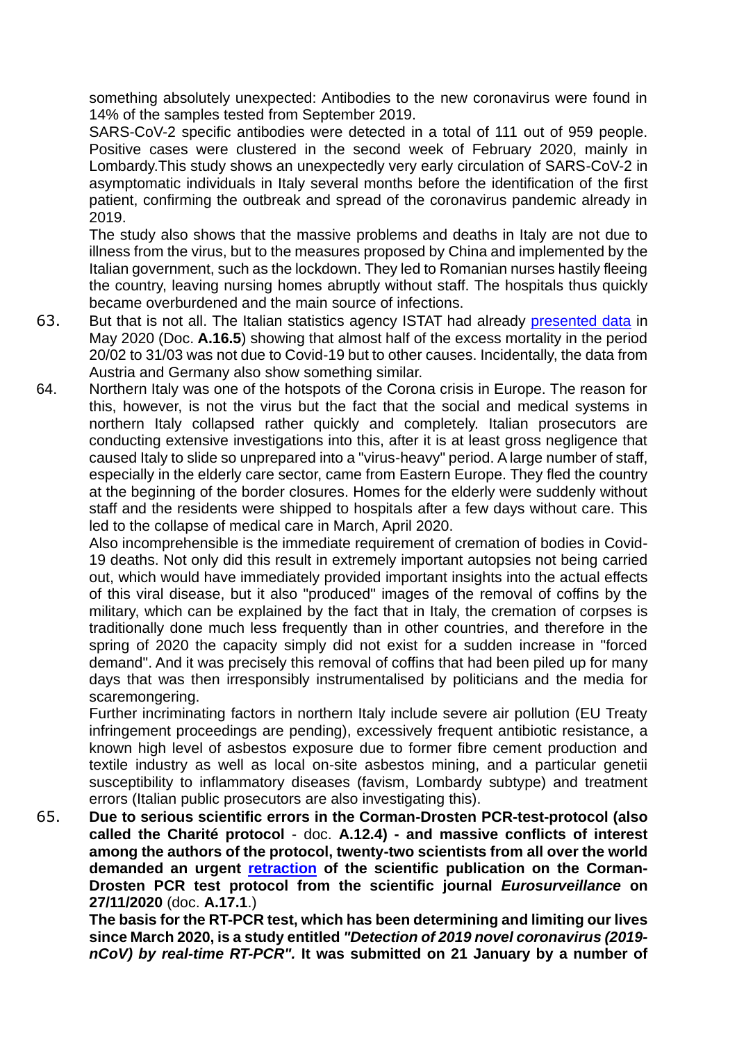something absolutely unexpected: Antibodies to the new coronavirus were found in 14% of the samples tested from September 2019.

SARS-CoV-2 specific antibodies were detected in a total of 111 out of 959 people. Positive cases were clustered in the second week of February 2020, mainly in Lombardy.This study shows an unexpectedly very early circulation of SARS-CoV-2 in asymptomatic individuals in Italy several months before the identification of the first patient, confirming the outbreak and spread of the coronavirus pandemic already in 2019.

The study also shows that the massive problems and deaths in Italy are not due to illness from the virus, but to the measures proposed by China and implemented by the Italian government, such as the lockdown. They led to Romanian nurses hastily fleeing the country, leaving nursing homes abruptly without staff. The hospitals thus quickly became overburdened and the main source of infections.

- 63. But that is not all. The Italian statistics agency ISTAT had already presented data in May 2020 (Doc. **A.16.5**) showing that almost half of the excess mortality in the period 20/02 to 31/03 was not due to Covid-19 but to other causes. Incidentally, the data from Austria and Germany also show something similar.
- 64. Northern Italy was one of the hotspots of the Corona crisis in Europe. The reason for this, however, is not the virus but the fact that the social and medical systems in northern Italy collapsed rather quickly and completely. Italian prosecutors are conducting extensive investigations into this, after it is at least gross negligence that caused Italy to slide so unprepared into a "virus-heavy" period. A large number of staff, especially in the elderly care sector, came from Eastern Europe. They fled the country at the beginning of the border closures. Homes for the elderly were suddenly without staff and the residents were shipped to hospitals after a few days without care. This led to the collapse of medical care in March, April 2020.

Also incomprehensible is the immediate requirement of cremation of bodies in Covid-19 deaths. Not only did this result in extremely important autopsies not being carried out, which would have immediately provided important insights into the actual effects of this viral disease, but it also "produced" images of the removal of coffins by the military, which can be explained by the fact that in Italy, the cremation of corpses is traditionally done much less frequently than in other countries, and therefore in the spring of 2020 the capacity simply did not exist for a sudden increase in "forced demand". And it was precisely this removal of coffins that had been piled up for many days that was then irresponsibly instrumentalised by politicians and the media for scaremongering.

Further incriminating factors in northern Italy include severe air pollution (EU Treaty infringement proceedings are pending), excessively frequent antibiotic resistance, a known high level of asbestos exposure due to former fibre cement production and textile industry as well as local on-site asbestos mining, and a particular genetii susceptibility to inflammatory diseases (favism, Lombardy subtype) and treatment errors (Italian public prosecutors are also investigating this).

65. **Due to serious scientific errors in the Corman-Drosten PCR-test-protocol (also called the Charité protocol** - doc. **A.12.4) - and massive conflicts of interest among the authors of the protocol, twenty-two scientists from all over the world demanded an urgent retraction of the scientific publication on the Corman-Drosten PCR test protocol from the scientific journal** *Eurosurveillance* **on 27/11/2020** (doc. **A.17.1**.)

**The basis for the RT-PCR test, which has been determining and limiting our lives since March 2020, is a study entitled** *"Detection of 2019 novel coronavirus (2019 nCoV) by real-time RT-PCR".* **It was submitted on 21 January by a number of**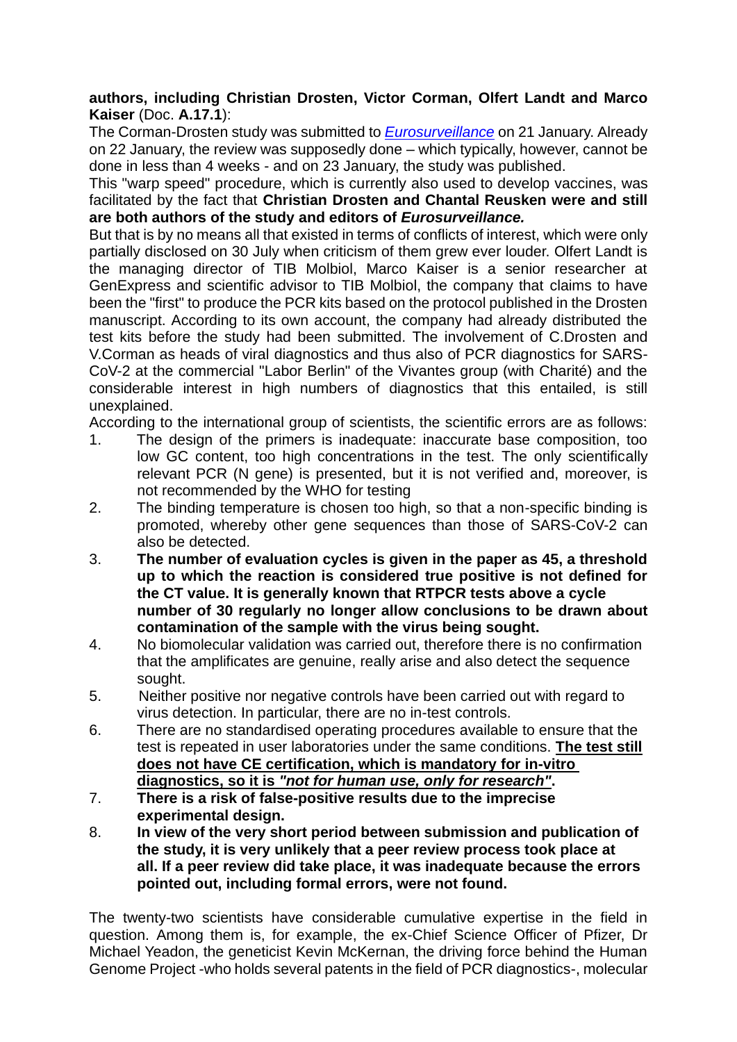### **authors, including Christian Drosten, Victor Corman, Olfert Landt and Marco Kaiser** (Doc. **A.17.1**):

The Corman-Drosten study was submitted to *Eurosurveillance* on 21 January. Already on 22 January, the review was supposedly done – which typically, however, cannot be done in less than 4 weeks - and on 23 January, the study was published.

This "warp speed" procedure, which is currently also used to develop vaccines, was facilitated by the fact that **Christian Drosten and Chantal Reusken were and still are both authors of the study and editors of** *Eurosurveillance.*

But that is by no means all that existed in terms of conflicts of interest, which were only partially disclosed on 30 July when criticism of them grew ever louder. Olfert Landt is the managing director of TIB Molbiol, Marco Kaiser is a senior researcher at GenExpress and scientific advisor to TIB Molbiol, the company that claims to have been the "first" to produce the PCR kits based on the protocol published in the Drosten manuscript. According to its own account, the company had already distributed the test kits before the study had been submitted. The involvement of C.Drosten and V.Corman as heads of viral diagnostics and thus also of PCR diagnostics for SARS-CoV-2 at the commercial "Labor Berlin" of the Vivantes group (with Charité) and the considerable interest in high numbers of diagnostics that this entailed, is still unexplained.

According to the international group of scientists, the scientific errors are as follows:

- 1. The design of the primers is inadequate: inaccurate base composition, too low GC content, too high concentrations in the test. The only scientifically relevant PCR (N gene) is presented, but it is not verified and, moreover, is not recommended by the WHO for testing
- 2. The binding temperature is chosen too high, so that a non-specific binding is promoted, whereby other gene sequences than those of SARS-CoV-2 can also be detected.
- 3. **The number of evaluation cycles is given in the paper as 45, a threshold up to which the reaction is considered true positive is not defined for the CT value. It is generally known that RTPCR tests above a cycle number of 30 regularly no longer allow conclusions to be drawn about contamination of the sample with the virus being sought.**
- 4. No biomolecular validation was carried out, therefore there is no confirmation that the amplificates are genuine, really arise and also detect the sequence sought.
- 5. Neither positive nor negative controls have been carried out with regard to virus detection. In particular, there are no in-test controls.
- 6. There are no standardised operating procedures available to ensure that the test is repeated in user laboratories under the same conditions. **The test still does not have CE certification, which is mandatory for in-vitro diagnostics, so it is** *"not for human use, only for research"***.**
- 7. **There is a risk of false-positive results due to the imprecise experimental design.**
- 8. **In view of the very short period between submission and publication of the study, it is very unlikely that a peer review process took place at all. If a peer review did take place, it was inadequate because the errors pointed out, including formal errors, were not found.**

The twenty-two scientists have considerable cumulative expertise in the field in question. Among them is, for example, the ex-Chief Science Officer of Pfizer, Dr Michael Yeadon, the geneticist Kevin McKernan, the driving force behind the Human Genome Project -who holds several patents in the field of PCR diagnostics-, molecular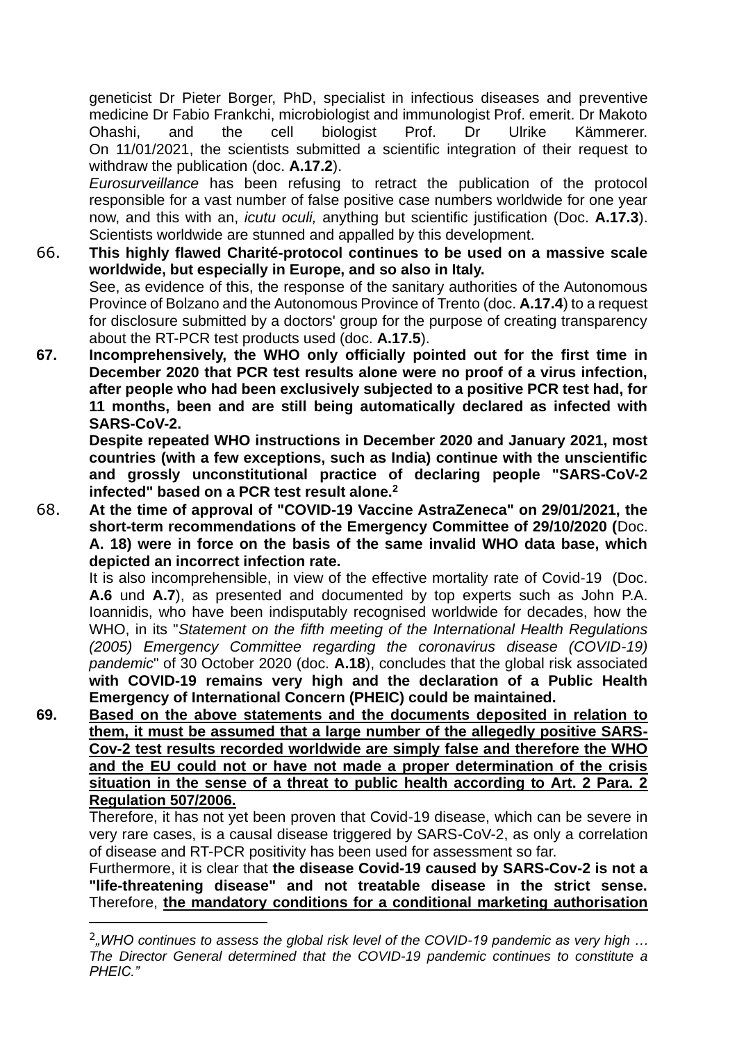geneticist Dr Pieter Borger, PhD, specialist in infectious diseases and preventive medicine Dr Fabio Frankchi, microbiologist and immunologist Prof. emerit. Dr Makoto Ohashi, and the cell biologist Prof. Dr Ulrike Kämmerer. On 11/01/2021, the scientists submitted a scientific integration of their request to withdraw the publication (doc. **A.17.2**).

*Eurosurveillance* has been refusing to retract the publication of the protocol responsible for a vast number of false positive case numbers worldwide for one year now, and this with an, *icutu oculi,* anything but scientific justification (Doc. **A.17.3**). Scientists worldwide are stunned and appalled by this development.

- 66. **This highly flawed Charité-protocol continues to be used on a massive scale worldwide, but especially in Europe, and so also in Italy.** See, as evidence of this, the response of the sanitary authorities of the Autonomous Province of Bolzano and the Autonomous Province of Trento (doc. **A.17.4**) to a request for disclosure submitted by a doctors' group for the purpose of creating transparency about the RT-PCR test products used (doc. **A.17.5**).
- **67. Incomprehensively, the WHO only officially pointed out for the first time in December 2020 that PCR test results alone were no proof of a virus infection, after people who had been exclusively subjected to a positive PCR test had, for 11 months, been and are still being automatically declared as infected with SARS-CoV-2.**

**Despite repeated WHO instructions in December 2020 and January 2021, most countries (with a few exceptions, such as India) continue with the unscientific and grossly unconstitutional practice of declaring people "SARS-CoV-2 infected" based on a PCR test result alone.<sup>2</sup>**

68. **At the time of approval of "COVID-19 Vaccine AstraZeneca" on 29/01/2021, the short-term recommendations of the Emergency Committee of 29/10/2020 (**Doc. **A. 18) were in force on the basis of the same invalid WHO data base, which depicted an incorrect infection rate.**

It is also incomprehensible, in view of the effective mortality rate of Covid-19 (Doc. **A.6** und **A.7**), as presented and documented by top experts such as John P.A. Ioannidis, who have been indisputably recognised worldwide for decades, how the WHO, in its "*Statement on the fifth meeting of the International Health Regulations (2005) Emergency Committee regarding the coronavirus disease (COVID-19) pandemic*" of 30 October 2020 (doc. **A.18**), concludes that the global risk associated **with COVID-19 remains very high and the declaration of a Public Health Emergency of International Concern (PHEIC) could be maintained.**

**69. Based on the above statements and the documents deposited in relation to them, it must be assumed that a large number of the allegedly positive SARS-Cov-2 test results recorded worldwide are simply false and therefore the WHO and the EU could not or have not made a proper determination of the crisis situation in the sense of a threat to public health according to Art. 2 Para. 2 Regulation 507/2006.**

Therefore, it has not yet been proven that Covid-19 disease, which can be severe in very rare cases, is a causal disease triggered by SARS-CoV-2, as only a correlation of disease and RT-PCR positivity has been used for assessment so far.

Furthermore, it is clear that **the disease Covid-19 caused by SARS-Cov-2 is not a "life-threatening disease" and not treatable disease in the strict sense.** Therefore, **the mandatory conditions for a conditional marketing authorisation** 

<sup>&</sup>lt;sup>2</sup>, WHO continues to assess the global risk level of the COVID-19 pandemic as very high ... *The Director General determined that the COVID-19 pandemic continues to constitute a PHEIC."*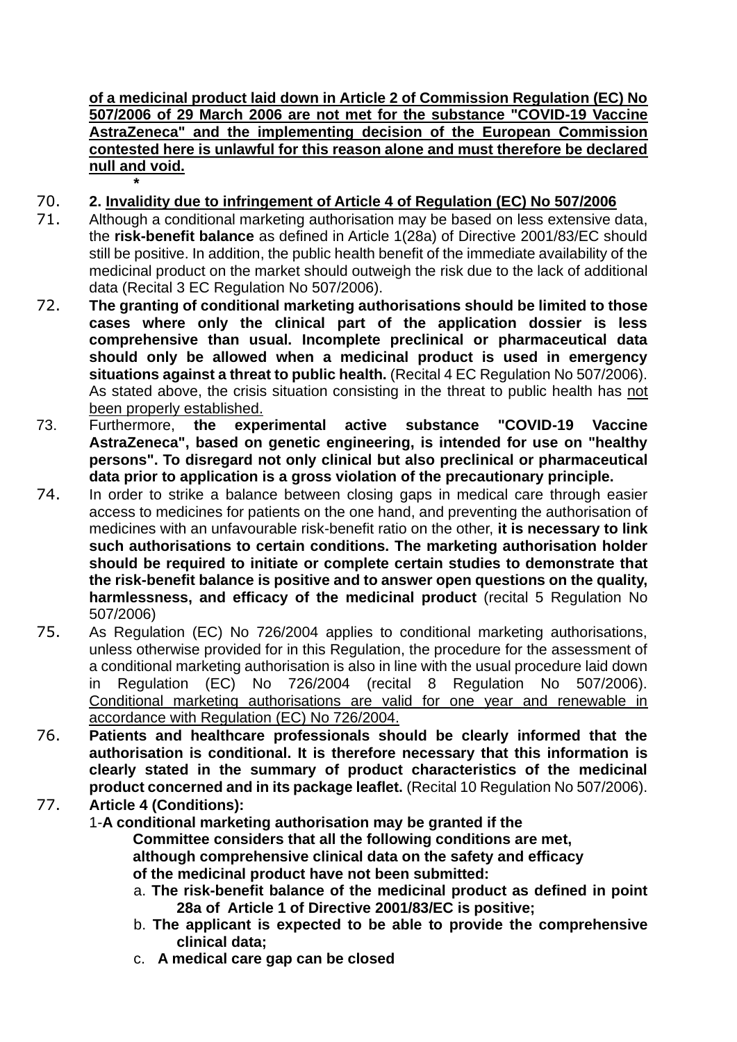**of a medicinal product laid down in Article 2 of Commission Regulation (EC) No 507/2006 of 29 March 2006 are not met for the substance "COVID-19 Vaccine AstraZeneca" and the implementing decision of the European Commission contested here is unlawful for this reason alone and must therefore be declared null and void. \***

- 70. **2. Invalidity due to infringement of Article 4 of Regulation (EC) No 507/2006**
- 71. Although a conditional marketing authorisation may be based on less extensive data, the **risk-benefit balance** as defined in Article 1(28a) of Directive 2001/83/EC should still be positive. In addition, the public health benefit of the immediate availability of the medicinal product on the market should outweigh the risk due to the lack of additional data (Recital 3 EC Regulation No 507/2006).
- 72. **The granting of conditional marketing authorisations should be limited to those cases where only the clinical part of the application dossier is less comprehensive than usual. Incomplete preclinical or pharmaceutical data should only be allowed when a medicinal product is used in emergency situations against a threat to public health.** (Recital 4 EC Regulation No 507/2006). As stated above, the crisis situation consisting in the threat to public health has not been properly established.
- 73. Furthermore, **the experimental active substance "COVID-19 Vaccine AstraZeneca", based on genetic engineering, is intended for use on "healthy persons". To disregard not only clinical but also preclinical or pharmaceutical data prior to application is a gross violation of the precautionary principle.**
- 74. In order to strike a balance between closing gaps in medical care through easier access to medicines for patients on the one hand, and preventing the authorisation of medicines with an unfavourable risk-benefit ratio on the other, **it is necessary to link such authorisations to certain conditions. The marketing authorisation holder should be required to initiate or complete certain studies to demonstrate that the risk-benefit balance is positive and to answer open questions on the quality, harmlessness, and efficacy of the medicinal product** (recital 5 Regulation No 507/2006)
- 75. As Regulation (EC) No 726/2004 applies to conditional marketing authorisations, unless otherwise provided for in this Regulation, the procedure for the assessment of a conditional marketing authorisation is also in line with the usual procedure laid down in Regulation (EC) No 726/2004 (recital 8 Regulation No 507/2006). Conditional marketing authorisations are valid for one year and renewable in accordance with Regulation (EC) No 726/2004.
- 76. **Patients and healthcare professionals should be clearly informed that the authorisation is conditional. It is therefore necessary that this information is clearly stated in the summary of product characteristics of the medicinal product concerned and in its package leaflet.** (Recital 10 Regulation No 507/2006).
- 77. **Article 4 (Conditions):**

1-**A conditional marketing authorisation may be granted if the Committee considers that all the following conditions are met, although comprehensive clinical data on the safety and efficacy of the medicinal product have not been submitted:**

- a. **The risk-benefit balance of the medicinal product as defined in point 28a of Article 1 of Directive 2001/83/EC is positive;**
- b. **The applicant is expected to be able to provide the comprehensive clinical data;**
- c. **A medical care gap can be closed**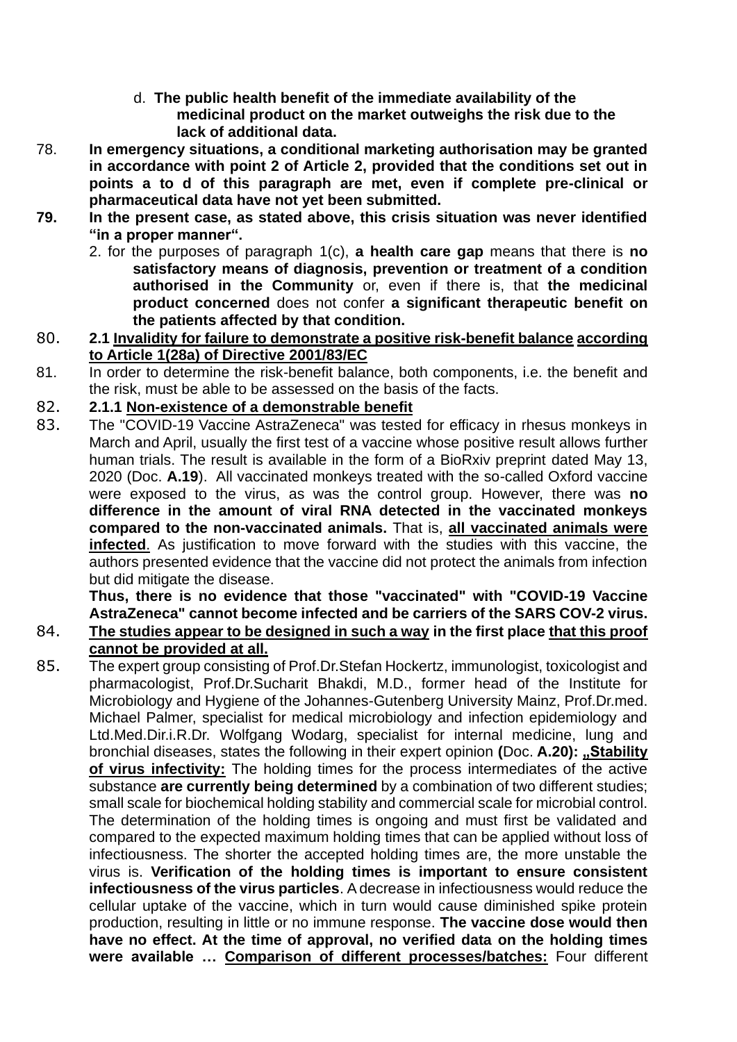- d. **The public health benefit of the immediate availability of the medicinal product on the market outweighs the risk due to the lack of additional data.**
- 78. **In emergency situations, a conditional marketing authorisation may be granted in accordance with point 2 of Article 2, provided that the conditions set out in points a to d of this paragraph are met, even if complete pre-clinical or pharmaceutical data have not yet been submitted.**
- **79. In the present case, as stated above, this crisis situation was never identified "in a proper manner".**
	- 2. for the purposes of paragraph 1(c), **a health care gap** means that there is **no satisfactory means of diagnosis, prevention or treatment of a condition authorised in the Community** or, even if there is, that **the medicinal product concerned** does not confer **a significant therapeutic benefit on the patients affected by that condition.**
- 80. **2.1 Invalidity for failure to demonstrate a positive risk-benefit balance according to Article 1(28a) of Directive 2001/83/EC**
- 81. In order to determine the risk-benefit balance, both components, i.e. the benefit and the risk, must be able to be assessed on the basis of the facts.

### 82. **2.1.1 Non-existence of a demonstrable benefit**

83. The "COVID-19 Vaccine AstraZeneca" was tested for efficacy in rhesus monkeys in March and April, usually the first test of a vaccine whose positive result allows further human trials. The result is available in the form of a BioRxiv preprint dated May 13, 2020 (Doc. **A.19**). All vaccinated monkeys treated with the so-called Oxford vaccine were exposed to the virus, as was the control group. However, there was **no difference in the amount of viral RNA detected in the vaccinated monkeys compared to the non-vaccinated animals.** That is, **all vaccinated animals were infected**. As justification to move forward with the studies with this vaccine, the authors presented evidence that the vaccine did not protect the animals from infection but did mitigate the disease.

**Thus, there is no evidence that those "vaccinated" with "COVID-19 Vaccine AstraZeneca" cannot become infected and be carriers of the SARS COV-2 virus.**

- 84. **The studies appear to be designed in such a way in the first place that this proof cannot be provided at all.**
- 85. The expert group consisting of Prof.Dr.Stefan Hockertz, immunologist, toxicologist and pharmacologist, Prof.Dr.Sucharit Bhakdi, M.D., former head of the Institute for Microbiology and Hygiene of the Johannes-Gutenberg University Mainz, Prof.Dr.med. Michael Palmer, specialist for medical microbiology and infection epidemiology and Ltd.Med.Dir.i.R.Dr. Wolfgang Wodarg, specialist for internal medicine, lung and bronchial diseases, states the following in their expert opinion **(Doc. A.20):** "Stability" **of virus infectivity:** The holding times for the process intermediates of the active substance **are currently being determined** by a combination of two different studies; small scale for biochemical holding stability and commercial scale for microbial control. The determination of the holding times is ongoing and must first be validated and compared to the expected maximum holding times that can be applied without loss of infectiousness. The shorter the accepted holding times are, the more unstable the virus is. **Verification of the holding times is important to ensure consistent infectiousness of the virus particles**. A decrease in infectiousness would reduce the cellular uptake of the vaccine, which in turn would cause diminished spike protein production, resulting in little or no immune response. **The vaccine dose would then have no effect. At the time of approval, no verified data on the holding times were available … Comparison of different processes/batches:** Four different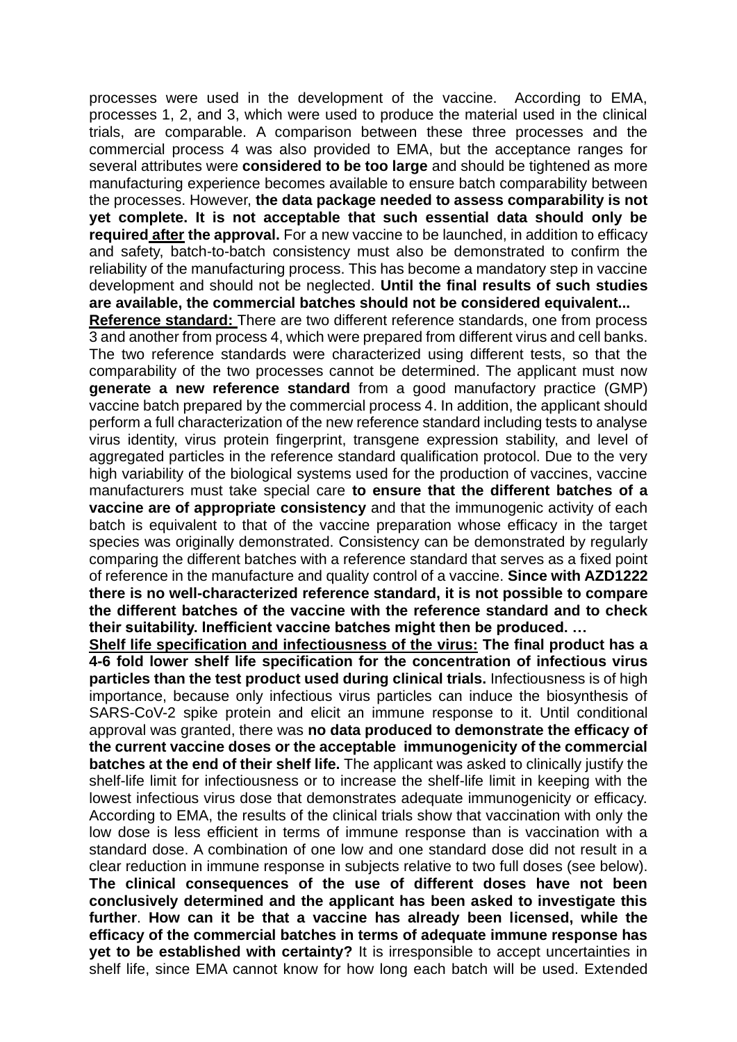processes were used in the development of the vaccine. According to EMA, processes 1, 2, and 3, which were used to produce the material used in the clinical trials, are comparable. A comparison between these three processes and the commercial process 4 was also provided to EMA, but the acceptance ranges for several attributes were **considered to be too large** and should be tightened as more manufacturing experience becomes available to ensure batch comparability between the processes. However, **the data package needed to assess comparability is not yet complete. It is not acceptable that such essential data should only be required after the approval.** For a new vaccine to be launched, in addition to efficacy and safety, batch-to-batch consistency must also be demonstrated to confirm the reliability of the manufacturing process. This has become a mandatory step in vaccine development and should not be neglected. **Until the final results of such studies are available, the commercial batches should not be considered equivalent...**

**Reference standard:** There are two different reference standards, one from process 3 and another from process 4, which were prepared from different virus and cell banks. The two reference standards were characterized using different tests, so that the comparability of the two processes cannot be determined. The applicant must now **generate a new reference standard** from a good manufactory practice (GMP) vaccine batch prepared by the commercial process 4. In addition, the applicant should perform a full characterization of the new reference standard including tests to analyse virus identity, virus protein fingerprint, transgene expression stability, and level of aggregated particles in the reference standard qualification protocol. Due to the very high variability of the biological systems used for the production of vaccines, vaccine manufacturers must take special care **to ensure that the different batches of a vaccine are of appropriate consistency** and that the immunogenic activity of each batch is equivalent to that of the vaccine preparation whose efficacy in the target species was originally demonstrated. Consistency can be demonstrated by regularly comparing the different batches with a reference standard that serves as a fixed point of reference in the manufacture and quality control of a vaccine. **Since with AZD1222 there is no well-characterized reference standard, it is not possible to compare the different batches of the vaccine with the reference standard and to check their suitability. Inefficient vaccine batches might then be produced. …**

**Shelf life specification and infectiousness of the virus: The final product has a 4-6 fold lower shelf life specification for the concentration of infectious virus particles than the test product used during clinical trials.** Infectiousness is of high importance, because only infectious virus particles can induce the biosynthesis of SARS-CoV-2 spike protein and elicit an immune response to it. Until conditional approval was granted, there was **no data produced to demonstrate the efficacy of the current vaccine doses or the acceptable immunogenicity of the commercial batches at the end of their shelf life.** The applicant was asked to clinically justify the shelf-life limit for infectiousness or to increase the shelf-life limit in keeping with the lowest infectious virus dose that demonstrates adequate immunogenicity or efficacy. According to EMA, the results of the clinical trials show that vaccination with only the low dose is less efficient in terms of immune response than is vaccination with a standard dose. A combination of one low and one standard dose did not result in a clear reduction in immune response in subjects relative to two full doses (see below). **The clinical consequences of the use of different doses have not been conclusively determined and the applicant has been asked to investigate this further**. **How can it be that a vaccine has already been licensed, while the efficacy of the commercial batches in terms of adequate immune response has yet to be established with certainty?** It is irresponsible to accept uncertainties in shelf life, since EMA cannot know for how long each batch will be used. Extended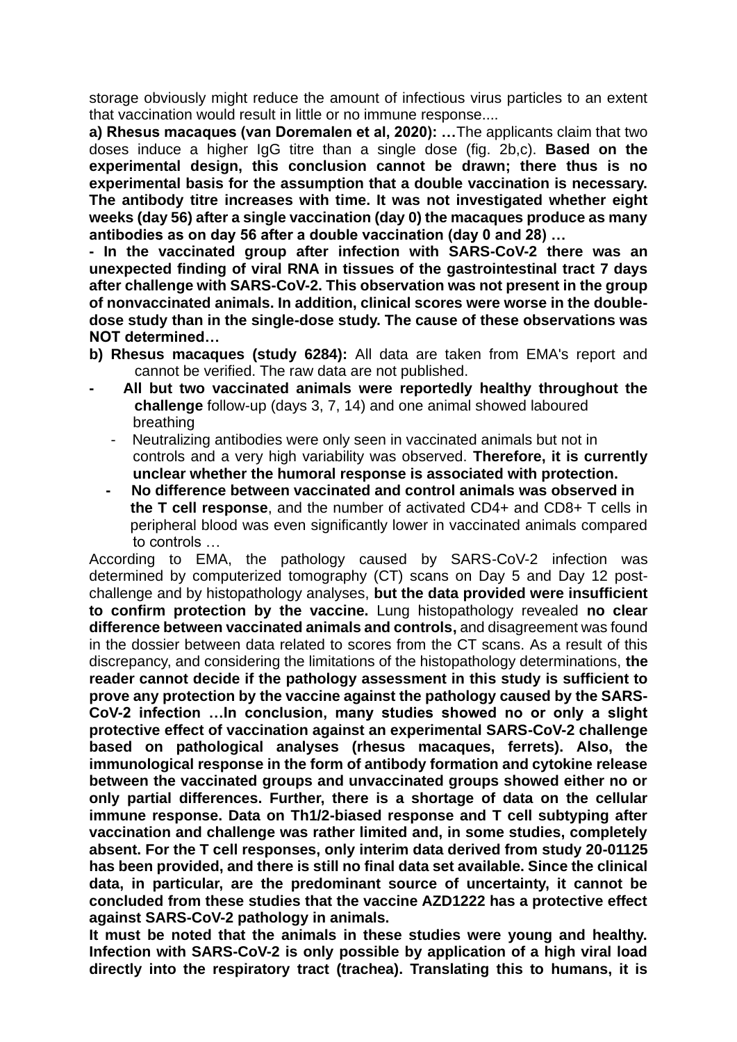storage obviously might reduce the amount of infectious virus particles to an extent that vaccination would result in little or no immune response....

 **a) Rhesus macaques (van Doremalen et al, 2020): …**The applicants claim that two doses induce a higher IgG titre than a single dose (fig. 2b,c). **Based on the experimental design, this conclusion cannot be drawn; there thus is no experimental basis for the assumption that a double vaccination is necessary. The antibody titre increases with time. It was not investigated whether eight weeks (day 56) after a single vaccination (day 0) the macaques produce as many antibodies as on day 56 after a double vaccination (day 0 and 28) …**

**- In the vaccinated group after infection with SARS-CoV-2 there was an unexpected finding of viral RNA in tissues of the gastrointestinal tract 7 days after challenge with SARS-CoV-2. This observation was not present in the group of nonvaccinated animals. In addition, clinical scores were worse in the doubledose study than in the single-dose study. The cause of these observations was NOT determined…**

- **b) Rhesus macaques (study 6284):** All data are taken from EMA's report and cannot be verified. The raw data are not published.
- All but two vaccinated animals were reportedly healthy throughout the  **challenge** follow-up (days 3, 7, 14) and one animal showed laboured breathing
	- Neutralizing antibodies were only seen in vaccinated animals but not in controls and a very high variability was observed. **Therefore, it is currently unclear whether the humoral response is associated with protection.**
	- **No difference between vaccinated and control animals was observed in the T cell response**, and the number of activated CD4+ and CD8+ T cells in peripheral blood was even significantly lower in vaccinated animals compared to controls …

According to EMA, the pathology caused by SARS-CoV-2 infection was determined by computerized tomography (CT) scans on Day 5 and Day 12 postchallenge and by histopathology analyses, **but the data provided were insufficient to confirm protection by the vaccine.** Lung histopathology revealed **no clear difference between vaccinated animals and controls,** and disagreement was found in the dossier between data related to scores from the CT scans. As a result of this discrepancy, and considering the limitations of the histopathology determinations, **the reader cannot decide if the pathology assessment in this study is sufficient to prove any protection by the vaccine against the pathology caused by the SARS-CoV-2 infection …In conclusion, many studies showed no or only a slight protective effect of vaccination against an experimental SARS-CoV-2 challenge based on pathological analyses (rhesus macaques, ferrets). Also, the immunological response in the form of antibody formation and cytokine release between the vaccinated groups and unvaccinated groups showed either no or only partial differences. Further, there is a shortage of data on the cellular immune response. Data on Th1/2-biased response and T cell subtyping after vaccination and challenge was rather limited and, in some studies, completely absent. For the T cell responses, only interim data derived from study 20-01125 has been provided, and there is still no final data set available. Since the clinical data, in particular, are the predominant source of uncertainty, it cannot be concluded from these studies that the vaccine AZD1222 has a protective effect against SARS-CoV-2 pathology in animals.**

**It must be noted that the animals in these studies were young and healthy. Infection with SARS-CoV-2 is only possible by application of a high viral load directly into the respiratory tract (trachea). Translating this to humans, it is**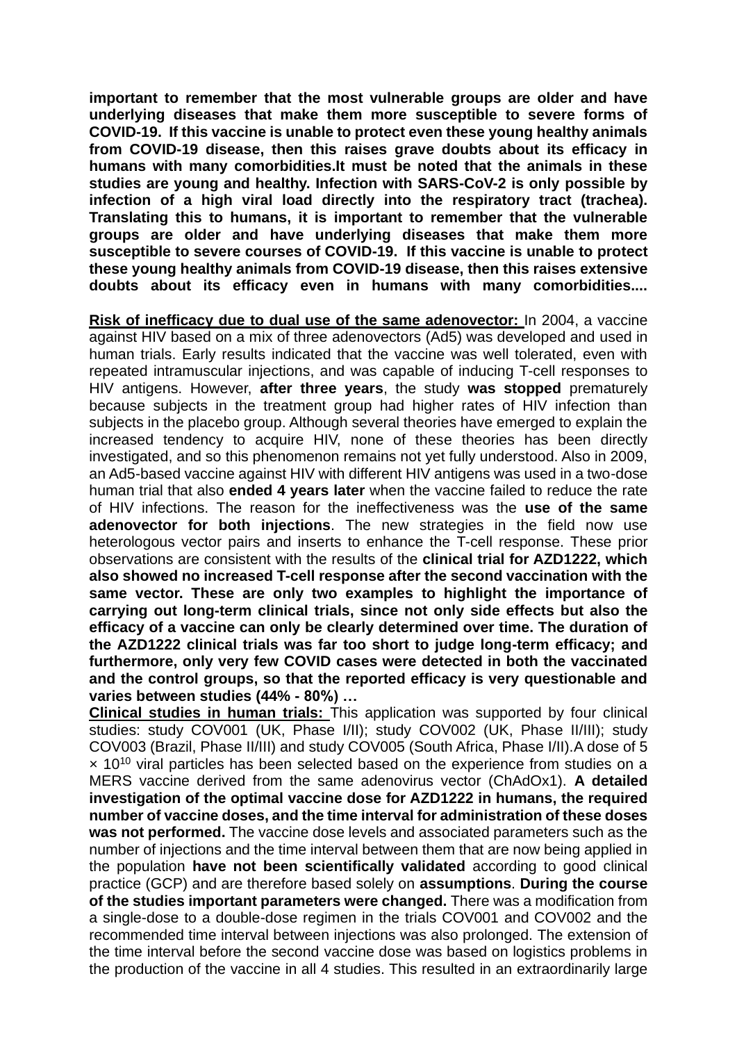**important to remember that the most vulnerable groups are older and have underlying diseases that make them more susceptible to severe forms of COVID-19. If this vaccine is unable to protect even these young healthy animals from COVID-19 disease, then this raises grave doubts about its efficacy in humans with many comorbidities.It must be noted that the animals in these studies are young and healthy. Infection with SARS-CoV-2 is only possible by infection of a high viral load directly into the respiratory tract (trachea). Translating this to humans, it is important to remember that the vulnerable groups are older and have underlying diseases that make them more susceptible to severe courses of COVID-19. If this vaccine is unable to protect these young healthy animals from COVID-19 disease, then this raises extensive doubts about its efficacy even in humans with many comorbidities....**

**Risk of inefficacy due to dual use of the same adenovector:** In 2004, a vaccine against HIV based on a mix of three adenovectors (Ad5) was developed and used in human trials. Early results indicated that the vaccine was well tolerated, even with repeated intramuscular injections, and was capable of inducing T-cell responses to HIV antigens. However, **after three years**, the study **was stopped** prematurely because subjects in the treatment group had higher rates of HIV infection than subjects in the placebo group. Although several theories have emerged to explain the increased tendency to acquire HIV, none of these theories has been directly investigated, and so this phenomenon remains not yet fully understood. Also in 2009, an Ad5-based vaccine against HIV with different HIV antigens was used in a two-dose human trial that also **ended 4 years later** when the vaccine failed to reduce the rate of HIV infections. The reason for the ineffectiveness was the **use of the same adenovector for both injections**. The new strategies in the field now use heterologous vector pairs and inserts to enhance the T-cell response. These prior observations are consistent with the results of the **clinical trial for AZD1222, which also showed no increased T-cell response after the second vaccination with the same vector. These are only two examples to highlight the importance of carrying out long-term clinical trials, since not only side effects but also the efficacy of a vaccine can only be clearly determined over time. The duration of the AZD1222 clinical trials was far too short to judge long-term efficacy; and furthermore, only very few COVID cases were detected in both the vaccinated and the control groups, so that the reported efficacy is very questionable and varies between studies (44% - 80%) …**

**Clinical studies in human trials:** This application was supported by four clinical studies: study COV001 (UK, Phase I/II); study COV002 (UK, Phase II/III); study COV003 (Brazil, Phase II/III) and study COV005 (South Africa, Phase I/II).A dose of 5  $\times$  10<sup>10</sup> viral particles has been selected based on the experience from studies on a MERS vaccine derived from the same adenovirus vector (ChAdOx1). **A detailed investigation of the optimal vaccine dose for AZD1222 in humans, the required number of vaccine doses, and the time interval for administration of these doses was not performed.** The vaccine dose levels and associated parameters such as the number of injections and the time interval between them that are now being applied in the population **have not been scientifically validated** according to good clinical practice (GCP) and are therefore based solely on **assumptions**. **During the course of the studies important parameters were changed.** There was a modification from a single-dose to a double-dose regimen in the trials COV001 and COV002 and the recommended time interval between injections was also prolonged. The extension of the time interval before the second vaccine dose was based on logistics problems in the production of the vaccine in all 4 studies. This resulted in an extraordinarily large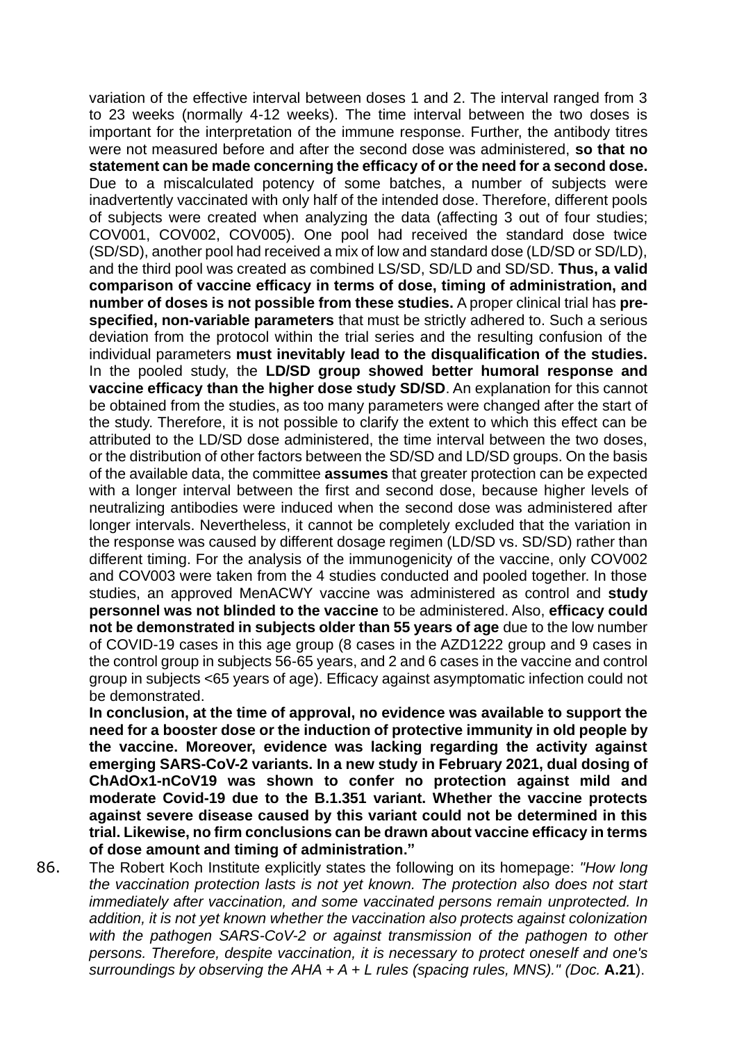variation of the effective interval between doses 1 and 2. The interval ranged from 3 to 23 weeks (normally 4-12 weeks). The time interval between the two doses is important for the interpretation of the immune response. Further, the antibody titres were not measured before and after the second dose was administered, **so that no statement can be made concerning the efficacy of or the need for a second dose.**  Due to a miscalculated potency of some batches, a number of subjects were inadvertently vaccinated with only half of the intended dose. Therefore, different pools of subjects were created when analyzing the data (affecting 3 out of four studies; COV001, COV002, COV005). One pool had received the standard dose twice (SD/SD), another pool had received a mix of low and standard dose (LD/SD or SD/LD), and the third pool was created as combined LS/SD, SD/LD and SD/SD. **Thus, a valid comparison of vaccine efficacy in terms of dose, timing of administration, and number of doses is not possible from these studies.** A proper clinical trial has **prespecified, non-variable parameters** that must be strictly adhered to. Such a serious deviation from the protocol within the trial series and the resulting confusion of the individual parameters **must inevitably lead to the disqualification of the studies.** In the pooled study, the **LD/SD group showed better humoral response and vaccine efficacy than the higher dose study SD/SD**. An explanation for this cannot be obtained from the studies, as too many parameters were changed after the start of the study. Therefore, it is not possible to clarify the extent to which this effect can be attributed to the LD/SD dose administered, the time interval between the two doses, or the distribution of other factors between the SD/SD and LD/SD groups. On the basis of the available data, the committee **assumes** that greater protection can be expected with a longer interval between the first and second dose, because higher levels of neutralizing antibodies were induced when the second dose was administered after longer intervals. Nevertheless, it cannot be completely excluded that the variation in the response was caused by different dosage regimen (LD/SD vs. SD/SD) rather than different timing. For the analysis of the immunogenicity of the vaccine, only COV002 and COV003 were taken from the 4 studies conducted and pooled together. In those studies, an approved MenACWY vaccine was administered as control and **study personnel was not blinded to the vaccine** to be administered. Also, **efficacy could not be demonstrated in subjects older than 55 years of age** due to the low number of COVID-19 cases in this age group (8 cases in the AZD1222 group and 9 cases in the control group in subjects 56-65 years, and 2 and 6 cases in the vaccine and control group in subjects <65 years of age). Efficacy against asymptomatic infection could not be demonstrated.

**In conclusion, at the time of approval, no evidence was available to support the need for a booster dose or the induction of protective immunity in old people by the vaccine. Moreover, evidence was lacking regarding the activity against emerging SARS-CoV-2 variants. In a new study in February 2021, dual dosing of ChAdOx1-nCoV19 was shown to confer no protection against mild and moderate Covid-19 due to the B.1.351 variant. Whether the vaccine protects against severe disease caused by this variant could not be determined in this trial. Likewise, no firm conclusions can be drawn about vaccine efficacy in terms of dose amount and timing of administration."**

86. The Robert Koch Institute explicitly states the following on its homepage: *"How long the vaccination protection lasts is not yet known. The protection also does not start immediately after vaccination, and some vaccinated persons remain unprotected. In addition, it is not yet known whether the vaccination also protects against colonization with the pathogen SARS-CoV-2 or against transmission of the pathogen to other persons. Therefore, despite vaccination, it is necessary to protect oneself and one's surroundings by observing the AHA + A + L rules (spacing rules, MNS)." (Doc.* **A.21**).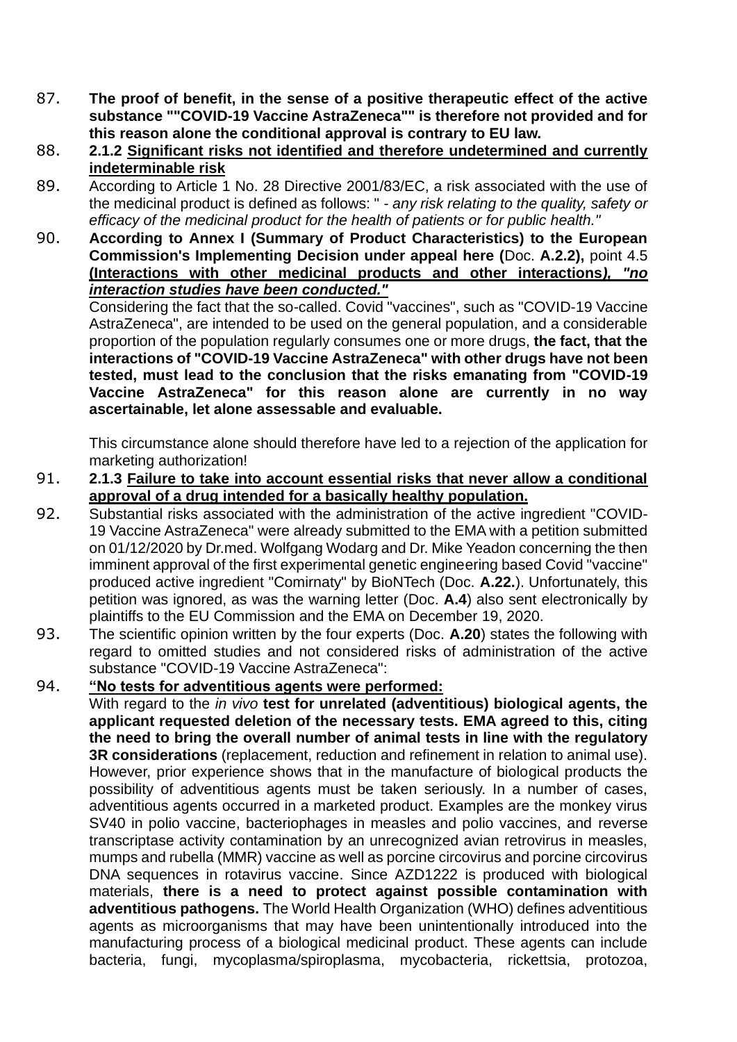- 87. **The proof of benefit, in the sense of a positive therapeutic effect of the active substance ""COVID-19 Vaccine AstraZeneca"" is therefore not provided and for this reason alone the conditional approval is contrary to EU law.**
- 88. **2.1.2 Significant risks not identified and therefore undetermined and currently indeterminable risk**
- 89. According to Article 1 No. 28 Directive 2001/83/EC, a risk associated with the use of the medicinal product is defined as follows: " - *any risk relating to the quality, safety or efficacy of the medicinal product for the health of patients or for public health."*
- 90. **According to Annex I (Summary of Product Characteristics) to the European Commission's Implementing Decision under appeal here (**Doc. **A.2.2),** point 4.5 **(Interactions with other medicinal products and other interactions***), "no interaction studies have been conducted."*

Considering the fact that the so-called. Covid "vaccines", such as "COVID-19 Vaccine AstraZeneca", are intended to be used on the general population, and a considerable proportion of the population regularly consumes one or more drugs, **the fact, that the interactions of "COVID-19 Vaccine AstraZeneca" with other drugs have not been tested, must lead to the conclusion that the risks emanating from "COVID-19 Vaccine AstraZeneca" for this reason alone are currently in no way ascertainable, let alone assessable and evaluable.**

This circumstance alone should therefore have led to a rejection of the application for marketing authorization!

- 91. **2.1.3 Failure to take into account essential risks that never allow a conditional approval of a drug intended for a basically healthy population.**
- 92. Substantial risks associated with the administration of the active ingredient "COVID-19 Vaccine AstraZeneca" were already submitted to the EMA with a petition submitted on 01/12/2020 by Dr.med. Wolfgang Wodarg and Dr. Mike Yeadon concerning the then imminent approval of the first experimental genetic engineering based Covid "vaccine" produced active ingredient "Comirnaty" by BioNTech (Doc. **A.22.**). Unfortunately, this petition was ignored, as was the warning letter (Doc. **A.4**) also sent electronically by plaintiffs to the EU Commission and the EMA on December 19, 2020.
- 93. The scientific opinion written by the four experts (Doc. **A.20**) states the following with regard to omitted studies and not considered risks of administration of the active substance "COVID-19 Vaccine AstraZeneca":
- 94. **"No tests for adventitious agents were performed:**

With regard to the *in vivo* **test for unrelated (adventitious) biological agents, the applicant requested deletion of the necessary tests. EMA agreed to this, citing the need to bring the overall number of animal tests in line with the regulatory 3R considerations** (replacement, reduction and refinement in relation to animal use). However, prior experience shows that in the manufacture of biological products the possibility of adventitious agents must be taken seriously. In a number of cases, adventitious agents occurred in a marketed product. Examples are the monkey virus SV40 in polio vaccine, bacteriophages in measles and polio vaccines, and reverse transcriptase activity contamination by an unrecognized avian retrovirus in measles, mumps and rubella (MMR) vaccine as well as porcine circovirus and porcine circovirus DNA sequences in rotavirus vaccine. Since AZD1222 is produced with biological materials, **there is a need to protect against possible contamination with adventitious pathogens.** The World Health Organization (WHO) defines adventitious agents as microorganisms that may have been unintentionally introduced into the manufacturing process of a biological medicinal product. These agents can include bacteria, fungi, mycoplasma/spiroplasma, mycobacteria, rickettsia, protozoa,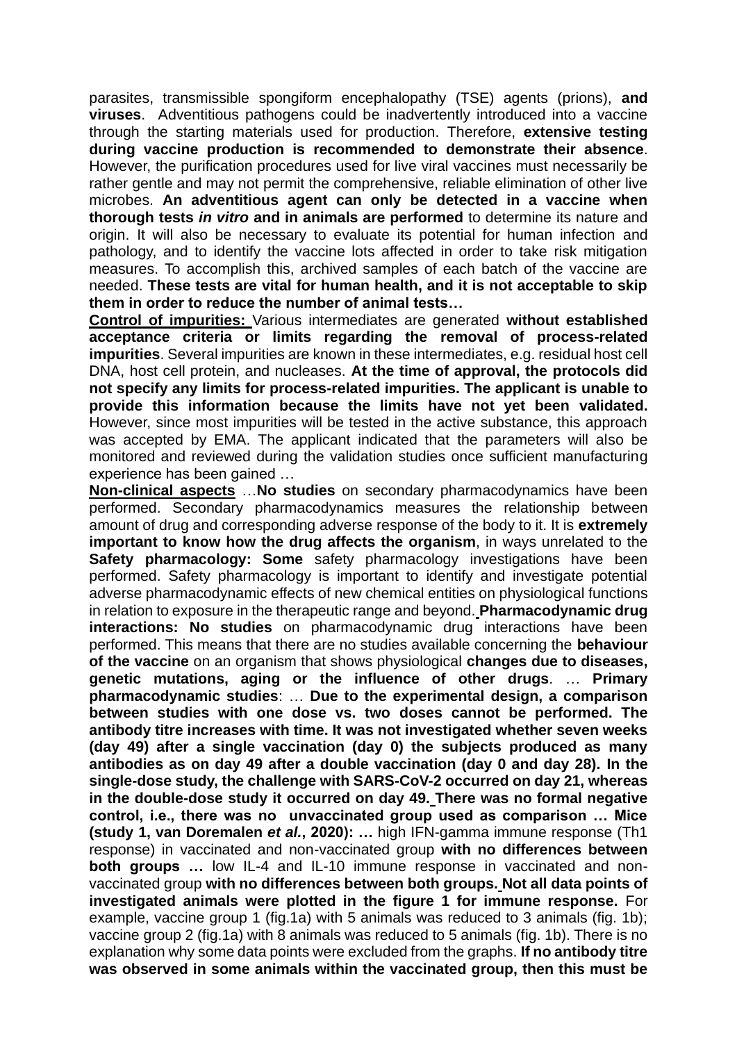parasites, transmissible spongiform encephalopathy (TSE) agents (prions), **and viruses**.Adventitious pathogens could be inadvertently introduced into a vaccine through the starting materials used for production. Therefore, **extensive testing during vaccine production is recommended to demonstrate their absence**. However, the purification procedures used for live viral vaccines must necessarily be rather gentle and may not permit the comprehensive, reliable elimination of other live microbes. **An adventitious agent can only be detected in a vaccine when thorough tests** *in vitro* **and in animals are performed** to determine its nature and origin. It will also be necessary to evaluate its potential for human infection and pathology, and to identify the vaccine lots affected in order to take risk mitigation measures. To accomplish this, archived samples of each batch of the vaccine are needed. **These tests are vital for human health, and it is not acceptable to skip them in order to reduce the number of animal tests…**

**Control of impurities:** Various intermediates are generated **without established acceptance criteria or limits regarding the removal of process-related impurities**. Several impurities are known in these intermediates, e.g. residual host cell DNA, host cell protein, and nucleases. **At the time of approval, the protocols did not specify any limits for process-related impurities. The applicant is unable to provide this information because the limits have not yet been validated.** However, since most impurities will be tested in the active substance, this approach was accepted by EMA. The applicant indicated that the parameters will also be monitored and reviewed during the validation studies once sufficient manufacturing experience has been gained …

**Non-clinical aspects** …**No studies** on secondary pharmacodynamics have been performed. Secondary pharmacodynamics measures the relationship between amount of drug and corresponding adverse response of the body to it. It is **extremely important to know how the drug affects the organism**, in ways unrelated to the **Safety pharmacology: Some** safety pharmacology investigations have been performed. Safety pharmacology is important to identify and investigate potential adverse pharmacodynamic effects of new chemical entities on physiological functions in relation to exposure in the therapeutic range and beyond. **Pharmacodynamic drug interactions: No studies** on pharmacodynamic drug interactions have been performed. This means that there are no studies available concerning the **behaviour of the vaccine** on an organism that shows physiological **changes due to diseases, genetic mutations, aging or the influence of other drugs**. … **Primary pharmacodynamic studies**: … **Due to the experimental design, a comparison between studies with one dose vs. two doses cannot be performed. The antibody titre increases with time. It was not investigated whether seven weeks (day 49) after a single vaccination (day 0) the subjects produced as many antibodies as on day 49 after a double vaccination (day 0 and day 28). In the single-dose study, the challenge with SARS-CoV-2 occurred on day 21, whereas in the double-dose study it occurred on day 49. There was no formal negative control, i.e., there was no unvaccinated group used as comparison … Mice (study 1, van Doremalen** *et al.***, 2020): …** high IFN-gamma immune response (Th1 response) in vaccinated and non-vaccinated group **with no differences between both groups** ... low IL-4 and IL-10 immune response in vaccinated and nonvaccinated group **with no differences between both groups. Not all data points of investigated animals were plotted in the figure 1 for immune response.** For example, vaccine group 1 (fig.1a) with 5 animals was reduced to 3 animals (fig. 1b); vaccine group 2 (fig.1a) with 8 animals was reduced to 5 animals (fig. 1b). There is no explanation why some data points were excluded from the graphs. **If no antibody titre was observed in some animals within the vaccinated group, then this must be**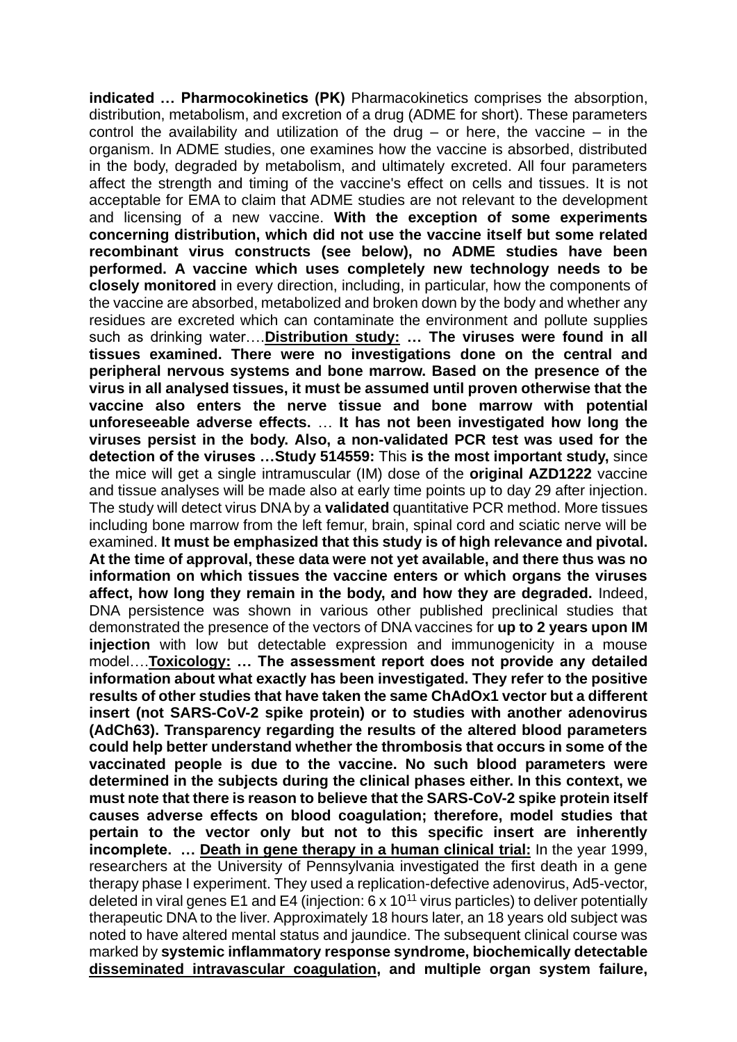**indicated … Pharmocokinetics (PK)** Pharmacokinetics comprises the absorption, distribution, metabolism, and excretion of a drug (ADME for short). These parameters control the availability and utilization of the drug  $-$  or here, the vaccine  $-$  in the organism. In ADME studies, one examines how the vaccine is absorbed, distributed in the body, degraded by metabolism, and ultimately excreted. All four parameters affect the strength and timing of the vaccine's effect on cells and tissues. It is not acceptable for EMA to claim that ADME studies are not relevant to the development and licensing of a new vaccine. **With the exception of some experiments concerning distribution, which did not use the vaccine itself but some related recombinant virus constructs (see below), no ADME studies have been performed. A vaccine which uses completely new technology needs to be closely monitored** in every direction, including, in particular, how the components of the vaccine are absorbed, metabolized and broken down by the body and whether any residues are excreted which can contaminate the environment and pollute supplies such as drinking water….**Distribution study: … The viruses were found in all tissues examined. There were no investigations done on the central and peripheral nervous systems and bone marrow. Based on the presence of the virus in all analysed tissues, it must be assumed until proven otherwise that the vaccine also enters the nerve tissue and bone marrow with potential unforeseeable adverse effects.** … **It has not been investigated how long the viruses persist in the body. Also, a non-validated PCR test was used for the detection of the viruses …Study 514559:** This **is the most important study,** since the mice will get a single intramuscular (IM) dose of the **original AZD1222** vaccine and tissue analyses will be made also at early time points up to day 29 after injection. The study will detect virus DNA by a **validated** quantitative PCR method. More tissues including bone marrow from the left femur, brain, spinal cord and sciatic nerve will be examined. **It must be emphasized that this study is of high relevance and pivotal. At the time of approval, these data were not yet available, and there thus was no information on which tissues the vaccine enters or which organs the viruses affect, how long they remain in the body, and how they are degraded.** Indeed, DNA persistence was shown in various other published preclinical studies that demonstrated the presence of the vectors of DNA vaccines for **up to 2 years upon IM injection** with low but detectable expression and immunogenicity in a mouse model….**Toxicology: … The assessment report does not provide any detailed information about what exactly has been investigated. They refer to the positive results of other studies that have taken the same ChAdOx1 vector but a different insert (not SARS-CoV-2 spike protein) or to studies with another adenovirus (AdCh63). Transparency regarding the results of the altered blood parameters could help better understand whether the thrombosis that occurs in some of the vaccinated people is due to the vaccine. No such blood parameters were determined in the subjects during the clinical phases either. In this context, we must note that there is reason to believe that the SARS-CoV-2 spike protein itself causes adverse effects on blood coagulation; therefore, model studies that pertain to the vector only but not to this specific insert are inherently incomplete. … Death in gene therapy in a human clinical trial:** In the year 1999, researchers at the University of Pennsylvania investigated the first death in a gene therapy phase I experiment. They used a replication-defective adenovirus, Ad5-vector, deleted in viral genes E1 and E4 (injection:  $6 \times 10^{11}$  virus particles) to deliver potentially therapeutic DNA to the liver. Approximately 18 hours later, an 18 years old subject was noted to have altered mental status and jaundice. The subsequent clinical course was marked by **systemic inflammatory response syndrome, biochemically detectable [disseminated intravascular coagulation,](https://www.sciencedirect.com/topics/biochemistry-genetics-and-molecular-biology/disseminated-intravascular-coagulation) and multiple organ system failure,**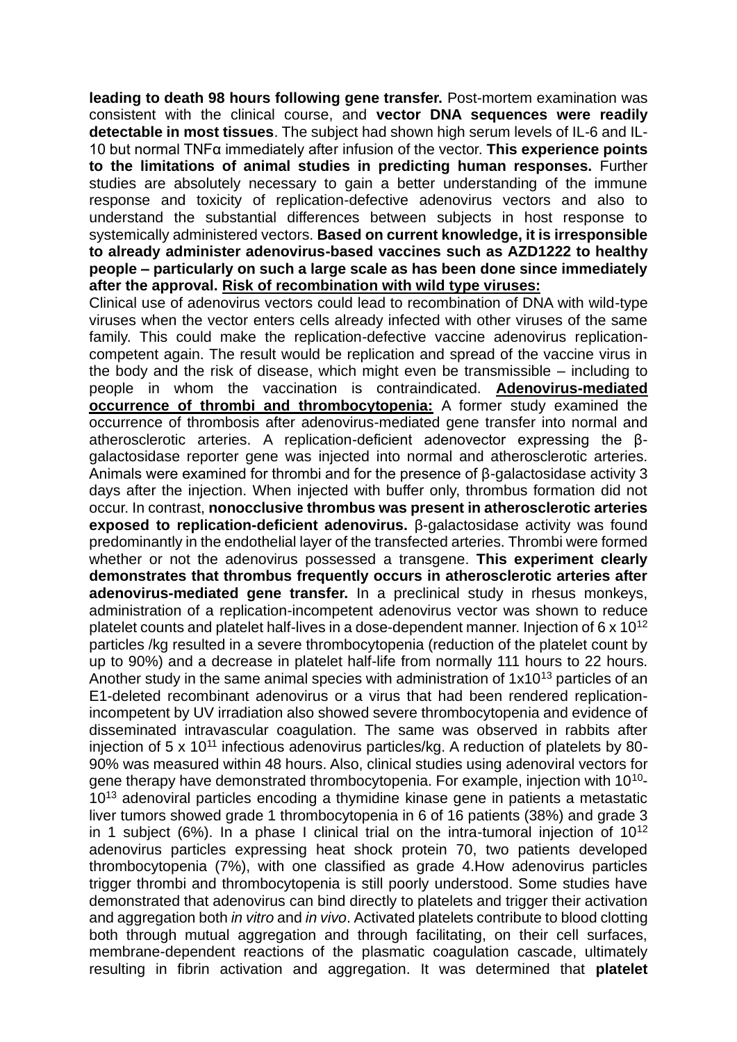**leading to death 98 hours following gene transfer.** Post-mortem examination was consistent with the clinical course, and **vector DNA sequences were readily detectable in most tissues**. The subject had shown high serum levels of IL-6 and IL-10 but normal TNFα immediately after infusion of the vector. **This experience points to the limitations of animal studies in predicting human responses.** Further studies are absolutely necessary to gain a better understanding of the immune response and toxicity of replication-defective adenovirus vectors and also to understand the substantial differences between subjects in host response to systemically administered vectors. **Based on current knowledge, it is irresponsible to already administer adenovirus-based vaccines such as AZD1222 to healthy people – particularly on such a large scale as has been done since immediately after the approval. Risk of recombination with wild type viruses:**

Clinical use of adenovirus vectors could lead to recombination of DNA with wild-type viruses when the vector enters cells already infected with other viruses of the same family. This could make the replication-defective vaccine adenovirus replicationcompetent again. The result would be replication and spread of the vaccine virus in the body and the risk of disease, which might even be transmissible – including to people in whom the vaccination is contraindicated. **Adenovirus-mediated occurrence of thrombi and thrombocytopenia:** A former study examined the occurrence of thrombosis after adenovirus-mediated gene transfer into normal and atherosclerotic arteries. A replication-deficient adenovector expressing the βgalactosidase reporter gene was injected into normal and atherosclerotic arteries. Animals were examined for thrombi and for the presence of β-galactosidase activity 3 days after the injection. When injected with buffer only, thrombus formation did not occur. In contrast, **nonocclusive thrombus was present in atherosclerotic arteries exposed to replication-deficient adenovirus.** β-galactosidase activity was found predominantly in the endothelial layer of the transfected arteries. Thrombi were formed whether or not the adenovirus possessed a transgene. **This experiment clearly demonstrates that thrombus frequently occurs in atherosclerotic arteries after adenovirus-mediated gene transfer.** In a preclinical study in rhesus monkeys, administration of a replication-incompetent adenovirus vector was shown to reduce platelet counts and platelet half-lives in a dose-dependent manner. Injection of 6 x 10<sup>12</sup> particles /kg resulted in a severe thrombocytopenia (reduction of the platelet count by up to 90%) and a decrease in platelet half-life from normally 111 hours to 22 hours. Another study in the same animal species with administration of  $1x10^{13}$  particles of an E1-deleted recombinant adenovirus or a virus that had been rendered replicationincompetent by UV irradiation also showed severe thrombocytopenia and evidence of disseminated intravascular coagulation. The same was observed in rabbits after injection of 5 x 10<sup>11</sup> infectious adenovirus particles/kg. A reduction of platelets by 80-90% was measured within 48 hours. Also, clinical studies using adenoviral vectors for gene therapy have demonstrated thrombocytopenia. For example, injection with 10<sup>10</sup>-10<sup>13</sup> adenoviral particles encoding a thymidine kinase gene in patients a metastatic liver tumors showed grade 1 thrombocytopenia in 6 of 16 patients (38%) and grade 3 in 1 subject (6%). In a phase I clinical trial on the intra-tumoral injection of  $10^{12}$ adenovirus particles expressing heat shock protein 70, two patients developed thrombocytopenia (7%), with one classified as grade 4.How adenovirus particles trigger thrombi and thrombocytopenia is still poorly understood. Some studies have demonstrated that adenovirus can bind directly to platelets and trigger their activation and aggregation both *in vitro* and *in vivo*. Activated platelets contribute to blood clotting both through mutual aggregation and through facilitating, on their cell surfaces, membrane-dependent reactions of the plasmatic coagulation cascade, ultimately resulting in fibrin activation and aggregation. It was determined that **platelet**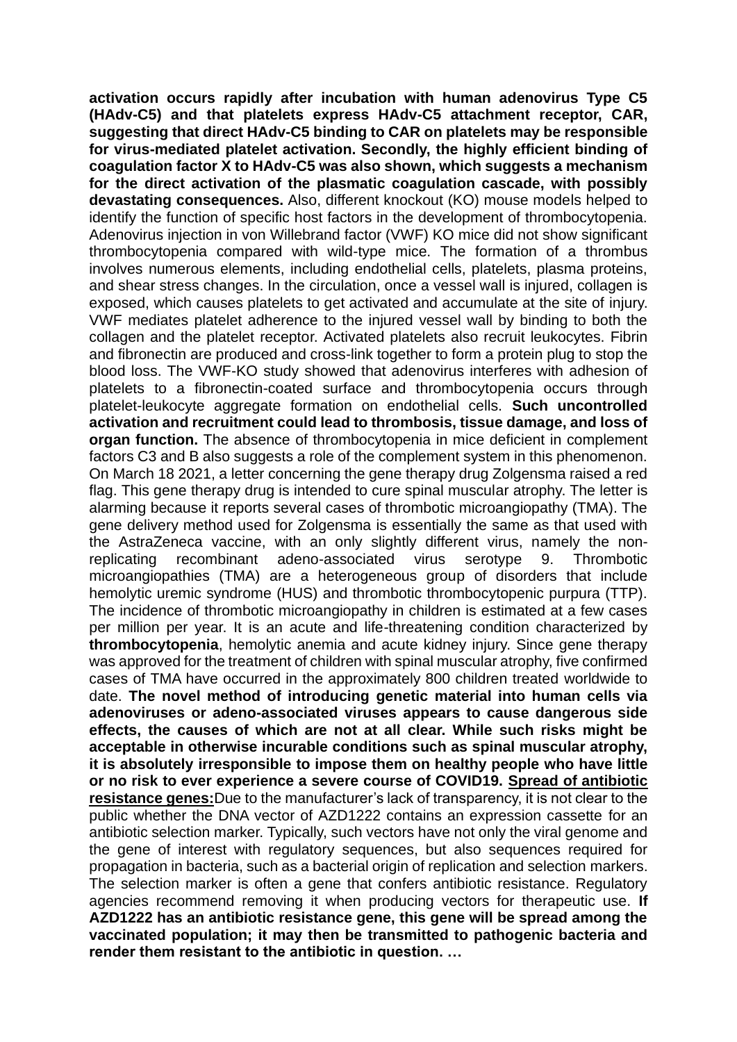**activation occurs rapidly after incubation with human adenovirus Type C5 (HAdv-C5) and that platelets express HAdv-C5 attachment receptor, CAR, suggesting that direct HAdv-C5 binding to CAR on platelets may be responsible for virus-mediated platelet activation. Secondly, the highly efficient binding of coagulation factor X to HAdv-C5 was also shown, which suggests a mechanism for the direct activation of the plasmatic coagulation cascade, with possibly devastating consequences.** Also, different knockout (KO) mouse models helped to identify the function of specific host factors in the development of thrombocytopenia. Adenovirus injection in von Willebrand factor (VWF) KO mice did not show significant thrombocytopenia compared with wild-type mice. The formation of a thrombus involves numerous elements, including endothelial cells, platelets, plasma proteins, and shear stress changes. In the circulation, once a vessel wall is injured, collagen is exposed, which causes platelets to get activated and accumulate at the site of injury. VWF mediates platelet adherence to the injured vessel wall by binding to both the collagen and the platelet receptor. Activated platelets also recruit leukocytes. Fibrin and fibronectin are produced and cross-link together to form a protein plug to stop the blood loss. The VWF-KO study showed that adenovirus interferes with adhesion of platelets to a fibronectin-coated surface and thrombocytopenia occurs through platelet-leukocyte aggregate formation on endothelial cells. **Such uncontrolled activation and recruitment could lead to thrombosis, tissue damage, and loss of organ function.** The absence of thrombocytopenia in mice deficient in complement factors C3 and B also suggests a role of the complement system in this phenomenon. On March 18 2021, a letter concerning the gene therapy drug Zolgensma raised a red flag. This gene therapy drug is intended to cure spinal muscular atrophy. The letter is alarming because it reports several cases of thrombotic microangiopathy (TMA). The gene delivery method used for Zolgensma is essentially the same as that used with the AstraZeneca vaccine, with an only slightly different virus, namely the nonreplicating recombinant adeno-associated virus serotype 9. Thrombotic microangiopathies (TMA) are a heterogeneous group of disorders that include hemolytic uremic syndrome (HUS) and thrombotic thrombocytopenic purpura (TTP). The incidence of thrombotic microangiopathy in children is estimated at a few cases per million per year. It is an acute and life-threatening condition characterized by **thrombocytopenia**, hemolytic anemia and acute kidney injury. Since gene therapy was approved for the treatment of children with spinal muscular atrophy, five confirmed cases of TMA have occurred in the approximately 800 children treated worldwide to date. **The novel method of introducing genetic material into human cells via adenoviruses or adeno-associated viruses appears to cause dangerous side effects, the causes of which are not at all clear. While such risks might be acceptable in otherwise incurable conditions such as spinal muscular atrophy, it is absolutely irresponsible to impose them on healthy people who have little or no risk to ever experience a severe course of COVID19. Spread of antibiotic resistance genes:**Due to the manufacturer's lack of transparency, it is not clear to the public whether the DNA vector of AZD1222 contains an expression cassette for an antibiotic selection marker. Typically, such vectors have not only the viral genome and the gene of interest with regulatory sequences, but also sequences required for propagation in bacteria, such as a bacterial origin of replication and selection markers. The selection marker is often a gene that confers antibiotic resistance. Regulatory agencies recommend removing it when producing vectors for therapeutic use. **If AZD1222 has an antibiotic resistance gene, this gene will be spread among the vaccinated population; it may then be transmitted to pathogenic bacteria and render them resistant to the antibiotic in question. …**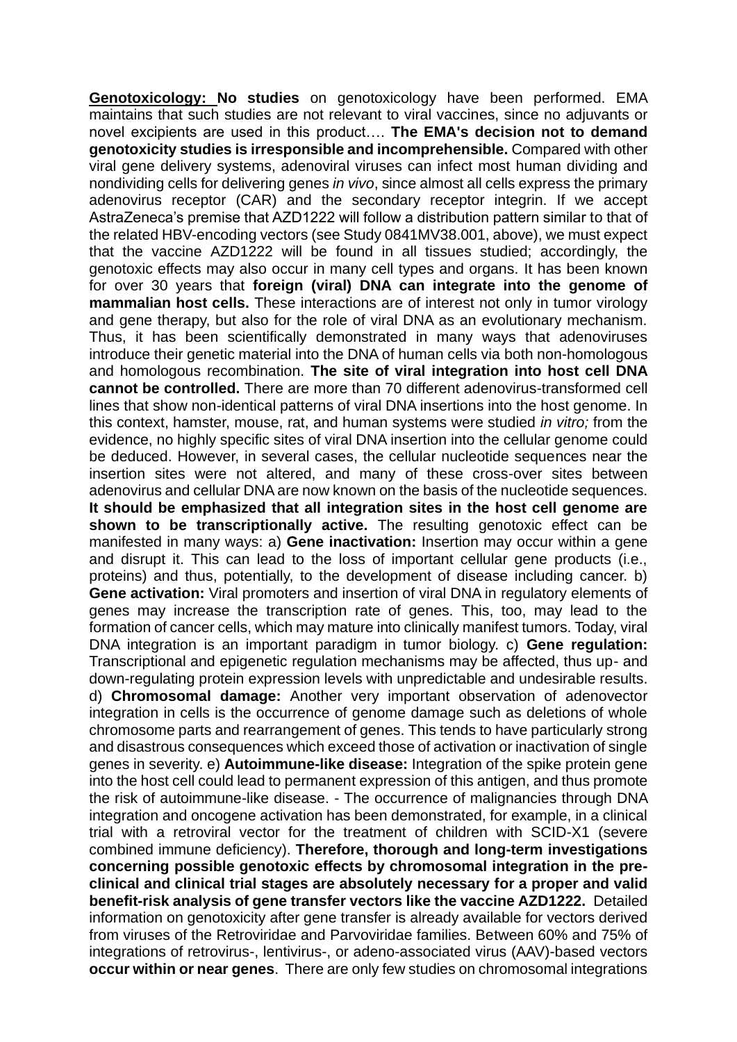**Genotoxicology: No studies** on genotoxicology have been performed. EMA maintains that such studies are not relevant to viral vaccines, since no adjuvants or novel excipients are used in this product…. **The EMA's decision not to demand genotoxicity studies is irresponsible and incomprehensible.** Compared with other viral gene delivery systems, adenoviral viruses can infect most human dividing and nondividing cells for delivering genes *in vivo*, since almost all cells express the primary adenovirus receptor (CAR) and the secondary receptor integrin. If we accept AstraZeneca's premise that AZD1222 will follow a distribution pattern similar to that of the related HBV-encoding vectors (see Study 0841MV38.001, above), we must expect that the vaccine AZD1222 will be found in all tissues studied; accordingly, the genotoxic effects may also occur in many cell types and organs. It has been known for over 30 years that **foreign (viral) DNA can integrate into the genome of mammalian host cells.** These interactions are of interest not only in tumor virology and gene therapy, but also for the role of viral DNA as an evolutionary mechanism. Thus, it has been scientifically demonstrated in many ways that adenoviruses introduce their genetic material into the DNA of human cells via both non-homologous and homologous recombination. **The site of viral integration into host cell DNA cannot be controlled.** There are more than 70 different adenovirus-transformed cell lines that show non-identical patterns of viral DNA insertions into the host genome. In this context, hamster, mouse, rat, and human systems were studied *in vitro;* from the evidence, no highly specific sites of viral DNA insertion into the cellular genome could be deduced. However, in several cases, the cellular nucleotide sequences near the insertion sites were not altered, and many of these cross-over sites between adenovirus and cellular DNA are now known on the basis of the nucleotide sequences. **It should be emphasized that all integration sites in the host cell genome are shown to be transcriptionally active.** The resulting genotoxic effect can be manifested in many ways: a) **Gene inactivation:** Insertion may occur within a gene and disrupt it. This can lead to the loss of important cellular gene products (i.e., proteins) and thus, potentially, to the development of disease including cancer. b) **Gene activation:** Viral promoters and insertion of viral DNA in regulatory elements of genes may increase the transcription rate of genes. This, too, may lead to the formation of cancer cells, which may mature into clinically manifest tumors. Today, viral DNA integration is an important paradigm in tumor biology. c) **Gene regulation:**  Transcriptional and epigenetic regulation mechanisms may be affected, thus up- and down-regulating protein expression levels with unpredictable and undesirable results. d) **Chromosomal damage:** Another very important observation of adenovector integration in cells is the occurrence of genome damage such as deletions of whole chromosome parts and rearrangement of genes. This tends to have particularly strong and disastrous consequences which exceed those of activation or inactivation of single genes in severity. e) **Autoimmune-like disease:** Integration of the spike protein gene into the host cell could lead to permanent expression of this antigen, and thus promote the risk of autoimmune-like disease. - The occurrence of malignancies through DNA integration and oncogene activation has been demonstrated, for example, in a clinical trial with a retroviral vector for the treatment of children with SCID-X1 (severe combined immune deficiency). **Therefore, thorough and long-term investigations concerning possible genotoxic effects by chromosomal integration in the preclinical and clinical trial stages are absolutely necessary for a proper and valid benefit-risk analysis of gene transfer vectors like the vaccine AZD1222.** Detailed information on genotoxicity after gene transfer is already available for vectors derived from viruses of the Retroviridae and Parvoviridae families. Between 60% and 75% of integrations of retrovirus-, lentivirus-, or adeno-associated virus (AAV)-based vectors **occur within or near genes**. There are only few studies on chromosomal integrations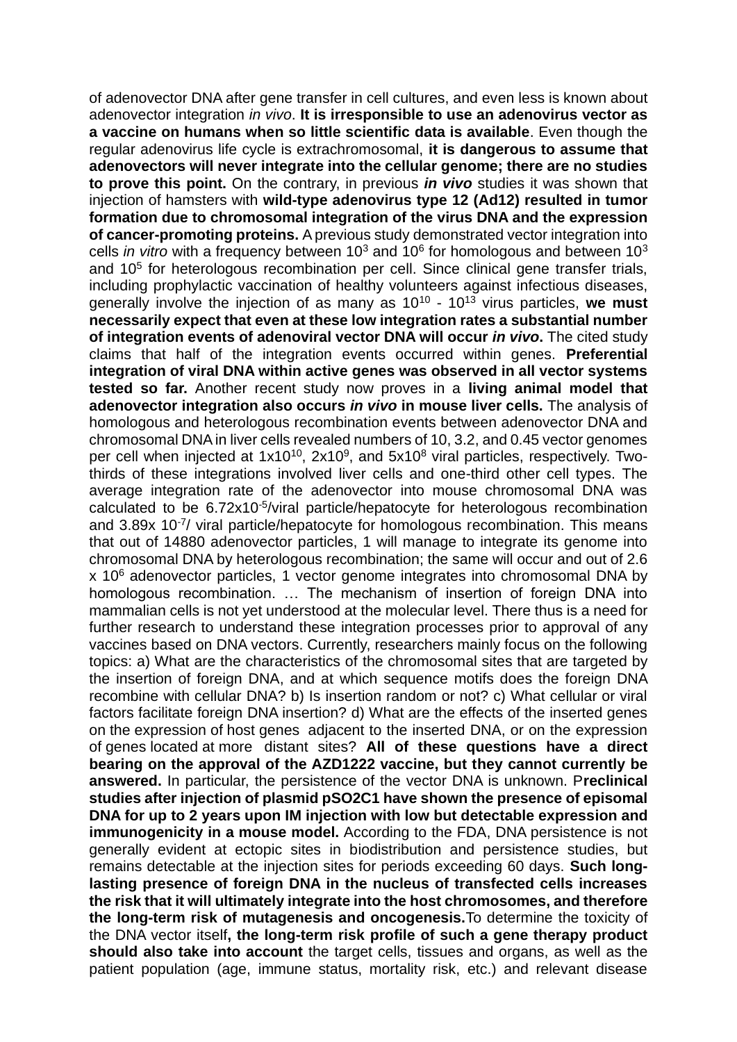of adenovector DNA after gene transfer in cell cultures, and even less is known about adenovector integration *in vivo*. **It is irresponsible to use an adenovirus vector as a vaccine on humans when so little scientific data is available**. Even though the regular adenovirus life cycle is extrachromosomal, **it is dangerous to assume that adenovectors will never integrate into the cellular genome; there are no studies to prove this point.** On the contrary, in previous *in vivo* studies it was shown that injection of hamsters with **wild-type adenovirus type 12 (Ad12) resulted in tumor formation due to chromosomal integration of the virus DNA and the expression of cancer-promoting proteins.** A previous study demonstrated vector integration into cells *in vitro* with a frequency between  $10<sup>3</sup>$  and  $10<sup>6</sup>$  for homologous and between  $10<sup>3</sup>$ and 10<sup>5</sup> for heterologous recombination per cell. Since clinical gene transfer trials, including prophylactic vaccination of healthy volunteers against infectious diseases, generally involve the injection of as many as 10<sup>10</sup> - 10<sup>13</sup> virus particles, **we must necessarily expect that even at these low integration rates a substantial number of integration events of adenoviral vector DNA will occur** *in vivo***.** The cited study claims that half of the integration events occurred within genes. **Preferential integration of viral DNA within active genes was observed in all vector systems tested so far.** Another recent study now proves in a **living animal model that adenovector integration also occurs** *in vivo* **in mouse liver cells.** The analysis of homologous and heterologous recombination events between adenovector DNA and chromosomal DNA in liver cells revealed numbers of 10, 3.2, and 0.45 vector genomes per cell when injected at 1x10<sup>10</sup>, 2x10<sup>9</sup>, and 5x10<sup>8</sup> viral particles, respectively. Twothirds of these integrations involved liver cells and one-third other cell types. The average integration rate of the adenovector into mouse chromosomal DNA was calculated to be 6.72x10<sup>-5</sup>/viral particle/hepatocyte for heterologous recombination and 3.89x 10<sup>-7</sup>/ viral particle/hepatocyte for homologous recombination. This means that out of 14880 adenovector particles, 1 will manage to integrate its genome into chromosomal DNA by heterologous recombination; the same will occur and out of 2.6 x 10<sup>6</sup> adenovector particles, 1 vector genome integrates into chromosomal DNA by homologous recombination. … The mechanism of insertion of foreign DNA into mammalian cells is not yet understood at the molecular level. There thus is a need for further research to understand these integration processes prior to approval of any vaccines based on DNA vectors. Currently, researchers mainly focus on the following topics: a) What are the characteristics of the chromosomal sites that are targeted by the insertion of foreign DNA, and at which sequence motifs does the foreign DNA recombine with cellular DNA? b) Is insertion random or not? c) What cellular or viral factors facilitate foreign DNA insertion? d) What are the effects of the inserted genes on the expression of host genes adjacent to the inserted DNA, or on the expression of genes located at more distant sites? **All of these questions have a direct bearing on the approval of the AZD1222 vaccine, but they cannot currently be answered.** In particular, the persistence of the vector DNA is unknown. P**reclinical studies after injection of plasmid pSO2C1 have shown the presence of episomal DNA for up to 2 years upon IM injection with low but detectable expression and immunogenicity in a mouse model.** According to the FDA, DNA persistence is not generally evident at ectopic sites in biodistribution and persistence studies, but remains detectable at the injection sites for periods exceeding 60 days. **Such longlasting presence of foreign DNA in the nucleus of transfected cells increases the risk that it will ultimately integrate into the host chromosomes, and therefore the long-term risk of mutagenesis and oncogenesis.**To determine the toxicity of the DNA vector itself**, the long-term risk profile of such a gene therapy product should also take into account** the target cells, tissues and organs, as well as the patient population (age, immune status, mortality risk, etc.) and relevant disease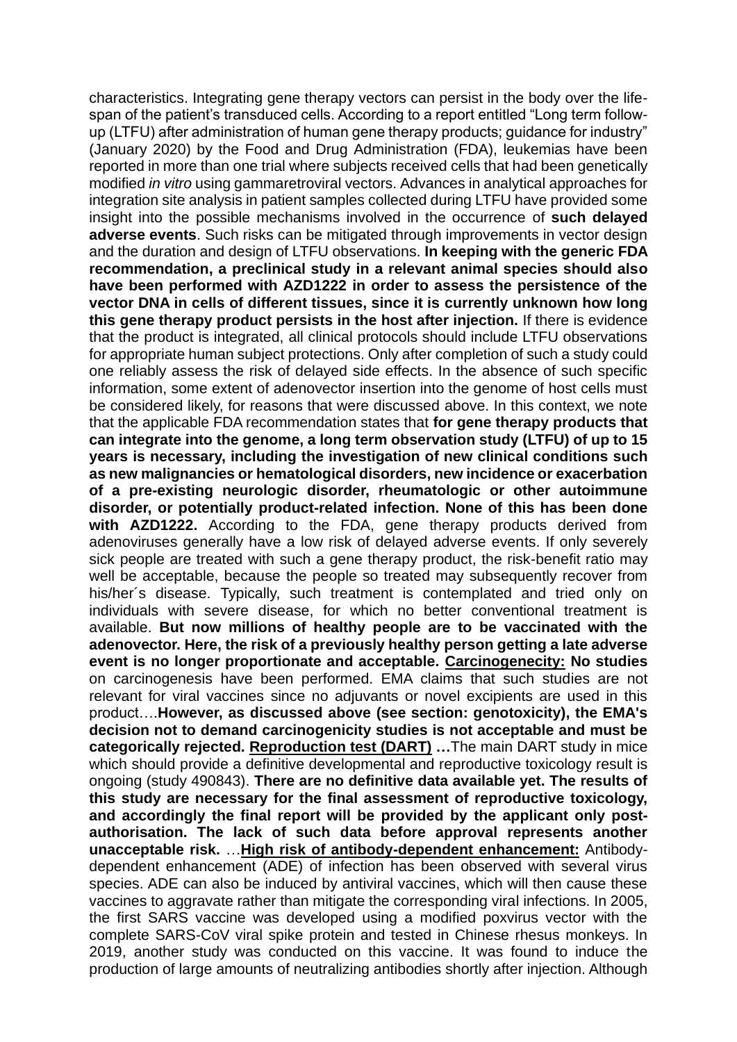characteristics. Integrating gene therapy vectors can persist in the body over the lifespan of the patient's transduced cells. According to a report entitled "Long term followup (LTFU) after administration of human gene therapy products; guidance for industry" (January 2020) by the Food and Drug Administration (FDA), leukemias have been reported in more than one trial where subjects received cells that had been genetically modified *in vitro* using gammaretroviral vectors. Advances in analytical approaches for integration site analysis in patient samples collected during LTFU have provided some insight into the possible mechanisms involved in the occurrence of **such delayed adverse events**. Such risks can be mitigated through improvements in vector design and the duration and design of LTFU observations. **In keeping with the generic FDA recommendation, a preclinical study in a relevant animal species should also have been performed with AZD1222 in order to assess the persistence of the vector DNA in cells of different tissues, since it is currently unknown how long this gene therapy product persists in the host after injection.** If there is evidence that the product is integrated, all clinical protocols should include LTFU observations for appropriate human subject protections. Only after completion of such a study could one reliably assess the risk of delayed side effects. In the absence of such specific information, some extent of adenovector insertion into the genome of host cells must be considered likely, for reasons that were discussed above. In this context, we note that the applicable FDA recommendation states that **for gene therapy products that can integrate into the genome, a long term observation study (LTFU) of up to 15 years is necessary, including the investigation of new clinical conditions such as new malignancies or hematological disorders, new incidence or exacerbation of a pre-existing neurologic disorder, rheumatologic or other autoimmune disorder, or potentially product-related infection. None of this has been done with AZD1222.** According to the FDA, gene therapy products derived from adenoviruses generally have a low risk of delayed adverse events. If only severely sick people are treated with such a gene therapy product, the risk-benefit ratio may well be acceptable, because the people so treated may subsequently recover from his/her´s disease. Typically, such treatment is contemplated and tried only on individuals with severe disease, for which no better conventional treatment is available. **But now millions of healthy people are to be vaccinated with the adenovector. Here, the risk of a previously healthy person getting a late adverse event is no longer proportionate and acceptable. Carcinogenecity: No studies** on carcinogenesis have been performed. EMA claims that such studies are not relevant for viral vaccines since no adjuvants or novel excipients are used in this product….**However, as discussed above (see section: genotoxicity), the EMA's decision not to demand carcinogenicity studies is not acceptable and must be categorically rejected. Reproduction test (DART) …**The main DART study in mice which should provide a definitive developmental and reproductive toxicology result is ongoing (study 490843). **There are no definitive data available yet. The results of this study are necessary for the final assessment of reproductive toxicology, and accordingly the final report will be provided by the applicant only postauthorisation. The lack of such data before approval represents another unacceptable risk.** …**High risk of antibody-dependent enhancement:** Antibodydependent enhancement (ADE) of infection has been observed with several virus species. ADE can also be induced by antiviral vaccines, which will then cause these vaccines to aggravate rather than mitigate the corresponding viral infections. In 2005, the first SARS vaccine was developed using a modified poxvirus vector with the complete SARS-CoV viral spike protein and tested in Chinese rhesus monkeys. In 2019, another study was conducted on this vaccine. It was found to induce the production of large amounts of neutralizing antibodies shortly after injection. Although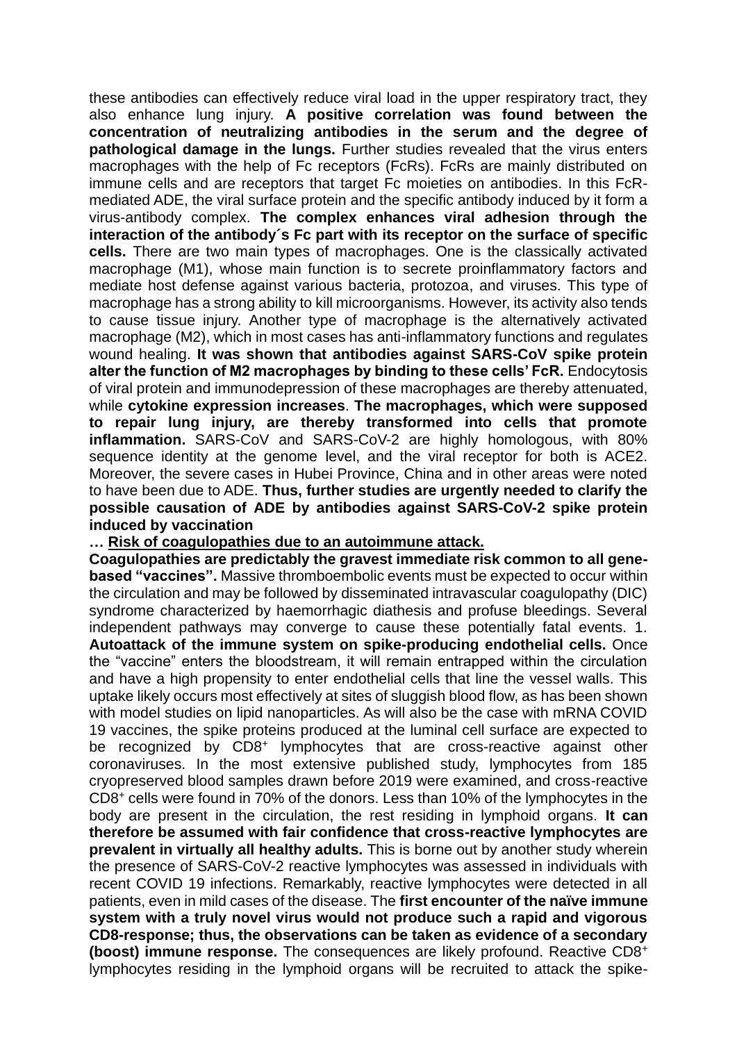these antibodies can effectively reduce viral load in the upper respiratory tract, they also enhance lung injury. **A positive correlation was found between the concentration of neutralizing antibodies in the serum and the degree of pathological damage in the lungs.** Further studies revealed that the virus enters macrophages with the help of Fc receptors (FcRs). FcRs are mainly distributed on immune cells and are receptors that target Fc moieties on antibodies. In this FcRmediated ADE, the viral surface protein and the specific antibody induced by it form a virus-antibody complex. **The complex enhances viral adhesion through the interaction of the antibody´s Fc part with its receptor on the surface of specific cells.** There are two main types of macrophages. One is the classically activated macrophage (M1), whose main function is to secrete proinflammatory factors and mediate host defense against various bacteria, protozoa, and viruses. This type of macrophage has a strong ability to kill microorganisms. However, its activity also tends to cause tissue injury. Another type of macrophage is the alternatively activated macrophage (M2), which in most cases has anti-inflammatory functions and regulates wound healing. **It was shown that antibodies against SARS-CoV spike protein alter the function of M2 macrophages by binding to these cells' FcR.** Endocytosis of viral protein and immunodepression of these macrophages are thereby attenuated, while **cytokine expression increases**. **The macrophages, which were supposed to repair lung injury, are thereby transformed into cells that promote inflammation.** SARS-CoV and SARS-CoV-2 are highly homologous, with 80% sequence identity at the genome level, and the viral receptor for both is ACE2. Moreover, the severe cases in Hubei Province, China and in other areas were noted to have been due to ADE. **Thus, further studies are urgently needed to clarify the possible causation of ADE by antibodies against SARS-CoV-2 spike protein induced by vaccination**

#### **… Risk of coagulopathies due to an autoimmune attack.**

**Coagulopathies are predictably the gravest immediate risk common to all genebased "vaccines".** Massive thromboembolic events must be expected to occur within the circulation and may be followed by disseminated intravascular coagulopathy (DIC) syndrome characterized by haemorrhagic diathesis and profuse bleedings. Several independent pathways may converge to cause these potentially fatal events. 1. **Autoattack of the immune system on spike-producing endothelial cells.** Once the "vaccine" enters the bloodstream, it will remain entrapped within the circulation and have a high propensity to enter endothelial cells that line the vessel walls. This uptake likely occurs most effectively at sites of sluggish blood flow, as has been shown with model studies on lipid nanoparticles. As will also be the case with mRNA COVID 19 vaccines, the spike proteins produced at the luminal cell surface are expected to be recognized by CD8<sup>+</sup> lymphocytes that are cross-reactive against other coronaviruses. In the most extensive published study, lymphocytes from 185 cryopreserved blood samples drawn before 2019 were examined, and cross-reactive CD8<sup>+</sup> cells were found in 70% of the donors. Less than 10% of the lymphocytes in the body are present in the circulation, the rest residing in lymphoid organs. **It can therefore be assumed with fair confidence that cross-reactive lymphocytes are prevalent in virtually all healthy adults.** This is borne out by another study wherein the presence of SARS-CoV-2 reactive lymphocytes was assessed in individuals with recent COVID 19 infections. Remarkably, reactive lymphocytes were detected in all patients, even in mild cases of the disease. The **first encounter of the naïve immune system with a truly novel virus would not produce such a rapid and vigorous CD8-response; thus, the observations can be taken as evidence of a secondary (boost) immune response.** The consequences are likely profound. Reactive CD8<sup>+</sup> lymphocytes residing in the lymphoid organs will be recruited to attack the spike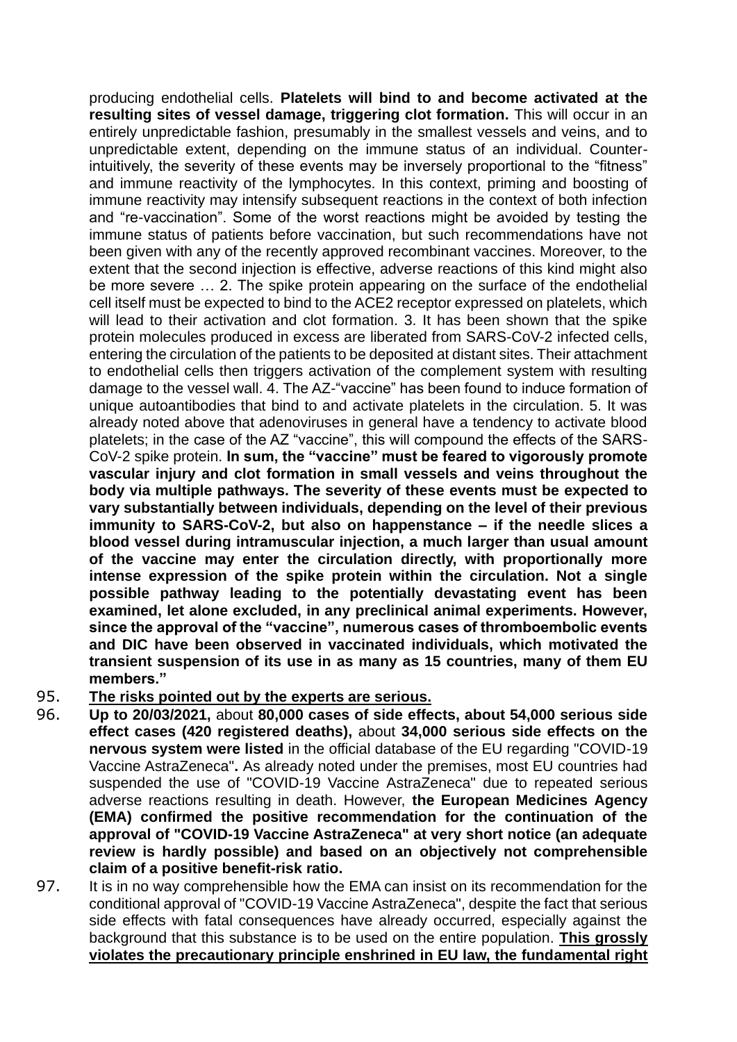producing endothelial cells. **Platelets will bind to and become activated at the resulting sites of vessel damage, triggering clot formation.** This will occur in an entirely unpredictable fashion, presumably in the smallest vessels and veins, and to unpredictable extent, depending on the immune status of an individual. Counterintuitively, the severity of these events may be inversely proportional to the "fitness" and immune reactivity of the lymphocytes. In this context, priming and boosting of immune reactivity may intensify subsequent reactions in the context of both infection and "re-vaccination". Some of the worst reactions might be avoided by testing the immune status of patients before vaccination, but such recommendations have not been given with any of the recently approved recombinant vaccines. Moreover, to the extent that the second injection is effective, adverse reactions of this kind might also be more severe … 2. The spike protein appearing on the surface of the endothelial cell itself must be expected to bind to the ACE2 receptor expressed on platelets, which will lead to their activation and clot formation. 3. It has been shown that the spike protein molecules produced in excess are liberated from SARS-CoV-2 infected cells, entering the circulation of the patients to be deposited at distant sites. Their attachment to endothelial cells then triggers activation of the complement system with resulting damage to the vessel wall. 4. The AZ-"vaccine" has been found to induce formation of unique autoantibodies that bind to and activate platelets in the circulation. 5. It was already noted above that adenoviruses in general have a tendency to activate blood platelets; in the case of the AZ "vaccine", this will compound the effects of the SARS-CoV-2 spike protein. **In sum, the "vaccine" must be feared to vigorously promote vascular injury and clot formation in small vessels and veins throughout the body via multiple pathways. The severity of these events must be expected to vary substantially between individuals, depending on the level of their previous immunity to SARS-CoV-2, but also on happenstance – if the needle slices a blood vessel during intramuscular injection, a much larger than usual amount of the vaccine may enter the circulation directly, with proportionally more intense expression of the spike protein within the circulation. Not a single possible pathway leading to the potentially devastating event has been examined, let alone excluded, in any preclinical animal experiments. However, since the approval of the "vaccine", numerous cases of thromboembolic events and DIC have been observed in vaccinated individuals, which motivated the transient suspension of its use in as many as 15 countries, many of them EU members."**

### 95. **The risks pointed out by the experts are serious.**

- 96. **Up to 20/03/2021,** about **80,000 cases of side effects, about 54,000 serious side effect cases (420 registered deaths),** about **34,000 serious side effects on the nervous system were listed** in the official database of the EU regarding "COVID-19 Vaccine AstraZeneca"**.** As already noted under the premises, most EU countries had suspended the use of "COVID-19 Vaccine AstraZeneca" due to repeated serious adverse reactions resulting in death. However, **the European Medicines Agency (EMA) confirmed the positive recommendation for the continuation of the approval of "COVID-19 Vaccine AstraZeneca" at very short notice (an adequate review is hardly possible) and based on an objectively not comprehensible claim of a positive benefit-risk ratio.**
- 97. It is in no way comprehensible how the EMA can insist on its recommendation for the conditional approval of "COVID-19 Vaccine AstraZeneca", despite the fact that serious side effects with fatal consequences have already occurred, especially against the background that this substance is to be used on the entire population. **This grossly violates the precautionary principle enshrined in EU law, the fundamental right**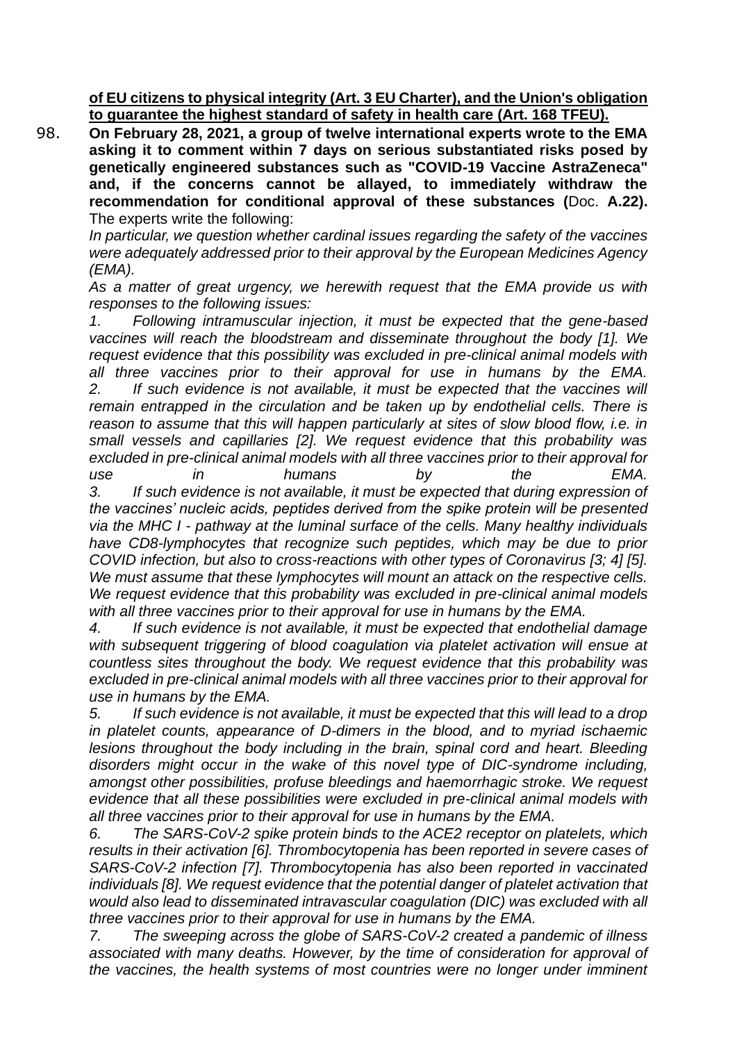**of EU citizens to physical integrity (Art. 3 EU Charter), and the Union's obligation to guarantee the highest standard of safety in health care (Art. 168 TFEU).**

98. **On February 28, 2021, a group of twelve international experts wrote to the EMA asking it to comment within 7 days on serious substantiated risks posed by genetically engineered substances such as "COVID-19 Vaccine AstraZeneca" and, if the concerns cannot be allayed, to immediately withdraw the recommendation for conditional approval of these substances (**Doc. **A.22).** The experts write the following:

*In particular, we question whether cardinal issues regarding the safety of the vaccines were adequately addressed prior to their approval by the European Medicines Agency (EMA).*

*As a matter of great urgency, we herewith request that the EMA provide us with responses to the following issues:*

*1. Following intramuscular injection, it must be expected that the gene-based vaccines will reach the bloodstream and disseminate throughout the body [1]. We request evidence that this possibility was excluded in pre-clinical animal models with all three vaccines prior to their approval for use in humans by the EMA. 2. If such evidence is not available, it must be expected that the vaccines will remain entrapped in the circulation and be taken up by endothelial cells. There is reason to assume that this will happen particularly at sites of slow blood flow, i.e. in small vessels and capillaries [2]. We request evidence that this probability was excluded in pre-clinical animal models with all three vaccines prior to their approval for use in humans by the EMA. 3. If such evidence is not available, it must be expected that during expression of the vaccines' nucleic acids, peptides derived from the spike protein will be presented via the MHC I - pathway at the luminal surface of the cells. Many healthy individuals have CD8-lymphocytes that recognize such peptides, which may be due to prior* 

*COVID infection, but also to cross-reactions with other types of Coronavirus [3; 4] [5]. We must assume that these lymphocytes will mount an attack on the respective cells. We request evidence that this probability was excluded in pre-clinical animal models with all three vaccines prior to their approval for use in humans by the EMA.*

*4. If such evidence is not available, it must be expected that endothelial damage with subsequent triggering of blood coagulation via platelet activation will ensue at countless sites throughout the body. We request evidence that this probability was excluded in pre-clinical animal models with all three vaccines prior to their approval for use in humans by the EMA.*

*5. If such evidence is not available, it must be expected that this will lead to a drop in platelet counts, appearance of D-dimers in the blood, and to myriad ischaemic lesions throughout the body including in the brain, spinal cord and heart. Bleeding disorders might occur in the wake of this novel type of DIC-syndrome including, amongst other possibilities, profuse bleedings and haemorrhagic stroke. We request evidence that all these possibilities were excluded in pre-clinical animal models with all three vaccines prior to their approval for use in humans by the EMA.*

*6. The SARS-CoV-2 spike protein binds to the ACE2 receptor on platelets, which results in their activation [6]. Thrombocytopenia has been reported in severe cases of SARS-CoV-2 infection [7]. Thrombocytopenia has also been reported in vaccinated individuals [8]. We request evidence that the potential danger of platelet activation that would also lead to disseminated intravascular coagulation (DIC) was excluded with all three vaccines prior to their approval for use in humans by the EMA.*

*7. The sweeping across the globe of SARS-CoV-2 created a pandemic of illness associated with many deaths. However, by the time of consideration for approval of the vaccines, the health systems of most countries were no longer under imminent*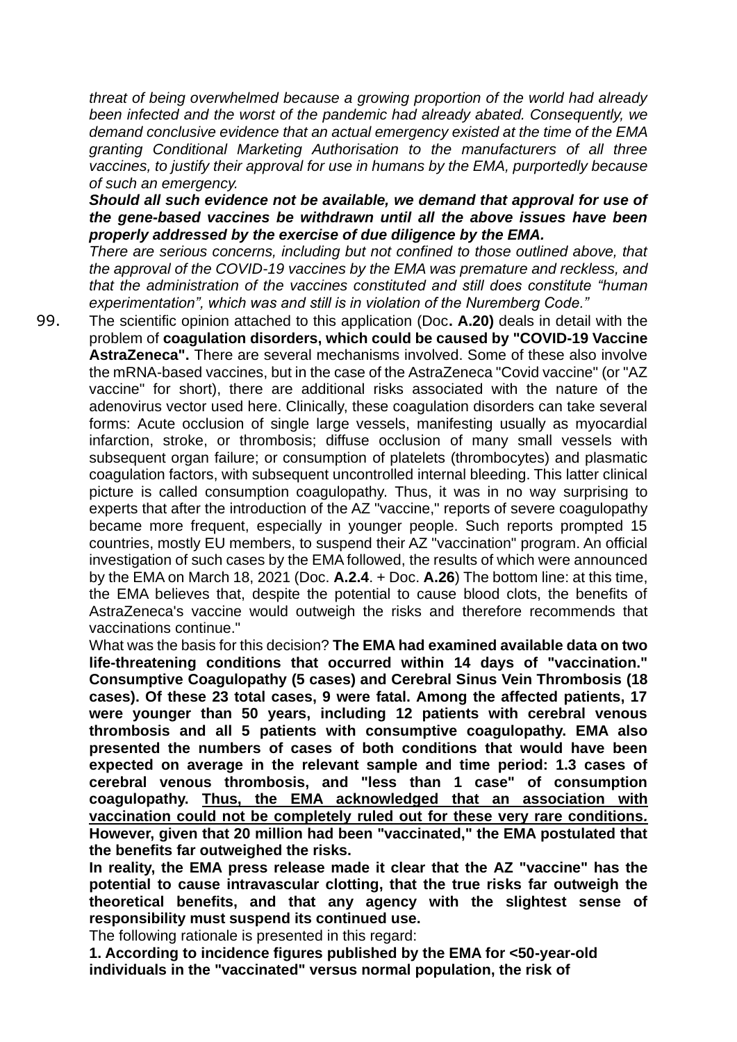*threat of being overwhelmed because a growing proportion of the world had already been infected and the worst of the pandemic had already abated. Consequently, we demand conclusive evidence that an actual emergency existed at the time of the EMA granting Conditional Marketing Authorisation to the manufacturers of all three vaccines, to justify their approval for use in humans by the EMA, purportedly because of such an emergency.*

*Should all such evidence not be available, we demand that approval for use of the gene-based vaccines be withdrawn until all the above issues have been properly addressed by the exercise of due diligence by the EMA.*

*There are serious concerns, including but not confined to those outlined above, that the approval of the COVID-19 vaccines by the EMA was premature and reckless, and that the administration of the vaccines constituted and still does constitute "human experimentation", which was and still is in violation of the Nuremberg Code."*

99. The scientific opinion attached to this application (Doc**. A.20)** deals in detail with the problem of **coagulation disorders, which could be caused by "COVID-19 Vaccine AstraZeneca".** There are several mechanisms involved. Some of these also involve the mRNA-based vaccines, but in the case of the AstraZeneca "Covid vaccine" (or "AZ vaccine" for short), there are additional risks associated with the nature of the adenovirus vector used here. Clinically, these coagulation disorders can take several forms: Acute occlusion of single large vessels, manifesting usually as myocardial infarction, stroke, or thrombosis; diffuse occlusion of many small vessels with subsequent organ failure; or consumption of platelets (thrombocytes) and plasmatic coagulation factors, with subsequent uncontrolled internal bleeding. This latter clinical picture is called consumption coagulopathy. Thus, it was in no way surprising to experts that after the introduction of the AZ "vaccine," reports of severe coagulopathy became more frequent, especially in younger people. Such reports prompted 15 countries, mostly EU members, to suspend their AZ "vaccination" program. An official investigation of such cases by the EMA followed, the results of which were announced by the EMA on March 18, 2021 (Doc. **A.2.4**. + Doc. **A.26**) The bottom line: at this time, the EMA believes that, despite the potential to cause blood clots, the benefits of AstraZeneca's vaccine would outweigh the risks and therefore recommends that vaccinations continue."

What was the basis for this decision? **The EMA had examined available data on two life-threatening conditions that occurred within 14 days of "vaccination." Consumptive Coagulopathy (5 cases) and Cerebral Sinus Vein Thrombosis (18 cases). Of these 23 total cases, 9 were fatal. Among the affected patients, 17 were younger than 50 years, including 12 patients with cerebral venous thrombosis and all 5 patients with consumptive coagulopathy. EMA also presented the numbers of cases of both conditions that would have been expected on average in the relevant sample and time period: 1.3 cases of cerebral venous thrombosis, and "less than 1 case" of consumption coagulopathy. Thus, the EMA acknowledged that an association with vaccination could not be completely ruled out for these very rare conditions***.* **However, given that 20 million had been "vaccinated," the EMA postulated that the benefits far outweighed the risks.**

**In reality, the EMA press release made it clear that the AZ "vaccine" has the potential to cause intravascular clotting, that the true risks far outweigh the theoretical benefits, and that any agency with the slightest sense of responsibility must suspend its continued use.**

The following rationale is presented in this regard:

**1. According to incidence figures published by the EMA for <50-year-old individuals in the "vaccinated" versus normal population, the risk of**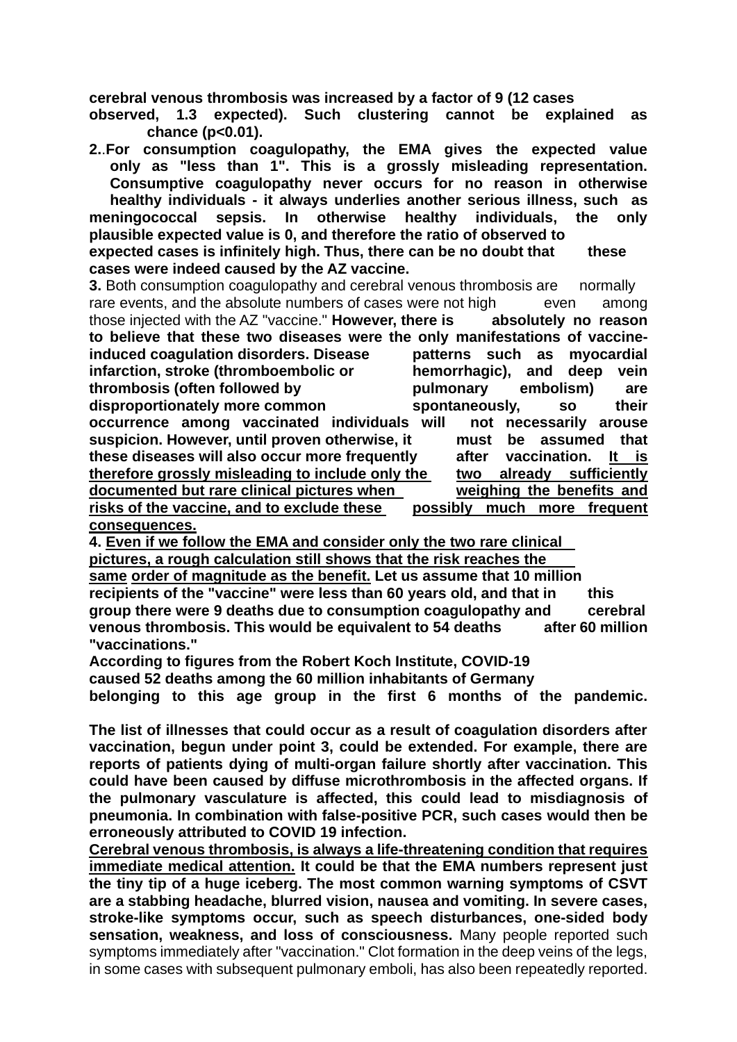**cerebral venous thrombosis was increased by a factor of 9 (12 cases** 

**observed, 1.3 expected). Such clustering cannot be explained as chance (p<0.01).**

**2.**.**For consumption coagulopathy, the EMA gives the expected value only as "less than 1". This is a grossly misleading representation. Consumptive coagulopathy never occurs for no reason in otherwise healthy individuals - it always underlies another serious illness, such as** 

**meningococcal sepsis. In otherwise healthy individuals, the only plausible expected value is 0, and therefore the ratio of observed to expected cases is infinitely high. Thus, there can be no doubt that these cases were indeed caused by the AZ vaccine.**

**3.** Both consumption coagulopathy and cerebral venous thrombosis are normally rare events, and the absolute numbers of cases were not high even among those injected with the AZ "vaccine." **However, there is absolutely no reason to believe that these two diseases were the only manifestations of vaccineinduced coagulation disorders. Disease patterns such as myocardial infarction, stroke (thromboembolic or hemorrhagic), and deep vein thrombosis (often followed by pulmonary embolism) are disproportionately more common spontaneously, so their occurrence among vaccinated individuals will not necessarily arouse suspicion. However, until proven otherwise, it must be assumed that these diseases will also occur more frequently after vaccination. It is therefore grossly misleading to include only the two already sufficiently documented but rare clinical pictures when weighing the benefits and risks of the vaccine, and to exclude these possibly much more frequent consequences.**

**4. Even if we follow the EMA and consider only the two rare clinical pictures, a rough calculation still shows that the risk reaches the same order of magnitude as the benefit. Let us assume that 10 million recipients of the "vaccine" were less than 60 years old, and that in this group there were 9 deaths due to consumption coagulopathy and cerebral venous thrombosis. This would be equivalent to 54 deaths after 60 million "vaccinations."** 

**According to figures from the Robert Koch Institute, COVID-19 caused 52 deaths among the 60 million inhabitants of Germany belonging to this age group in the first 6 months of the pandemic.**

**The list of illnesses that could occur as a result of coagulation disorders after vaccination, begun under point 3, could be extended. For example, there are reports of patients dying of multi-organ failure shortly after vaccination. This could have been caused by diffuse microthrombosis in the affected organs. If the pulmonary vasculature is affected, this could lead to misdiagnosis of pneumonia. In combination with false-positive PCR, such cases would then be erroneously attributed to COVID 19 infection.**

**Cerebral venous thrombosis, is always a life-threatening condition that requires immediate medical attention. It could be that the EMA numbers represent just the tiny tip of a huge iceberg. The most common warning symptoms of CSVT are a stabbing headache, blurred vision, nausea and vomiting. In severe cases, stroke-like symptoms occur, such as speech disturbances, one-sided body sensation, weakness, and loss of consciousness.** Many people reported such symptoms immediately after "vaccination." Clot formation in the deep veins of the legs, in some cases with subsequent pulmonary emboli, has also been repeatedly reported.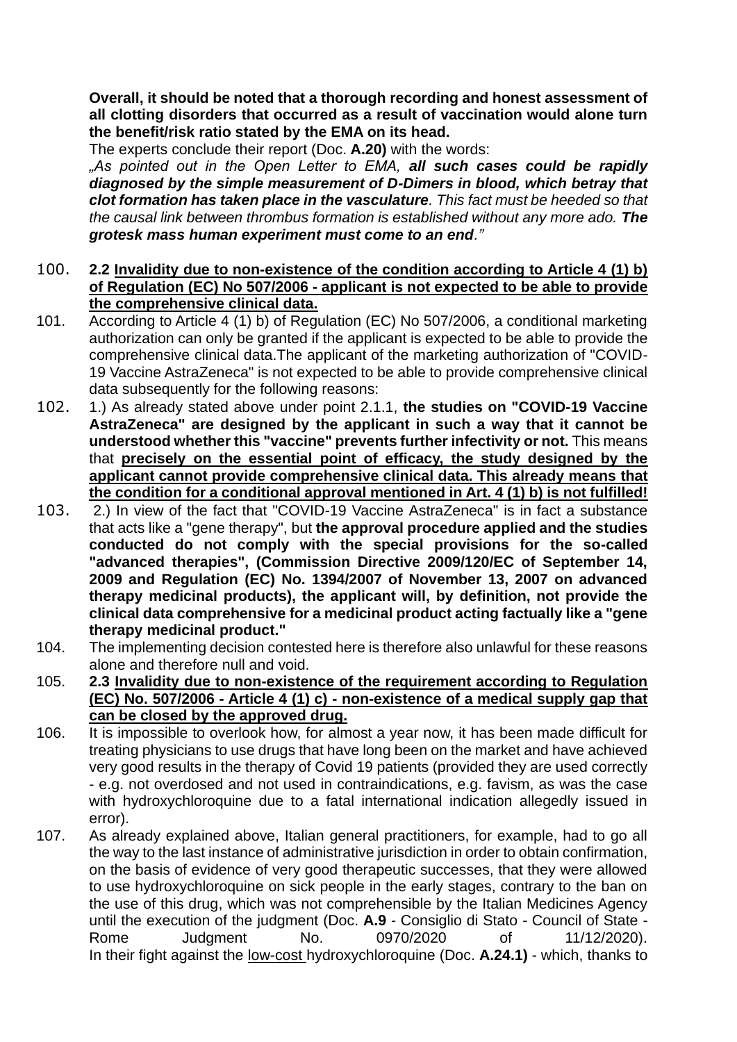**Overall, it should be noted that a thorough recording and honest assessment of all clotting disorders that occurred as a result of vaccination would alone turn the benefit/risk ratio stated by the EMA on its head.**

The experts conclude their report (Doc. **A.20)** with the words:

*"As pointed out in the Open Letter to EMA, all such cases could be rapidly diagnosed by the simple measurement of D-Dimers in blood, which betray that clot formation has taken place in the vasculature. This fact must be heeded so that the causal link between thrombus formation is established without any more ado. The grotesk mass human experiment must come to an end."*

### 100. **2.2 Invalidity due to non-existence of the condition according to Article 4 (1) b) of Regulation (EC) No 507/2006 - applicant is not expected to be able to provide the comprehensive clinical data.**

- 101. According to Article 4 (1) b) of Regulation (EC) No 507/2006, a conditional marketing authorization can only be granted if the applicant is expected to be able to provide the comprehensive clinical data.The applicant of the marketing authorization of "COVID-19 Vaccine AstraZeneca" is not expected to be able to provide comprehensive clinical data subsequently for the following reasons:
- 102. 1.) As already stated above under point 2.1.1, **the studies on "COVID-19 Vaccine AstraZeneca" are designed by the applicant in such a way that it cannot be understood whether this "vaccine" prevents further infectivity or not.** This means that **precisely on the essential point of efficacy, the study designed by the applicant cannot provide comprehensive clinical data. This already means that the condition for a conditional approval mentioned in Art. 4 (1) b) is not fulfilled!**
- 103. 2.) In view of the fact that "COVID-19 Vaccine AstraZeneca" is in fact a substance that acts like a "gene therapy", but **the approval procedure applied and the studies conducted do not comply with the special provisions for the so-called "advanced therapies", (Commission Directive 2009/120/EC of September 14, 2009 and Regulation (EC) No. 1394/2007 of November 13, 2007 on advanced therapy medicinal products), the applicant will, by definition, not provide the clinical data comprehensive for a medicinal product acting factually like a "gene therapy medicinal product."**
- 104. The implementing decision contested here is therefore also unlawful for these reasons alone and therefore null and void.
- 105. **2.3 Invalidity due to non-existence of the requirement according to Regulation (EC) No. 507/2006 - Article 4 (1) c) - non-existence of a medical supply gap that can be closed by the approved drug.**
- 106. It is impossible to overlook how, for almost a year now, it has been made difficult for treating physicians to use drugs that have long been on the market and have achieved very good results in the therapy of Covid 19 patients (provided they are used correctly - e.g. not overdosed and not used in contraindications, e.g. favism, as was the case with hydroxychloroquine due to a fatal international indication allegedly issued in error).
- 107. As already explained above, Italian general practitioners, for example, had to go all the way to the last instance of administrative jurisdiction in order to obtain confirmation, on the basis of evidence of very good therapeutic successes, that they were allowed to use hydroxychloroquine on sick people in the early stages, contrary to the ban on the use of this drug, which was not comprehensible by the Italian Medicines Agency until the execution of the judgment (Doc. **A.9** - Consiglio di Stato - Council of State - Rome Judgment No. 0970/2020 of 11/12/2020). In their fight against the low-cost hydroxychloroquine (Doc. **A.24.1)** - which, thanks to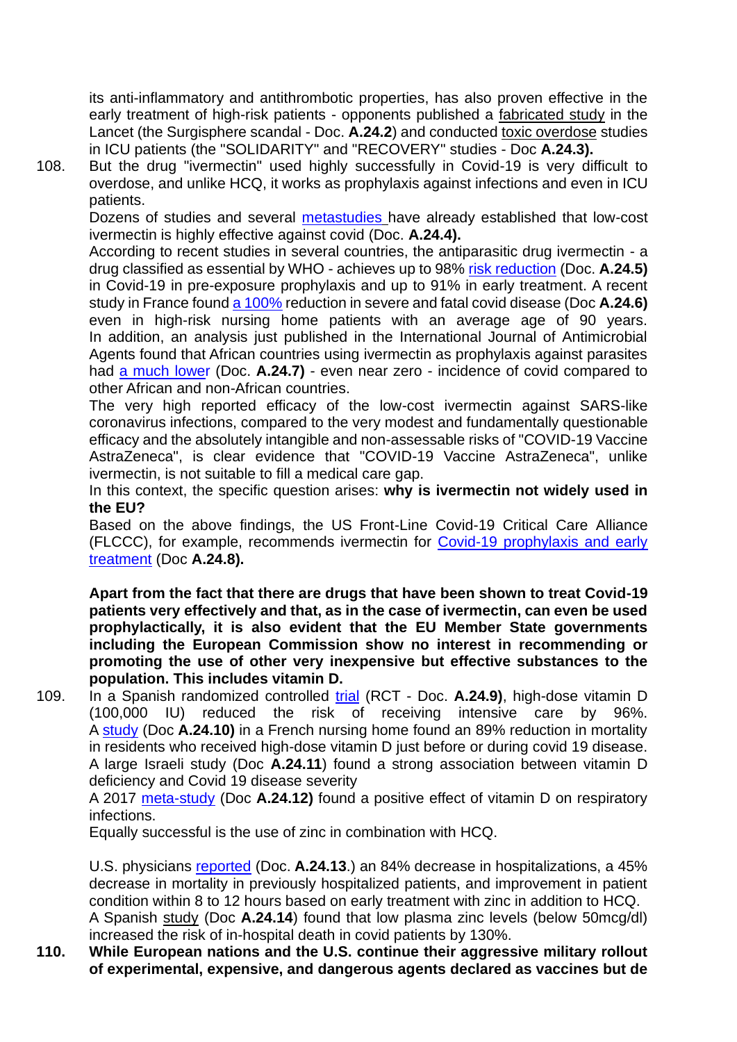its anti-inflammatory and antithrombotic properties, has also proven effective in the early treatment of high-risk patients - opponents published a fabricated study in the Lancet (the Surgisphere scandal - Doc. **A.24.2**) and conducted toxic overdose studies in ICU patients (the "SOLIDARITY" and "RECOVERY" studies - Doc **A.24.3).**

108. But the drug "ivermectin" used highly successfully in Covid-19 is very difficult to overdose, and unlike HCQ, it works as prophylaxis against infections and even in ICU patients.

Dozens of studies and several metastudies have already established that low-cost ivermectin is highly effective against covid (Doc. **A.24.4).**

According to recent studies in several countries, the antiparasitic drug ivermectin - a drug classified as essential by WHO - achieves up to 98% risk reduction (Doc. **A.24.5)** in Covid-19 in pre-exposure prophylaxis and up to 91% in early treatment. A recent study in France found a 100% reduction in severe and fatal covid disease (Doc **A.24.6)** even in high-risk nursing home patients with an average age of 90 years. In addition, an analysis just published in the International Journal of Antimicrobial Agents found that African countries using ivermectin as prophylaxis against parasites had a much lower (Doc. **A.24.7)** - even near zero - incidence of covid compared to other African and non-African countries.

The very high reported efficacy of the low-cost ivermectin against SARS-like coronavirus infections, compared to the very modest and fundamentally questionable efficacy and the absolutely intangible and non-assessable risks of "COVID-19 Vaccine AstraZeneca", is clear evidence that "COVID-19 Vaccine AstraZeneca", unlike ivermectin, is not suitable to fill a medical care gap.

In this context, the specific question arises: **why is ivermectin not widely used in the EU?**

Based on the above findings, the US Front-Line Covid-19 Critical Care Alliance (FLCCC), for example, recommends ivermectin for Covid-19 prophylaxis and early treatment (Doc **A.24.8).**

**Apart from the fact that there are drugs that have been shown to treat Covid-19 patients very effectively and that, as in the case of ivermectin, can even be used prophylactically, it is also evident that the EU Member State governments including the European Commission show no interest in recommending or promoting the use of other very inexpensive but effective substances to the population. This includes vitamin D.**

109. In a Spanish randomized controlled trial (RCT - Doc. **A.24.9)**, high-dose vitamin D (100,000 IU) reduced the risk of receiving intensive care by 96%. A study (Doc **A.24.10)** in a French nursing home found an 89% reduction in mortality in residents who received high-dose vitamin D just before or during covid 19 disease. A large Israeli study (Doc **A.24.11**) found a strong association between vitamin D deficiency and Covid 19 disease severity

A 2017 meta-study (Doc **A.24.12)** found a positive effect of vitamin D on respiratory infections.

Equally successful is the use of zinc in combination with HCQ.

U.S. physicians reported (Doc. **A.24.13**.) an 84% decrease in hospitalizations, a 45% decrease in mortality in previously hospitalized patients, and improvement in patient condition within 8 to 12 hours based on early treatment with zinc in addition to HCQ. A Spanish study (Doc **A.24.14**) found that low plasma zinc levels (below 50mcg/dl) increased the risk of in-hospital death in covid patients by 130%.

**110. While European nations and the U.S. continue their aggressive military rollout of experimental, expensive, and dangerous agents declared as vaccines but de**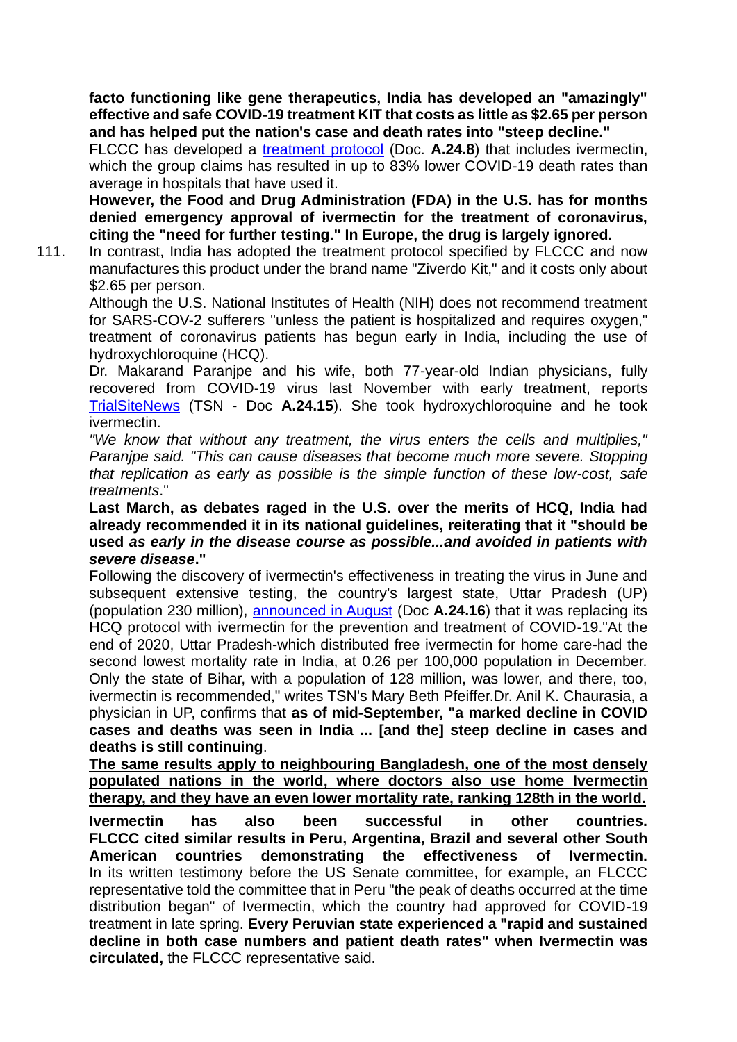**facto functioning like gene therapeutics, India has developed an "amazingly" effective and safe COVID-19 treatment KIT that costs as little as \$2.65 per person and has helped put the nation's case and death rates into "steep decline."**

FLCCC has developed a treatment protocol (Doc. **A.24.8**) that includes ivermectin, which the group claims has resulted in up to 83% lower COVID-19 death rates than average in hospitals that have used it.

**However, the Food and Drug Administration (FDA) in the U.S. has for months denied emergency approval of ivermectin for the treatment of coronavirus, citing the "need for further testing." In Europe, the drug is largely ignored.**

111. In contrast, India has adopted the treatment protocol specified by FLCCC and now manufactures this product under the brand name "Ziverdo Kit," and it costs only about \$2.65 per person.

Although the U.S. National Institutes of Health (NIH) does not recommend treatment for SARS-COV-2 sufferers "unless the patient is hospitalized and requires oxygen," treatment of coronavirus patients has begun early in India, including the use of hydroxychloroquine (HCQ).

Dr. Makarand Paranjpe and his wife, both 77-year-old Indian physicians, fully recovered from COVID-19 virus last November with early treatment, reports TrialSiteNews (TSN - Doc **A.24.15**). She took hydroxychloroquine and he took ivermectin.

*"We know that without any treatment, the virus enters the cells and multiplies," Paranjpe said. "This can cause diseases that become much more severe. Stopping that replication as early as possible is the simple function of these low-cost, safe treatments*."

**Last March, as debates raged in the U.S. over the merits of HCQ, India had already recommended it in its national guidelines, reiterating that it "should be used** *as early in the disease course as possible...and avoided in patients with severe disease***."**

Following the discovery of ivermectin's effectiveness in treating the virus in June and subsequent extensive testing, the country's largest state, Uttar Pradesh (UP) (population 230 million), announced in August (Doc **A.24.16**) that it was replacing its HCQ protocol with ivermectin for the prevention and treatment of COVID-19."At the end of 2020, Uttar Pradesh-which distributed free ivermectin for home care-had the second lowest mortality rate in India, at 0.26 per 100,000 population in December. Only the state of Bihar, with a population of 128 million, was lower, and there, too, ivermectin is recommended," writes TSN's Mary Beth Pfeiffer.Dr. Anil K. Chaurasia, a physician in UP, confirms that **as of mid-September, "a marked decline in COVID cases and deaths was seen in India ... [and the] steep decline in cases and deaths is still continuing**.

**The same results apply to neighbouring Bangladesh, one of the most densely populated nations in the world, where doctors also use home Ivermectin therapy, and they have an even lower mortality rate, ranking 128th in the world.**

**Ivermectin has also been successful in other countries. FLCCC cited similar results in Peru, Argentina, Brazil and several other South American countries demonstrating the effectiveness of Ivermectin.** In its written testimony before the US Senate committee, for example, an FLCCC representative told the committee that in Peru "the peak of deaths occurred at the time distribution began" of Ivermectin, which the country had approved for COVID-19 treatment in late spring. **Every Peruvian state experienced a "rapid and sustained decline in both case numbers and patient death rates" when Ivermectin was circulated,** the FLCCC representative said.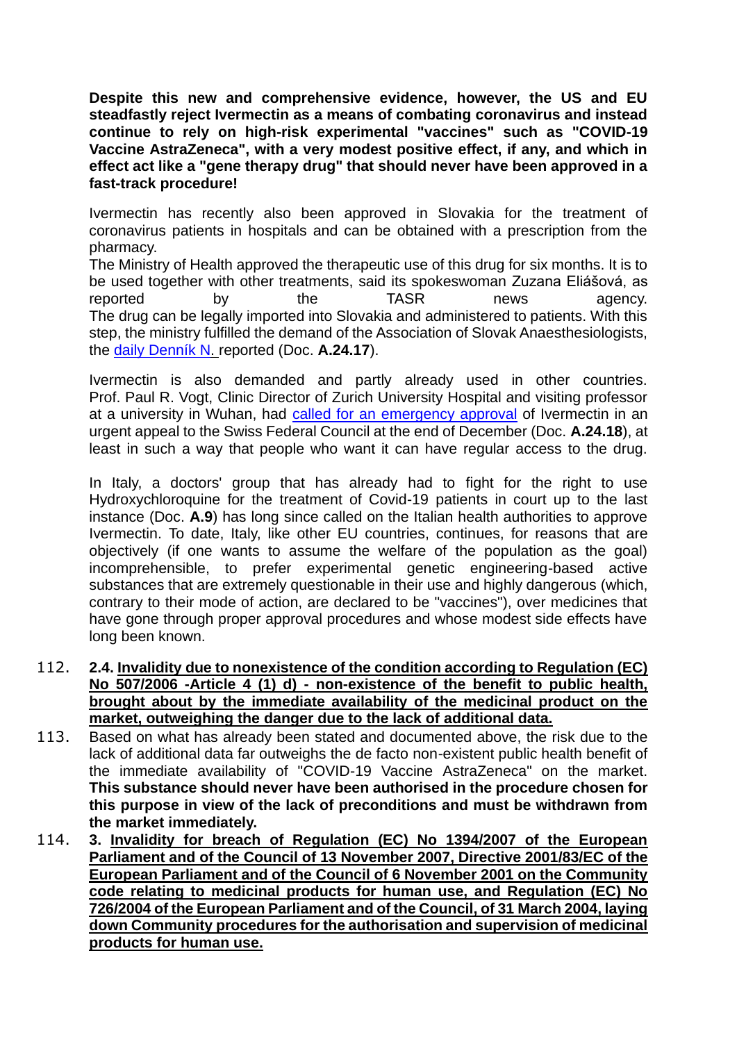**Despite this new and comprehensive evidence, however, the US and EU steadfastly reject Ivermectin as a means of combating coronavirus and instead continue to rely on high-risk experimental "vaccines" such as "COVID-19 Vaccine AstraZeneca", with a very modest positive effect, if any, and which in effect act like a "gene therapy drug" that should never have been approved in a fast-track procedure!**

Ivermectin has recently also been approved in Slovakia for the treatment of coronavirus patients in hospitals and can be obtained with a prescription from the pharmacy.

The Ministry of Health approved the therapeutic use of this drug for six months. It is to be used together with other treatments, said its spokeswoman Zuzana Eliášová, as reported by the TASR news agency. The drug can be legally imported into Slovakia and administered to patients. With this step, the ministry fulfilled the demand of the Association of Slovak Anaesthesiologists, the daily Denník N. reported (Doc. **A.24.17**).

Ivermectin is also demanded and partly already used in other countries. Prof. Paul R. Vogt, Clinic Director of Zurich University Hospital and visiting professor at a university in Wuhan, had called for an emergency approval of Ivermectin in an urgent appeal to the Swiss Federal Council at the end of December (Doc. **A.24.18**), at least in such a way that people who want it can have regular access to the drug.

In Italy, a doctors' group that has already had to fight for the right to use Hydroxychloroquine for the treatment of Covid-19 patients in court up to the last instance (Doc. **A.9**) has long since called on the Italian health authorities to approve Ivermectin. To date, Italy, like other EU countries, continues, for reasons that are objectively (if one wants to assume the welfare of the population as the goal) incomprehensible, to prefer experimental genetic engineering-based active substances that are extremely questionable in their use and highly dangerous (which, contrary to their mode of action, are declared to be "vaccines"), over medicines that have gone through proper approval procedures and whose modest side effects have long been known.

- 112. **2.4. Invalidity due to nonexistence of the condition according to Regulation (EC) No 507/2006 -Article 4 (1) d) - non-existence of the benefit to public health, brought about by the immediate availability of the medicinal product on the market, outweighing the danger due to the lack of additional data.**
- 113. Based on what has already been stated and documented above, the risk due to the lack of additional data far outweighs the de facto non-existent public health benefit of the immediate availability of "COVID-19 Vaccine AstraZeneca" on the market. **This substance should never have been authorised in the procedure chosen for this purpose in view of the lack of preconditions and must be withdrawn from the market immediately.**
- 114. **3. Invalidity for breach of Regulation (EC) No 1394/2007 of the European Parliament and of the Council of 13 November 2007, Directive 2001/83/EC of the European Parliament and of the Council of 6 November 2001 on the Community code relating to medicinal products for human use, and Regulation (EC) No 726/2004 of the European Parliament and of the Council, of 31 March 2004, laying down Community procedures for the authorisation and supervision of medicinal products for human use.**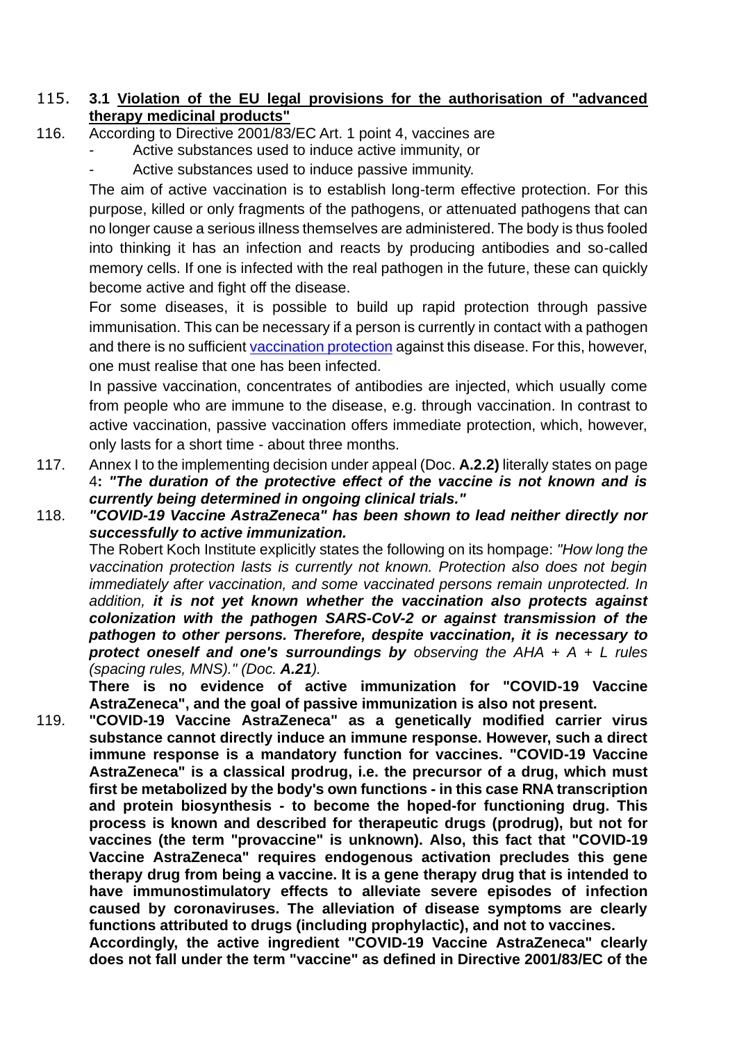### 115. **3.1 Violation of the EU legal provisions for the authorisation of "advanced therapy medicinal products"**

- 116. According to Directive 2001/83/EC Art. 1 point 4, vaccines are
	- Active substances used to induce active immunity, or
	- Active substances used to induce passive immunity.

The aim of active vaccination is to establish long-term effective protection. For this purpose, killed or only fragments of the pathogens, or attenuated pathogens that can no longer cause a serious illness themselves are administered. The body is thus fooled into thinking it has an infection and reacts by producing antibodies and so-called memory cells. If one is infected with the real pathogen in the future, these can quickly become active and fight off the disease.

For some diseases, it is possible to build up rapid protection through passive immunisation. This can be necessary if a person is currently in contact with a pathogen and there is no sufficient vaccination protection against this disease. For this, however, one must realise that one has been infected.

In passive vaccination, concentrates of antibodies are injected, which usually come from people who are immune to the disease, e.g. through vaccination. In contrast to active vaccination, passive vaccination offers immediate protection, which, however, only lasts for a short time - about three months.

- 117. Annex I to the implementing decision under appeal (Doc. **A.2.2)** literally states on page 4**:** *"The duration of the protective effect of the vaccine is not known and is currently being determined in ongoing clinical trials."*
- 118. *"COVID-19 Vaccine AstraZeneca" has been shown to lead neither directly nor successfully to active immunization.*

The Robert Koch Institute explicitly states the following on its hompage: *"How long the vaccination protection lasts is currently not known. Protection also does not begin immediately after vaccination, and some vaccinated persons remain unprotected. In addition, it is not yet known whether the vaccination also protects against colonization with the pathogen SARS-CoV-2 or against transmission of the pathogen to other persons. Therefore, despite vaccination, it is necessary to protect oneself and one's surroundings by observing the AHA + A + L rules (spacing rules, MNS)." (Doc. A.21).*

**There is no evidence of active immunization for "COVID-19 Vaccine AstraZeneca", and the goal of passive immunization is also not present.**

119. **"COVID-19 Vaccine AstraZeneca" as a genetically modified carrier virus substance cannot directly induce an immune response. However, such a direct immune response is a mandatory function for vaccines. "COVID-19 Vaccine AstraZeneca" is a classical prodrug, i.e. the precursor of a drug, which must first be metabolized by the body's own functions - in this case RNA transcription and protein biosynthesis - to become the hoped-for functioning drug. This process is known and described for therapeutic drugs (prodrug), but not for vaccines (the term "provaccine" is unknown). Also, this fact that "COVID-19 Vaccine AstraZeneca" requires endogenous activation precludes this gene therapy drug from being a vaccine. It is a gene therapy drug that is intended to have immunostimulatory effects to alleviate severe episodes of infection caused by coronaviruses. The alleviation of disease symptoms are clearly functions attributed to drugs (including prophylactic), and not to vaccines.**

**Accordingly, the active ingredient "COVID-19 Vaccine AstraZeneca" clearly does not fall under the term "vaccine" as defined in Directive 2001/83/EC of the**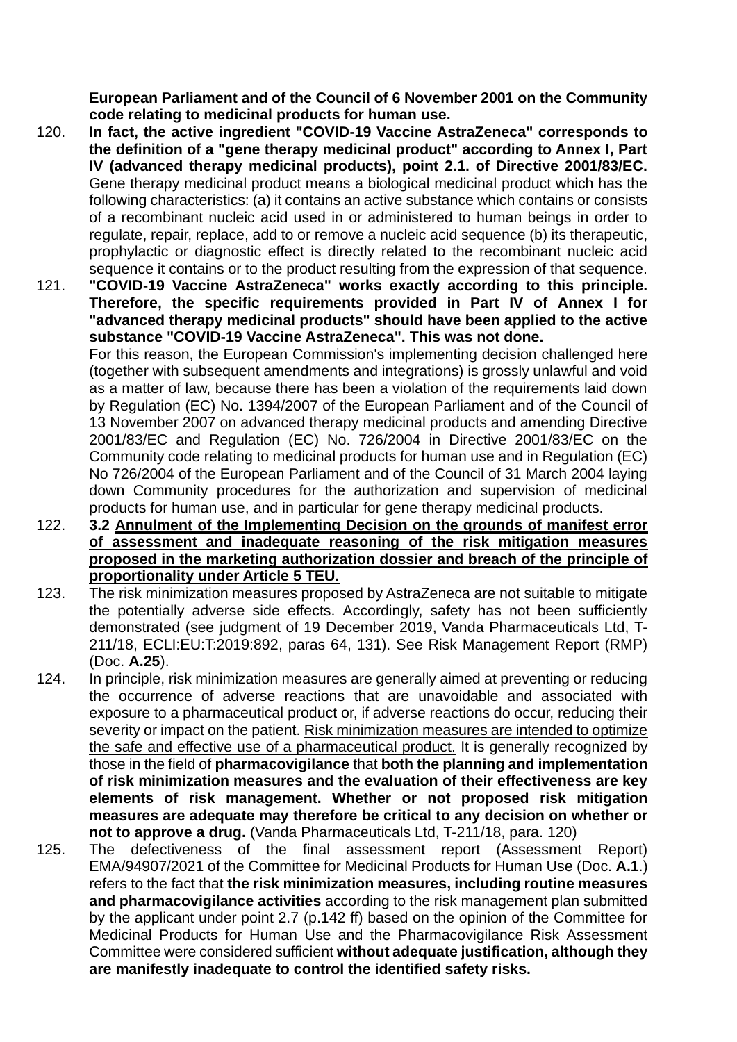**European Parliament and of the Council of 6 November 2001 on the Community code relating to medicinal products for human use.**

- 120. **In fact, the active ingredient "COVID-19 Vaccine AstraZeneca" corresponds to the definition of a "gene therapy medicinal product" according to Annex I, Part IV (advanced therapy medicinal products), point 2.1. of Directive 2001/83/EC.** Gene therapy medicinal product means a biological medicinal product which has the following characteristics: (a) it contains an active substance which contains or consists of a recombinant nucleic acid used in or administered to human beings in order to regulate, repair, replace, add to or remove a nucleic acid sequence (b) its therapeutic, prophylactic or diagnostic effect is directly related to the recombinant nucleic acid sequence it contains or to the product resulting from the expression of that sequence.
- 121. **"COVID-19 Vaccine AstraZeneca" works exactly according to this principle. Therefore, the specific requirements provided in Part IV of Annex I for "advanced therapy medicinal products" should have been applied to the active substance "COVID-19 Vaccine AstraZeneca". This was not done.** For this reason, the European Commission's implementing decision challenged here

(together with subsequent amendments and integrations) is grossly unlawful and void as a matter of law, because there has been a violation of the requirements laid down by Regulation (EC) No. 1394/2007 of the European Parliament and of the Council of 13 November 2007 on advanced therapy medicinal products and amending Directive 2001/83/EC and Regulation (EC) No. 726/2004 in Directive 2001/83/EC on the Community code relating to medicinal products for human use and in Regulation (EC) No 726/2004 of the European Parliament and of the Council of 31 March 2004 laying down Community procedures for the authorization and supervision of medicinal products for human use, and in particular for gene therapy medicinal products.

- 122. **3.2 Annulment of the Implementing Decision on the grounds of manifest error of assessment and inadequate reasoning of the risk mitigation measures proposed in the marketing authorization dossier and breach of the principle of proportionality under Article 5 TEU.**
- 123. The risk minimization measures proposed by AstraZeneca are not suitable to mitigate the potentially adverse side effects. Accordingly, safety has not been sufficiently demonstrated (see judgment of 19 December 2019, Vanda Pharmaceuticals Ltd, T-211/18, ECLI:EU:T:2019:892, paras 64, 131). See Risk Management Report (RMP) (Doc. **A.25**).
- 124. In principle, risk minimization measures are generally aimed at preventing or reducing the occurrence of adverse reactions that are unavoidable and associated with exposure to a pharmaceutical product or, if adverse reactions do occur, reducing their severity or impact on the patient. Risk minimization measures are intended to optimize the safe and effective use of a pharmaceutical product. It is generally recognized by those in the field of **pharmacovigilance** that **both the planning and implementation of risk minimization measures and the evaluation of their effectiveness are key elements of risk management. Whether or not proposed risk mitigation measures are adequate may therefore be critical to any decision on whether or not to approve a drug.** (Vanda Pharmaceuticals Ltd, T-211/18, para. 120)
- 125. The defectiveness of the final assessment report (Assessment Report) EMA/94907/2021 of the Committee for Medicinal Products for Human Use (Doc. **A.1**.) refers to the fact that **the risk minimization measures, including routine measures and pharmacovigilance activities** according to the risk management plan submitted by the applicant under point 2.7 (p.142 ff) based on the opinion of the Committee for Medicinal Products for Human Use and the Pharmacovigilance Risk Assessment Committee were considered sufficient **without adequate justification, although they are manifestly inadequate to control the identified safety risks.**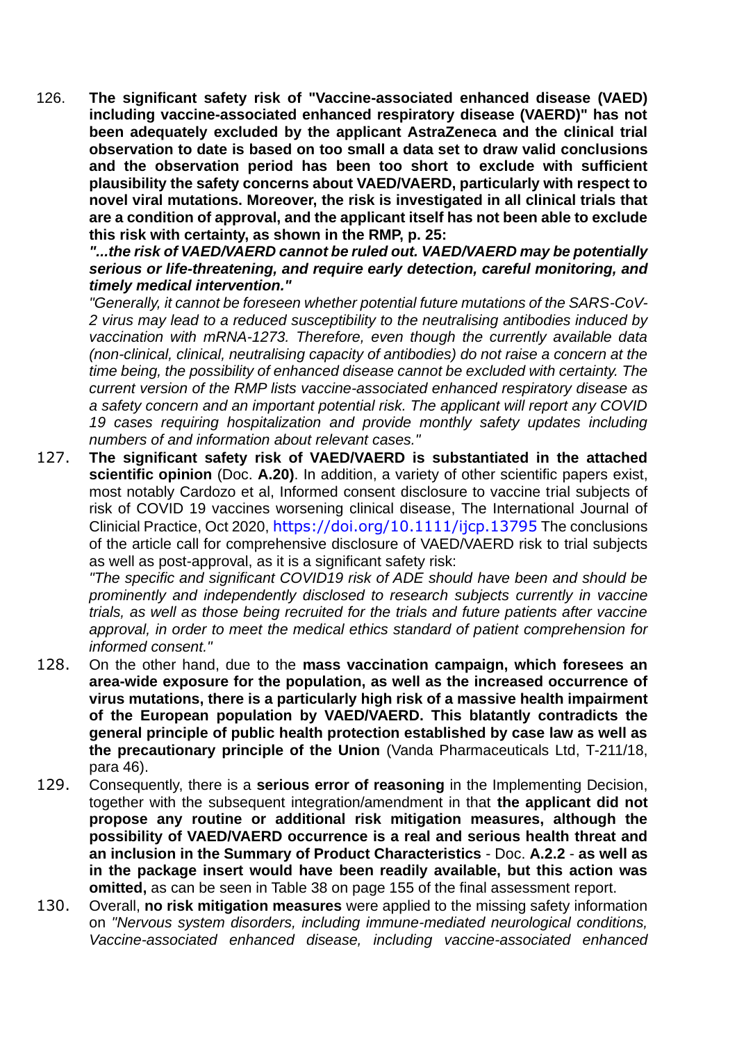126. **The significant safety risk of "Vaccine-associated enhanced disease (VAED) including vaccine-associated enhanced respiratory disease (VAERD)" has not been adequately excluded by the applicant AstraZeneca and the clinical trial observation to date is based on too small a data set to draw valid conclusions and the observation period has been too short to exclude with sufficient plausibility the safety concerns about VAED/VAERD, particularly with respect to novel viral mutations. Moreover, the risk is investigated in all clinical trials that are a condition of approval, and the applicant itself has not been able to exclude this risk with certainty, as shown in the RMP, p. 25:**

*"...the risk of VAED/VAERD cannot be ruled out. VAED/VAERD may be potentially serious or life-threatening, and require early detection, careful monitoring, and timely medical intervention."*

*"Generally, it cannot be foreseen whether potential future mutations of the SARS-CoV-2 virus may lead to a reduced susceptibility to the neutralising antibodies induced by vaccination with mRNA-1273. Therefore, even though the currently available data (non-clinical, clinical, neutralising capacity of antibodies) do not raise a concern at the time being, the possibility of enhanced disease cannot be excluded with certainty. The current version of the RMP lists vaccine-associated enhanced respiratory disease as a safety concern and an important potential risk. The applicant will report any COVID 19 cases requiring hospitalization and provide monthly safety updates including numbers of and information about relevant cases."*

127. **The significant safety risk of VAED/VAERD is substantiated in the attached scientific opinion** (Doc. **A.20)**. In addition, a variety of other scientific papers exist, most notably Cardozo et al, Informed consent disclosure to vaccine trial subjects of risk of COVID 19 vaccines worsening clinical disease, The International Journal of Clinicial Practice, Oct 2020, <https://doi.org/10.1111/ijcp.13795> The conclusions of the article call for comprehensive disclosure of VAED/VAERD risk to trial subjects as well as post-approval, as it is a significant safety risk:

*"The specific and significant COVID19 risk of ADE should have been and should be prominently and independently disclosed to research subjects currently in vaccine trials, as well as those being recruited for the trials and future patients after vaccine approval, in order to meet the medical ethics standard of patient comprehension for informed consent."*

- 128. On the other hand, due to the **mass vaccination campaign, which foresees an area-wide exposure for the population, as well as the increased occurrence of virus mutations, there is a particularly high risk of a massive health impairment of the European population by VAED/VAERD. This blatantly contradicts the general principle of public health protection established by case law as well as the precautionary principle of the Union** (Vanda Pharmaceuticals Ltd, T-211/18, para 46).
- 129. Consequently, there is a **serious error of reasoning** in the Implementing Decision, together with the subsequent integration/amendment in that **the applicant did not propose any routine or additional risk mitigation measures, although the possibility of VAED/VAERD occurrence is a real and serious health threat and an inclusion in the Summary of Product Characteristics** - Doc. **A.2.2** - **as well as in the package insert would have been readily available, but this action was omitted,** as can be seen in Table 38 on page 155 of the final assessment report.
- 130. Overall, **no risk mitigation measures** were applied to the missing safety information on *"Nervous system disorders, including immune-mediated neurological conditions, Vaccine-associated enhanced disease, including vaccine-associated enhanced*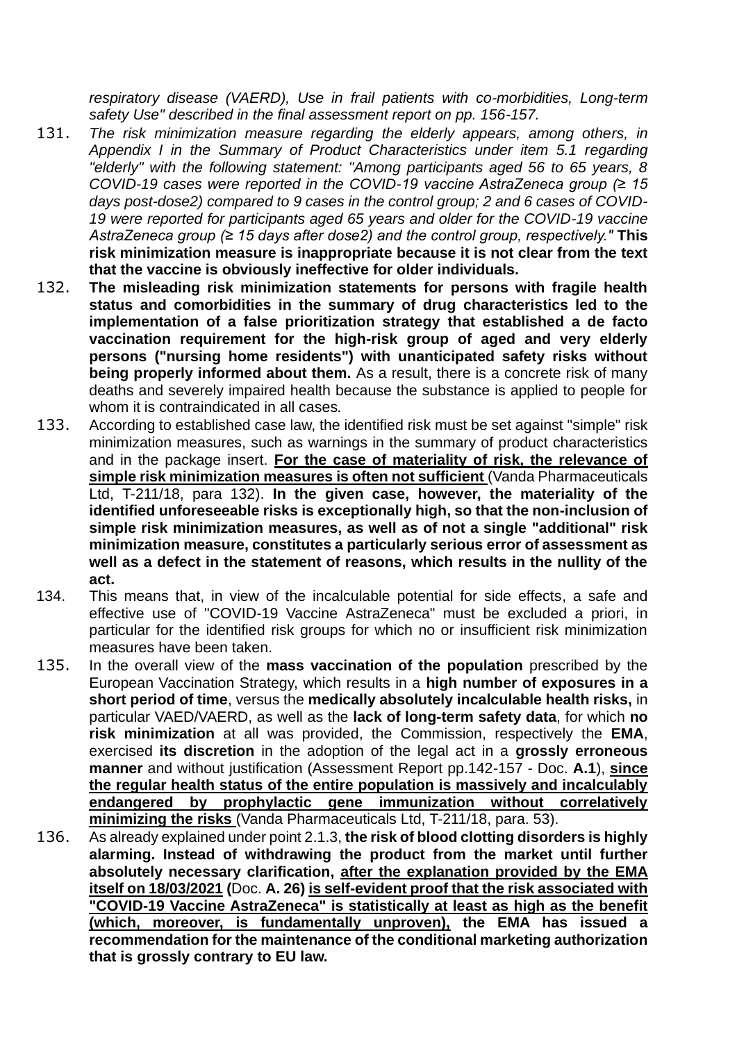*respiratory disease (VAERD), Use in frail patients with co-morbidities, Long-term safety Use" described in the final assessment report on pp. 156-157.*

- 131. *The risk minimization measure regarding the elderly appears, among others, in Appendix I in the Summary of Product Characteristics under item 5.1 regarding "elderly" with the following statement: "Among participants aged 56 to 65 years, 8 COVID-19 cases were reported in the COVID-19 vaccine AstraZeneca group (≥ 15 days post-dose2) compared to 9 cases in the control group; 2 and 6 cases of COVID-19 were reported for participants aged 65 years and older for the COVID-19 vaccine AstraZeneca group (≥ 15 days after dose2) and the control group, respectively."* **This risk minimization measure is inappropriate because it is not clear from the text that the vaccine is obviously ineffective for older individuals.**
- 132. **The misleading risk minimization statements for persons with fragile health status and comorbidities in the summary of drug characteristics led to the implementation of a false prioritization strategy that established a de facto vaccination requirement for the high-risk group of aged and very elderly persons ("nursing home residents") with unanticipated safety risks without being properly informed about them.** As a result, there is a concrete risk of many deaths and severely impaired health because the substance is applied to people for whom it is contraindicated in all cases*.*
- 133. According to established case law, the identified risk must be set against "simple" risk minimization measures, such as warnings in the summary of product characteristics and in the package insert. **For the case of materiality of risk, the relevance of simple risk minimization measures is often not sufficient** (Vanda Pharmaceuticals Ltd, T-211/18, para 132). **In the given case, however, the materiality of the identified unforeseeable risks is exceptionally high, so that the non-inclusion of simple risk minimization measures, as well as of not a single "additional" risk minimization measure, constitutes a particularly serious error of assessment as well as a defect in the statement of reasons, which results in the nullity of the act.**
- 134. This means that, in view of the incalculable potential for side effects, a safe and effective use of "COVID-19 Vaccine AstraZeneca" must be excluded a priori, in particular for the identified risk groups for which no or insufficient risk minimization measures have been taken.
- 135. In the overall view of the **mass vaccination of the population** prescribed by the European Vaccination Strategy, which results in a **high number of exposures in a short period of time**, versus the **medically absolutely incalculable health risks,** in particular VAED/VAERD, as well as the **lack of long-term safety data**, for which **no risk minimization** at all was provided, the Commission, respectively the **EMA**, exercised **its discretion** in the adoption of the legal act in a **grossly erroneous manner** and without justification (Assessment Report pp.142-157 - Doc. **A.1**), **since the regular health status of the entire population is massively and incalculably endangered by prophylactic gene immunization without correlatively minimizing the risks** (Vanda Pharmaceuticals Ltd, T-211/18, para. 53).
- 136. As already explained under point 2.1.3, **the risk of blood clotting disorders is highly alarming. Instead of withdrawing the product from the market until further absolutely necessary clarification, after the explanation provided by the EMA itself on 18/03/2021 (**Doc. **A. 26) is self-evident proof that the risk associated with "COVID-19 Vaccine AstraZeneca" is statistically at least as high as the benefit (which, moreover, is fundamentally unproven), the EMA has issued a recommendation for the maintenance of the conditional marketing authorization that is grossly contrary to EU law.**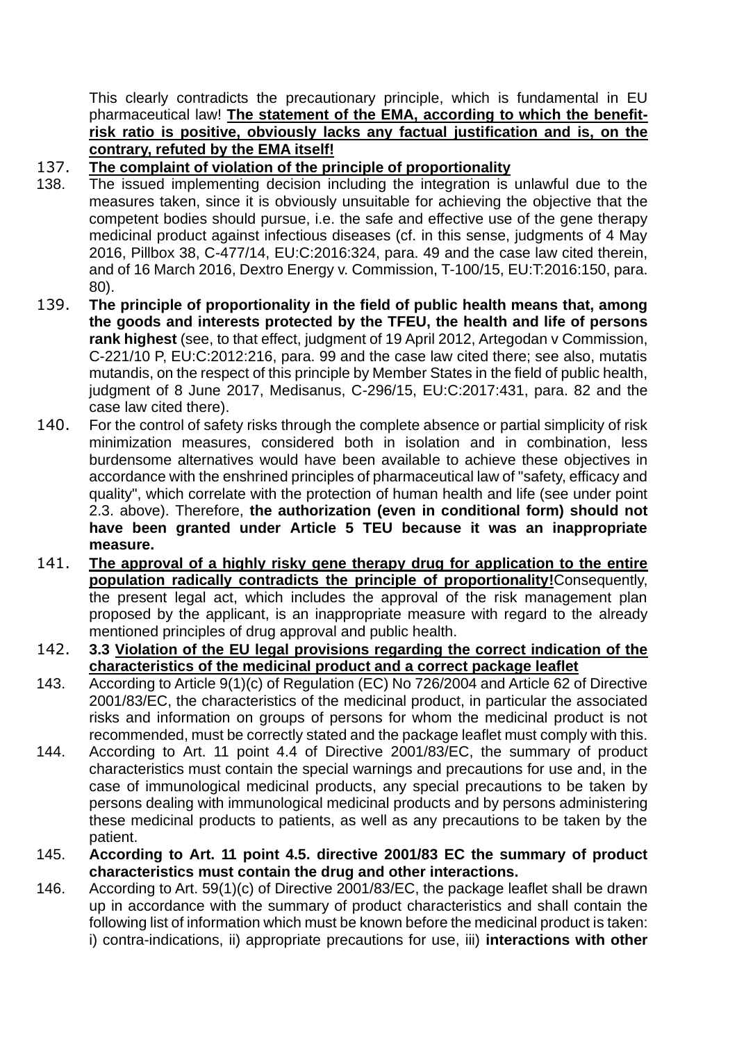This clearly contradicts the precautionary principle, which is fundamental in EU pharmaceutical law! **The statement of the EMA, according to which the benefitrisk ratio is positive, obviously lacks any factual justification and is, on the contrary, refuted by the EMA itself!**

### 137. **The complaint of violation of the principle of proportionality**

- 138. The issued implementing decision including the integration is unlawful due to the measures taken, since it is obviously unsuitable for achieving the objective that the competent bodies should pursue, i.e. the safe and effective use of the gene therapy medicinal product against infectious diseases (cf. in this sense, judgments of 4 May 2016, Pillbox 38, C-477/14, EU:C:2016:324, para. 49 and the case law cited therein, and of 16 March 2016, Dextro Energy v. Commission, T-100/15, EU:T:2016:150, para. 80).
- 139. **The principle of proportionality in the field of public health means that, among the goods and interests protected by the TFEU, the health and life of persons rank highest** (see, to that effect, judgment of 19 April 2012, Artegodan v Commission, C-221/10 P, EU:C:2012:216, para. 99 and the case law cited there; see also, mutatis mutandis, on the respect of this principle by Member States in the field of public health, judgment of 8 June 2017, Medisanus, C-296/15, EU:C:2017:431, para. 82 and the case law cited there).
- 140. For the control of safety risks through the complete absence or partial simplicity of risk minimization measures, considered both in isolation and in combination, less burdensome alternatives would have been available to achieve these objectives in accordance with the enshrined principles of pharmaceutical law of "safety, efficacy and quality", which correlate with the protection of human health and life (see under point 2.3. above). Therefore, **the authorization (even in conditional form) should not have been granted under Article 5 TEU because it was an inappropriate measure.**
- 141. **The approval of a highly risky gene therapy drug for application to the entire population radically contradicts the principle of proportionality!**Consequently, the present legal act, which includes the approval of the risk management plan proposed by the applicant, is an inappropriate measure with regard to the already mentioned principles of drug approval and public health.
- 142. **3.3 Violation of the EU legal provisions regarding the correct indication of the characteristics of the medicinal product and a correct package leaflet**
- 143. According to Article 9(1)(c) of Regulation (EC) No 726/2004 and Article 62 of Directive 2001/83/EC, the characteristics of the medicinal product, in particular the associated risks and information on groups of persons for whom the medicinal product is not recommended, must be correctly stated and the package leaflet must comply with this.
- 144. According to Art. 11 point 4.4 of Directive 2001/83/EC, the summary of product characteristics must contain the special warnings and precautions for use and, in the case of immunological medicinal products, any special precautions to be taken by persons dealing with immunological medicinal products and by persons administering these medicinal products to patients, as well as any precautions to be taken by the patient.
- 145. **According to Art. 11 point 4.5. directive 2001/83 EC the summary of product characteristics must contain the drug and other interactions.**
- 146. According to Art. 59(1)(c) of Directive 2001/83/EC, the package leaflet shall be drawn up in accordance with the summary of product characteristics and shall contain the following list of information which must be known before the medicinal product is taken: i) contra-indications, ii) appropriate precautions for use, iii) **interactions with other**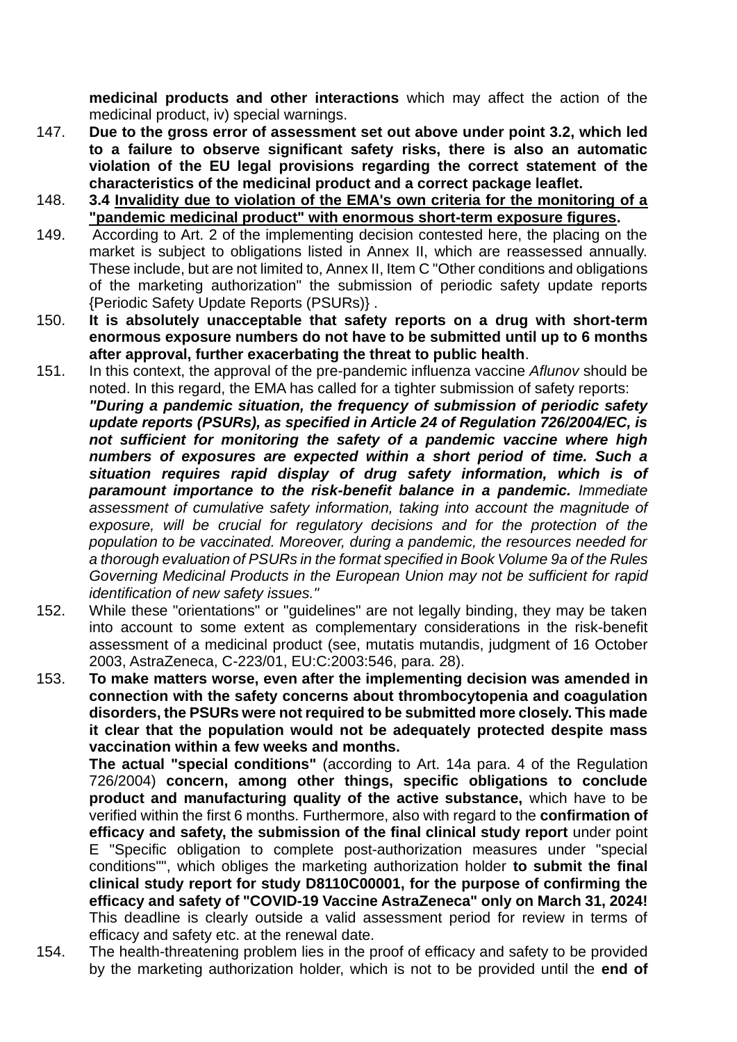**medicinal products and other interactions** which may affect the action of the medicinal product, iv) special warnings.

- 147. **Due to the gross error of assessment set out above under point 3.2, which led to a failure to observe significant safety risks, there is also an automatic violation of the EU legal provisions regarding the correct statement of the characteristics of the medicinal product and a correct package leaflet.**
- 148. **3.4 Invalidity due to violation of the EMA's own criteria for the monitoring of a "pandemic medicinal product" with enormous short-term exposure figures.**
- 149. According to Art. 2 of the implementing decision contested here, the placing on the market is subject to obligations listed in Annex II, which are reassessed annually. These include, but are not limited to, Annex II, Item C "Other conditions and obligations of the marketing authorization" the submission of periodic safety update reports {Periodic Safety Update Reports (PSURs)} .
- 150. **It is absolutely unacceptable that safety reports on a drug with short-term enormous exposure numbers do not have to be submitted until up to 6 months after approval, further exacerbating the threat to public health**.
- 151. In this context, the approval of the pre-pandemic influenza vaccine *Aflunov* should be noted. In this regard, the EMA has called for a tighter submission of safety reports: *"During a pandemic situation, the frequency of submission of periodic safety update reports (PSURs), as specified in Article 24 of Regulation 726/2004/EC, is not sufficient for monitoring the safety of a pandemic vaccine where high numbers of exposures are expected within a short period of time. Such a situation requires rapid display of drug safety information, which is of paramount importance to the risk-benefit balance in a pandemic. Immediate assessment of cumulative safety information, taking into account the magnitude of exposure, will be crucial for regulatory decisions and for the protection of the population to be vaccinated. Moreover, during a pandemic, the resources needed for a thorough evaluation of PSURs in the format specified in Book Volume 9a of the Rules Governing Medicinal Products in the European Union may not be sufficient for rapid identification of new safety issues."*
- 152. While these "orientations" or "guidelines" are not legally binding, they may be taken into account to some extent as complementary considerations in the risk-benefit assessment of a medicinal product (see, mutatis mutandis, judgment of 16 October 2003, AstraZeneca, C-223/01, EU:C:2003:546, para. 28).
- 153. **To make matters worse, even after the implementing decision was amended in connection with the safety concerns about thrombocytopenia and coagulation disorders, the PSURs were not required to be submitted more closely. This made it clear that the population would not be adequately protected despite mass vaccination within a few weeks and months.**

**The actual "special conditions"** (according to Art. 14a para. 4 of the Regulation 726/2004) **concern, among other things, specific obligations to conclude product and manufacturing quality of the active substance,** which have to be verified within the first 6 months. Furthermore, also with regard to the **confirmation of efficacy and safety, the submission of the final clinical study report** under point E "Specific obligation to complete post-authorization measures under "special conditions"", which obliges the marketing authorization holder **to submit the final clinical study report for study D8110C00001, for the purpose of confirming the efficacy and safety of "COVID-19 Vaccine AstraZeneca" only on March 31, 2024!** This deadline is clearly outside a valid assessment period for review in terms of efficacy and safety etc. at the renewal date.

154. The health-threatening problem lies in the proof of efficacy and safety to be provided by the marketing authorization holder, which is not to be provided until the **end of**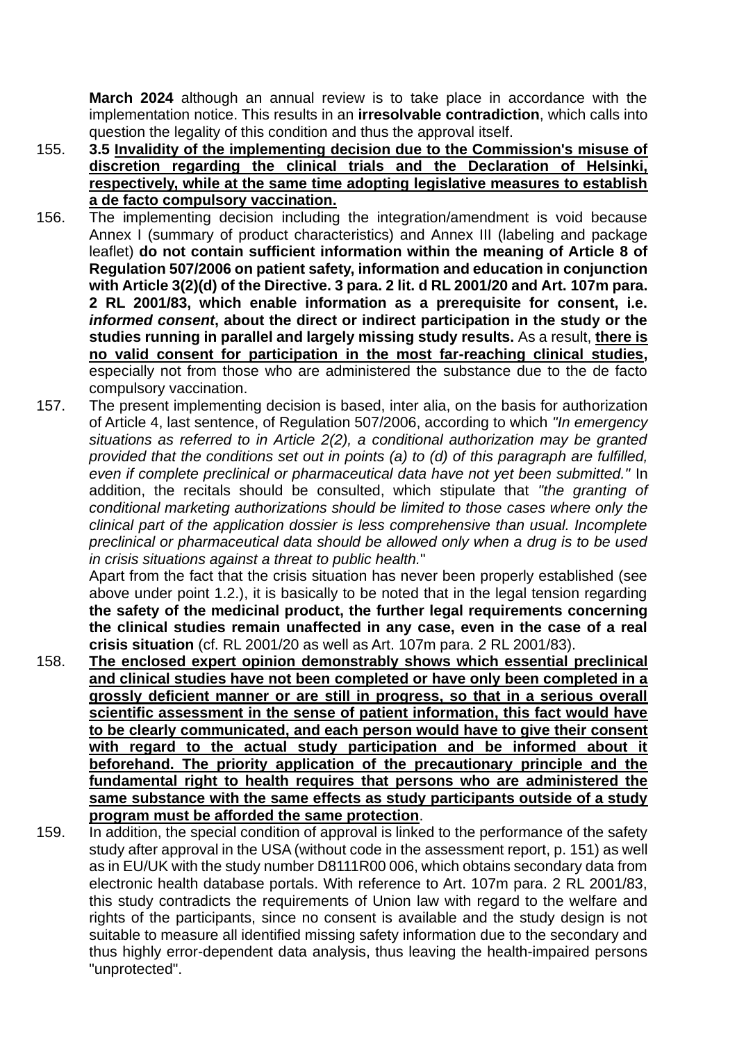**March 2024** although an annual review is to take place in accordance with the implementation notice. This results in an **irresolvable contradiction**, which calls into question the legality of this condition and thus the approval itself.

- 155. **3.5 Invalidity of the implementing decision due to the Commission's misuse of discretion regarding the clinical trials and the Declaration of Helsinki, respectively, while at the same time adopting legislative measures to establish a de facto compulsory vaccination.**
- 156. The implementing decision including the integration/amendment is void because Annex I (summary of product characteristics) and Annex III (labeling and package leaflet) **do not contain sufficient information within the meaning of Article 8 of Regulation 507/2006 on patient safety, information and education in conjunction with Article 3(2)(d) of the Directive. 3 para. 2 lit. d RL 2001/20 and Art. 107m para. 2 RL 2001/83, which enable information as a prerequisite for consent, i.e.**  *informed consent***, about the direct or indirect participation in the study or the studies running in parallel and largely missing study results.** As a result, **there is no valid consent for participation in the most far-reaching clinical studies,**  especially not from those who are administered the substance due to the de facto compulsory vaccination.
- 157. The present implementing decision is based, inter alia, on the basis for authorization of Article 4, last sentence, of Regulation 507/2006, according to which *"In emergency situations as referred to in Article 2(2), a conditional authorization may be granted provided that the conditions set out in points (a) to (d) of this paragraph are fulfilled, even if complete preclinical or pharmaceutical data have not yet been submitted."* In addition, the recitals should be consulted, which stipulate that *"the granting of conditional marketing authorizations should be limited to those cases where only the clinical part of the application dossier is less comprehensive than usual. Incomplete preclinical or pharmaceutical data should be allowed only when a drug is to be used in crisis situations against a threat to public health.*"

Apart from the fact that the crisis situation has never been properly established (see above under point 1.2.), it is basically to be noted that in the legal tension regarding **the safety of the medicinal product, the further legal requirements concerning the clinical studies remain unaffected in any case, even in the case of a real crisis situation** (cf. RL 2001/20 as well as Art. 107m para. 2 RL 2001/83).

- 158. **The enclosed expert opinion demonstrably shows which essential preclinical and clinical studies have not been completed or have only been completed in a grossly deficient manner or are still in progress, so that in a serious overall scientific assessment in the sense of patient information, this fact would have to be clearly communicated, and each person would have to give their consent with regard to the actual study participation and be informed about it beforehand. The priority application of the precautionary principle and the fundamental right to health requires that persons who are administered the same substance with the same effects as study participants outside of a study program must be afforded the same protection**.
- 159. In addition, the special condition of approval is linked to the performance of the safety study after approval in the USA (without code in the assessment report, p. 151) as well as in EU/UK with the study number D8111R00 006, which obtains secondary data from electronic health database portals. With reference to Art. 107m para. 2 RL 2001/83, this study contradicts the requirements of Union law with regard to the welfare and rights of the participants, since no consent is available and the study design is not suitable to measure all identified missing safety information due to the secondary and thus highly error-dependent data analysis, thus leaving the health-impaired persons "unprotected".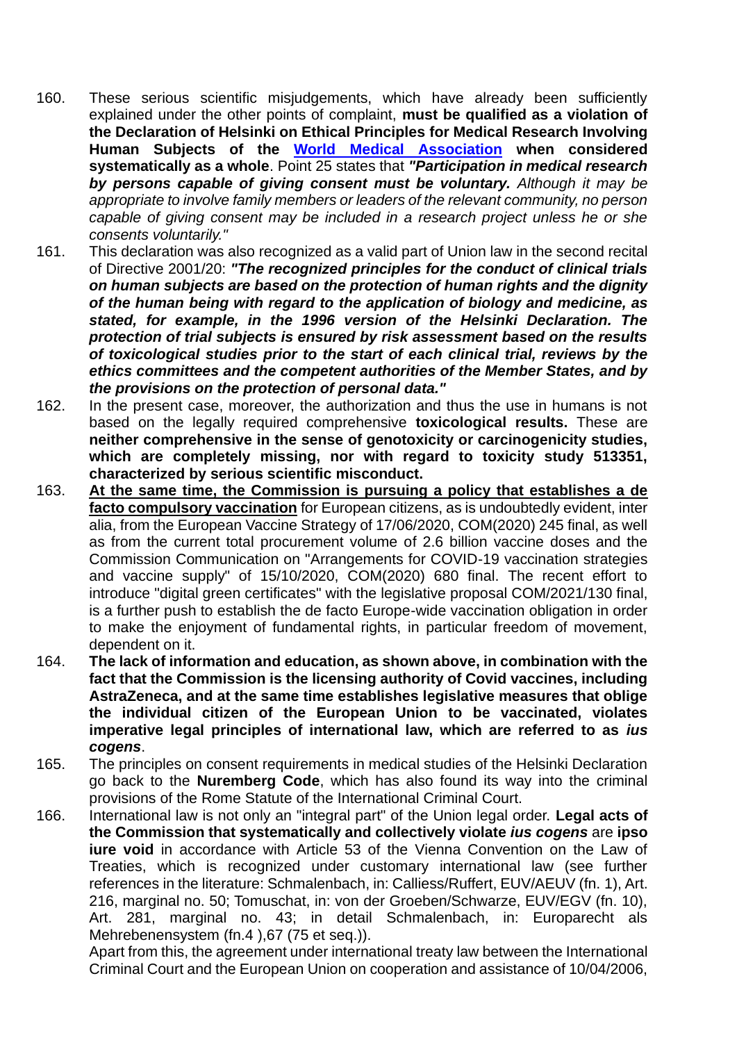- 160. These serious scientific misjudgements, which have already been sufficiently explained under the other points of complaint, **must be qualified as a violation of the Declaration of Helsinki on Ethical Principles for Medical Research Involving Human Subjects of the World Medical Association when considered systematically as a whole**. Point 25 states that *"Participation in medical research by persons capable of giving consent must be voluntary. Although it may be appropriate to involve family members or leaders of the relevant community, no person capable of giving consent may be included in a research project unless he or she consents voluntarily."*
- 161. This declaration was also recognized as a valid part of Union law in the second recital of Directive 2001/20: *"The recognized principles for the conduct of clinical trials on human subjects are based on the protection of human rights and the dignity of the human being with regard to the application of biology and medicine, as stated, for example, in the 1996 version of the Helsinki Declaration. The protection of trial subjects is ensured by risk assessment based on the results of toxicological studies prior to the start of each clinical trial, reviews by the ethics committees and the competent authorities of the Member States, and by the provisions on the protection of personal data."*
- 162. In the present case, moreover, the authorization and thus the use in humans is not based on the legally required comprehensive **toxicological results.** These are **neither comprehensive in the sense of genotoxicity or carcinogenicity studies, which are completely missing, nor with regard to toxicity study 513351, characterized by serious scientific misconduct.**
- 163. **At the same time, the Commission is pursuing a policy that establishes a de facto compulsory vaccination** for European citizens, as is undoubtedly evident, inter alia, from the European Vaccine Strategy of 17/06/2020, COM(2020) 245 final, as well as from the current total procurement volume of 2.6 billion vaccine doses and the Commission Communication on "Arrangements for COVID-19 vaccination strategies and vaccine supply" of 15/10/2020, COM(2020) 680 final. The recent effort to introduce "digital green certificates" with the legislative proposal COM/2021/130 final, is a further push to establish the de facto Europe-wide vaccination obligation in order to make the enjoyment of fundamental rights, in particular freedom of movement, dependent on it.
- 164. **The lack of information and education, as shown above, in combination with the fact that the Commission is the licensing authority of Covid vaccines, including AstraZeneca, and at the same time establishes legislative measures that oblige the individual citizen of the European Union to be vaccinated, violates imperative legal principles of international law, which are referred to as** *ius cogens*.
- 165. The principles on consent requirements in medical studies of the Helsinki Declaration go back to the **Nuremberg Code**, which has also found its way into the criminal provisions of the Rome Statute of the International Criminal Court.
- 166. International law is not only an "integral part" of the Union legal order. **Legal acts of the Commission that systematically and collectively violate** *ius cogens* are **ipso iure void** in accordance with Article 53 of the Vienna Convention on the Law of Treaties, which is recognized under customary international law (see further references in the literature: Schmalenbach, in: Calliess/Ruffert, EUV/AEUV (fn. 1), Art. 216, marginal no. 50; Tomuschat, in: von der Groeben/Schwarze, EUV/EGV (fn. 10), Art. 281, marginal no. 43; in detail Schmalenbach, in: Europarecht als Mehrebenensystem (fn.4 ),67 (75 et seq.)).

Apart from this, the agreement under international treaty law between the International Criminal Court and the European Union on cooperation and assistance of 10/04/2006,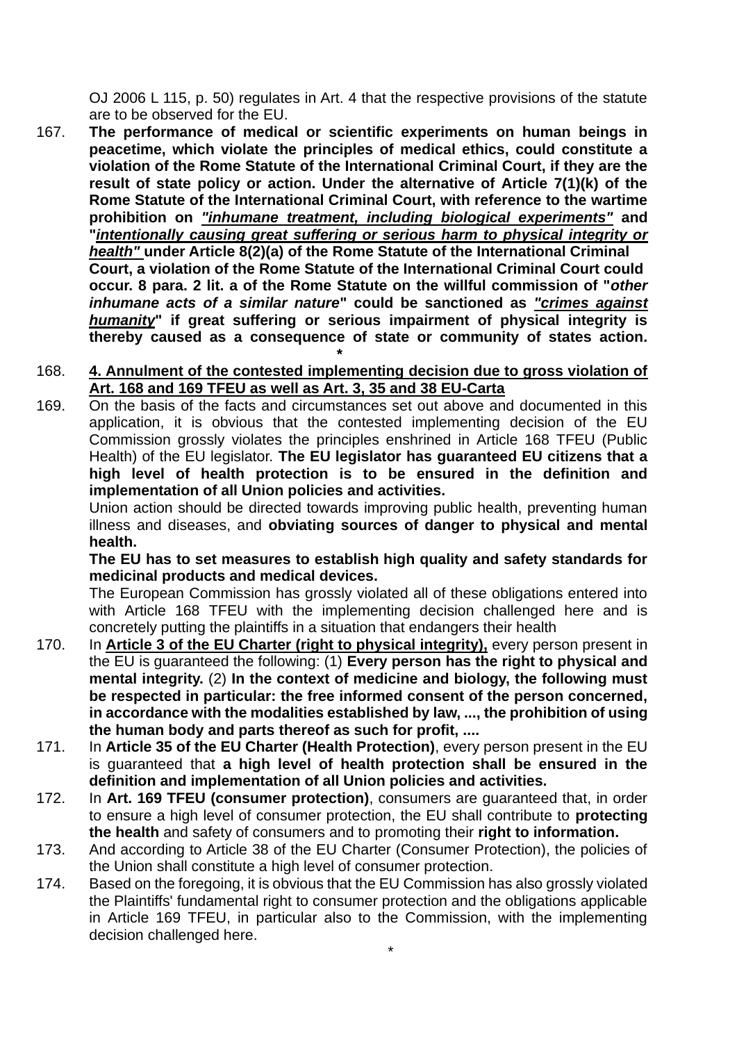OJ 2006 L 115, p. 50) regulates in Art. 4 that the respective provisions of the statute are to be observed for the EU.

167. **The performance of medical or scientific experiments on human beings in peacetime, which violate the principles of medical ethics, could constitute a violation of the Rome Statute of the International Criminal Court, if they are the result of state policy or action. Under the alternative of Article 7(1)(k) of the Rome Statute of the International Criminal Court, with reference to the wartime prohibition on** *"inhumane treatment, including biological experiments"* **and "***intentionally causing great suffering or serious harm to physical integrity or health"* **under Article 8(2)(a) of the Rome Statute of the International Criminal Court, a violation of the Rome Statute of the International Criminal Court could occur. 8 para. 2 lit. a of the Rome Statute on the willful commission of "***other inhumane acts of a similar nature***" could be sanctioned as** *"crimes against humanity***" if great suffering or serious impairment of physical integrity is thereby caused as a consequence of state or community of states action.**

#### 168. **4. Annulment of the contested implementing decision due to gross violation of Art. 168 and 169 TFEU as well as Art. 3, 35 and 38 EU-Carta**

 **\***

169. On the basis of the facts and circumstances set out above and documented in this application, it is obvious that the contested implementing decision of the EU Commission grossly violates the principles enshrined in Article 168 TFEU (Public Health) of the EU legislator. **The EU legislator has guaranteed EU citizens that a high level of health protection is to be ensured in the definition and implementation of all Union policies and activities.**

Union action should be directed towards improving public health, preventing human illness and diseases, and **obviating sources of danger to physical and mental health.**

**The EU has to set measures to establish high quality and safety standards for medicinal products and medical devices.**

The European Commission has grossly violated all of these obligations entered into with Article 168 TFEU with the implementing decision challenged here and is concretely putting the plaintiffs in a situation that endangers their health

- 170. In **Article 3 of the EU Charter (right to physical integrity),** every person present in the EU is guaranteed the following: (1) **Every person has the right to physical and mental integrity.** (2) **In the context of medicine and biology, the following must be respected in particular: the free informed consent of the person concerned, in accordance with the modalities established by law, ..., the prohibition of using the human body and parts thereof as such for profit, ....**
- 171. In **Article 35 of the EU Charter (Health Protection)**, every person present in the EU is guaranteed that **a high level of health protection shall be ensured in the definition and implementation of all Union policies and activities.**
- 172. In **Art. 169 TFEU (consumer protection)**, consumers are guaranteed that, in order to ensure a high level of consumer protection, the EU shall contribute to **protecting the health** and safety of consumers and to promoting their **right to information.**
- 173. And according to Article 38 of the EU Charter (Consumer Protection), the policies of the Union shall constitute a high level of consumer protection.
- 174. Based on the foregoing, it is obvious that the EU Commission has also grossly violated the Plaintiffs' fundamental right to consumer protection and the obligations applicable in Article 169 TFEU, in particular also to the Commission, with the implementing decision challenged here.

\*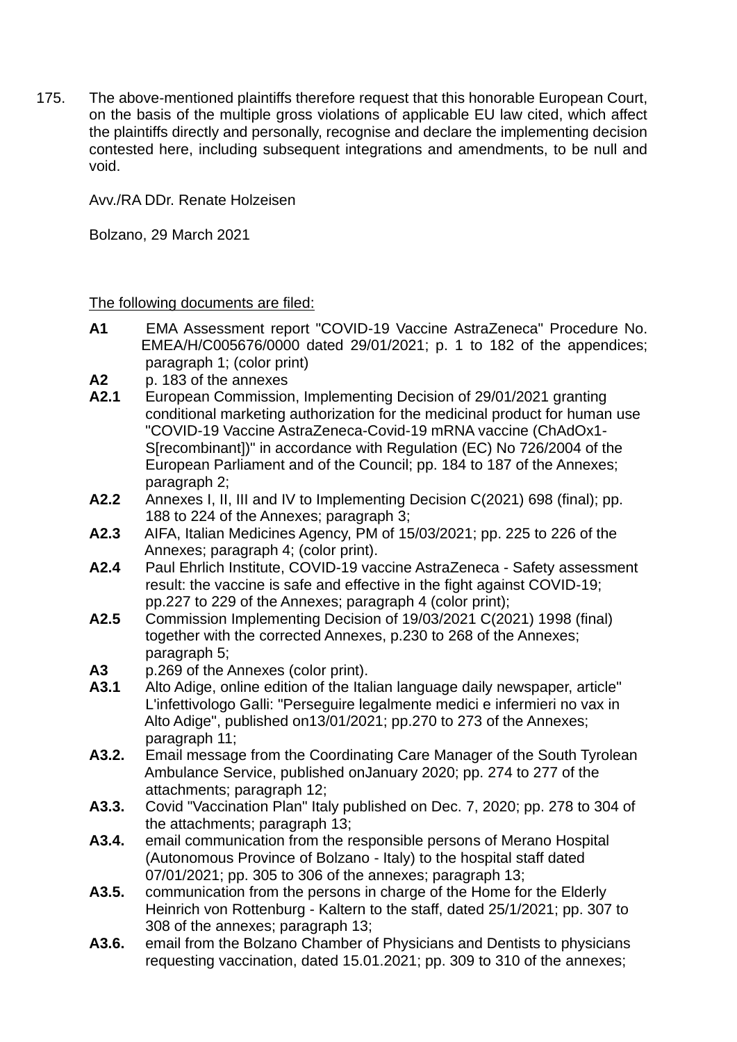175. The above-mentioned plaintiffs therefore request that this honorable European Court, on the basis of the multiple gross violations of applicable EU law cited, which affect the plaintiffs directly and personally, recognise and declare the implementing decision contested here, including subsequent integrations and amendments, to be null and void.

Avv./RA DDr. Renate Holzeisen

Bolzano, 29 March 2021

The following documents are filed:

- **A1** EMA Assessment report "COVID-19 Vaccine AstraZeneca" Procedure No. EMEA/H/C005676/0000 dated 29/01/2021; p. 1 to 182 of the appendices; paragraph 1; (color print)
- **A2** p. 183 of the annexes
- **A2.1** European Commission, Implementing Decision of 29/01/2021 granting conditional marketing authorization for the medicinal product for human use "COVID-19 Vaccine AstraZeneca-Covid-19 mRNA vaccine (ChAdOx1- S[recombinant])" in accordance with Regulation (EC) No 726/2004 of the European Parliament and of the Council; pp. 184 to 187 of the Annexes; paragraph 2;
- **A2.2** Annexes I, II, III and IV to Implementing Decision C(2021) 698 (final); pp. 188 to 224 of the Annexes; paragraph 3;
- **A2.3** AIFA, Italian Medicines Agency, PM of 15/03/2021; pp. 225 to 226 of the Annexes; paragraph 4; (color print).
- **A2.4** Paul Ehrlich Institute, COVID-19 vaccine AstraZeneca Safety assessment result: the vaccine is safe and effective in the fight against COVID-19; pp.227 to 229 of the Annexes; paragraph 4 (color print);
- **A2.5** Commission Implementing Decision of 19/03/2021 C(2021) 1998 (final) together with the corrected Annexes, p.230 to 268 of the Annexes; paragraph 5;
- **A3** p.269 of the Annexes (color print).
- **A3.1** Alto Adige, online edition of the Italian language daily newspaper, article" L'infettivologo Galli: "Perseguire legalmente medici e infermieri no vax in Alto Adige", published on13/01/2021; pp.270 to 273 of the Annexes; paragraph 11;
- **A3.2.** Email message from the Coordinating Care Manager of the South Tyrolean Ambulance Service, published onJanuary 2020; pp. 274 to 277 of the attachments; paragraph 12;
- **A3.3.** Covid "Vaccination Plan" Italy published on Dec. 7, 2020; pp. 278 to 304 of the attachments; paragraph 13;
- **A3.4.** email communication from the responsible persons of Merano Hospital (Autonomous Province of Bolzano - Italy) to the hospital staff dated 07/01/2021; pp. 305 to 306 of the annexes; paragraph 13;
- **A3.5.** communication from the persons in charge of the Home for the Elderly Heinrich von Rottenburg - Kaltern to the staff, dated 25/1/2021; pp. 307 to 308 of the annexes; paragraph 13;
- **A3.6.** email from the Bolzano Chamber of Physicians and Dentists to physicians requesting vaccination, dated 15.01.2021; pp. 309 to 310 of the annexes;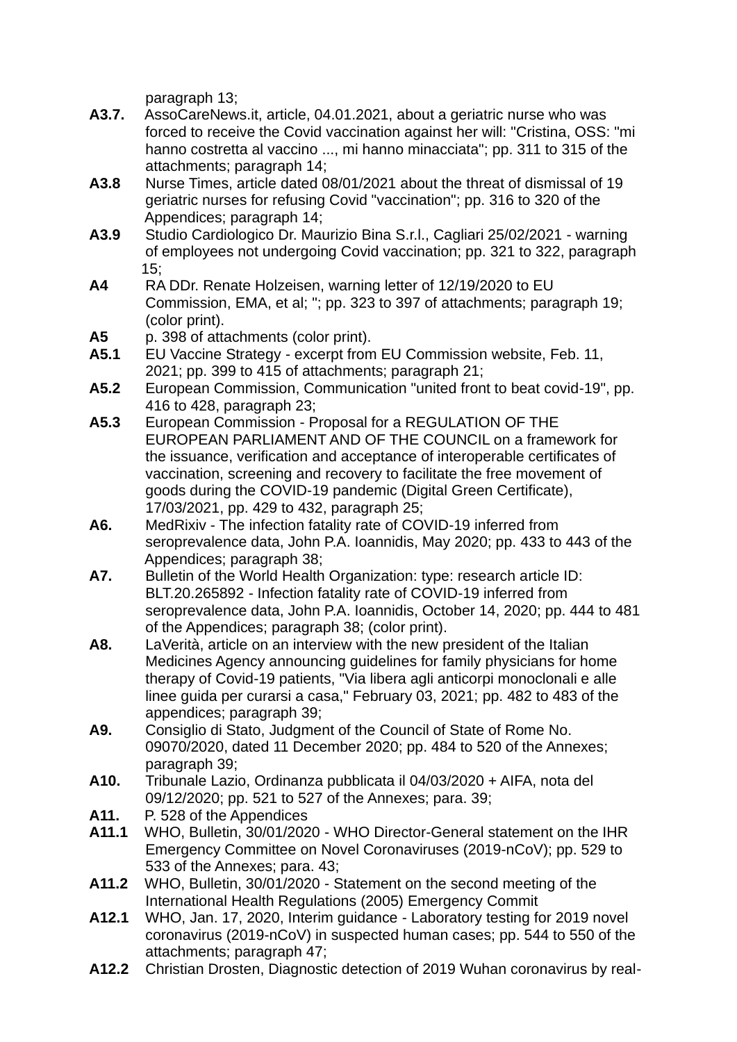paragraph 13;

- **A3.7.** AssoCareNews.it, article, 04.01.2021, about a geriatric nurse who was forced to receive the Covid vaccination against her will: "Cristina, OSS: "mi hanno costretta al vaccino ..., mi hanno minacciata"; pp. 311 to 315 of the attachments; paragraph 14;
- **A3.8** Nurse Times, article dated 08/01/2021 about the threat of dismissal of 19 geriatric nurses for refusing Covid "vaccination"; pp. 316 to 320 of the Appendices; paragraph 14;
- **A3.9** Studio Cardiologico Dr. Maurizio Bina S.r.l., Cagliari 25/02/2021 warning of employees not undergoing Covid vaccination; pp. 321 to 322, paragraph  $15:$
- **A4** RA DDr. Renate Holzeisen, warning letter of 12/19/2020 to EU Commission, EMA, et al; "; pp. 323 to 397 of attachments; paragraph 19; (color print).
- **A5** p. 398 of attachments (color print).
- **A5.1** EU Vaccine Strategy excerpt from EU Commission website, Feb. 11, 2021; pp. 399 to 415 of attachments; paragraph 21;
- **A5.2** European Commission, Communication "united front to beat covid-19", pp. 416 to 428, paragraph 23;
- **A5.3** European Commission Proposal for a REGULATION OF THE EUROPEAN PARLIAMENT AND OF THE COUNCIL on a framework for the issuance, verification and acceptance of interoperable certificates of vaccination, screening and recovery to facilitate the free movement of goods during the COVID-19 pandemic (Digital Green Certificate), 17/03/2021, pp. 429 to 432, paragraph 25;
- **A6.** MedRixiv The infection fatality rate of COVID-19 inferred from seroprevalence data, John P.A. Ioannidis, May 2020; pp. 433 to 443 of the Appendices; paragraph 38;
- **A7.** Bulletin of the World Health Organization: type: research article ID: BLT.20.265892 - Infection fatality rate of COVID-19 inferred from seroprevalence data, John P.A. Ioannidis, October 14, 2020; pp. 444 to 481 of the Appendices; paragraph 38; (color print).
- **A8.** LaVerità, article on an interview with the new president of the Italian Medicines Agency announcing guidelines for family physicians for home therapy of Covid-19 patients, "Via libera agli anticorpi monoclonali e alle linee guida per curarsi a casa," February 03, 2021; pp. 482 to 483 of the appendices; paragraph 39;
- **A9.** Consiglio di Stato, Judgment of the Council of State of Rome No. 09070/2020, dated 11 December 2020; pp. 484 to 520 of the Annexes; paragraph 39;
- **A10.** Tribunale Lazio, Ordinanza pubblicata il 04/03/2020 + AIFA, nota del 09/12/2020; pp. 521 to 527 of the Annexes; para. 39;
- **A11.** P. 528 of the Appendices
- **A11.1** WHO, Bulletin, 30/01/2020 WHO Director-General statement on the IHR Emergency Committee on Novel Coronaviruses (2019-nCoV); pp. 529 to 533 of the Annexes; para. 43;
- **A11.2** WHO, Bulletin, 30/01/2020 Statement on the second meeting of the International Health Regulations (2005) Emergency Commit
- **A12.1** WHO, Jan. 17, 2020, Interim guidance Laboratory testing for 2019 novel coronavirus (2019-nCoV) in suspected human cases; pp. 544 to 550 of the attachments; paragraph 47;
- **A12.2** Christian Drosten, Diagnostic detection of 2019 Wuhan coronavirus by real-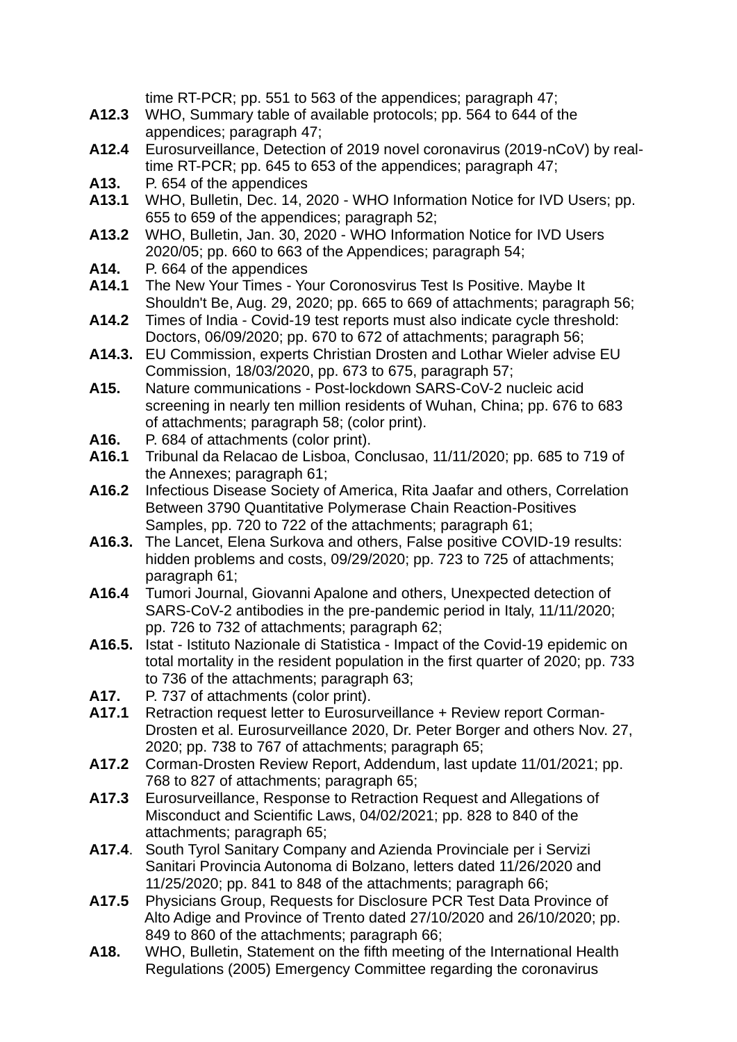|        | time RT-PCR; pp. 551 to 563 of the appendices; paragraph 47;                                                                        |
|--------|-------------------------------------------------------------------------------------------------------------------------------------|
| A12.3  | WHO, Summary table of available protocols; pp. 564 to 644 of the                                                                    |
|        | appendices; paragraph 47;                                                                                                           |
| A12.4  | Eurosurveillance, Detection of 2019 novel coronavirus (2019-nCoV) by real-                                                          |
| A13.   | time RT-PCR; pp. 645 to 653 of the appendices; paragraph 47;                                                                        |
| A13.1  | P. 654 of the appendices                                                                                                            |
|        | WHO, Bulletin, Dec. 14, 2020 - WHO Information Notice for IVD Users; pp.<br>655 to 659 of the appendices; paragraph 52;             |
| A13.2  | WHO, Bulletin, Jan. 30, 2020 - WHO Information Notice for IVD Users                                                                 |
|        | 2020/05; pp. 660 to 663 of the Appendices; paragraph 54;                                                                            |
| A14.   | P. 664 of the appendices                                                                                                            |
| A14.1  | The New Your Times - Your Coronosvirus Test Is Positive. Maybe It                                                                   |
|        | Shouldn't Be, Aug. 29, 2020; pp. 665 to 669 of attachments; paragraph 56;                                                           |
| A14.2  | Times of India - Covid-19 test reports must also indicate cycle threshold:                                                          |
|        | Doctors, 06/09/2020; pp. 670 to 672 of attachments; paragraph 56;                                                                   |
| A14.3. | EU Commission, experts Christian Drosten and Lothar Wieler advise EU                                                                |
|        | Commission, 18/03/2020, pp. 673 to 675, paragraph 57;                                                                               |
| A15.   | Nature communications - Post-lockdown SARS-CoV-2 nucleic acid                                                                       |
|        | screening in nearly ten million residents of Wuhan, China; pp. 676 to 683                                                           |
|        | of attachments; paragraph 58; (color print).                                                                                        |
| A16.   | P. 684 of attachments (color print).                                                                                                |
| A16.1  | Tribunal da Relacao de Lisboa, Conclusao, 11/11/2020; pp. 685 to 719 of                                                             |
|        | the Annexes; paragraph 61;                                                                                                          |
| A16.2  | Infectious Disease Society of America, Rita Jaafar and others, Correlation                                                          |
|        | Between 3790 Quantitative Polymerase Chain Reaction-Positives                                                                       |
| A16.3. | Samples, pp. 720 to 722 of the attachments; paragraph 61;<br>The Lancet, Elena Surkova and others, False positive COVID-19 results: |
|        | hidden problems and costs, 09/29/2020; pp. 723 to 725 of attachments;                                                               |
|        | paragraph 61;                                                                                                                       |
| A16.4  | Tumori Journal, Giovanni Apalone and others, Unexpected detection of                                                                |
|        | SARS-CoV-2 antibodies in the pre-pandemic period in Italy, 11/11/2020;                                                              |
|        | pp. 726 to 732 of attachments; paragraph 62;                                                                                        |
|        | A16.5. Istat - Istituto Nazionale di Statistica - Impact of the Covid-19 epidemic on                                                |
|        | total mortality in the resident population in the first quarter of 2020; pp. 733                                                    |
|        | to 736 of the attachments; paragraph 63;                                                                                            |
| A17.   | P. 737 of attachments (color print).                                                                                                |
| A17.1  | Retraction request letter to Eurosurveillance + Review report Corman-                                                               |
|        | Drosten et al. Eurosurveillance 2020, Dr. Peter Borger and others Nov. 27,<br>2020; pp. 738 to 767 of attachments; paragraph 65;    |
| A17.2  | Corman-Drosten Review Report, Addendum, last update 11/01/2021; pp.                                                                 |
|        | 768 to 827 of attachments; paragraph 65;                                                                                            |
| A17.3  | Eurosurveillance, Response to Retraction Request and Allegations of                                                                 |
|        | Misconduct and Scientific Laws, 04/02/2021; pp. 828 to 840 of the                                                                   |
|        | attachments; paragraph 65;                                                                                                          |
| A17.4. | South Tyrol Sanitary Company and Azienda Provinciale per i Servizi                                                                  |
|        | Sanitari Provincia Autonoma di Bolzano, letters dated 11/26/2020 and                                                                |
|        | 11/25/2020; pp. 841 to 848 of the attachments; paragraph 66;                                                                        |
| A17.5  | Physicians Group, Requests for Disclosure PCR Test Data Province of                                                                 |
|        | Alto Adige and Province of Trento dated 27/10/2020 and 26/10/2020; pp.                                                              |
|        | 849 to 860 of the attachments; paragraph 66;                                                                                        |
| A18.   | WHO, Bulletin, Statement on the fifth meeting of the International Health                                                           |
|        | Regulations (2005) Emergency Committee regarding the coronavirus                                                                    |
|        |                                                                                                                                     |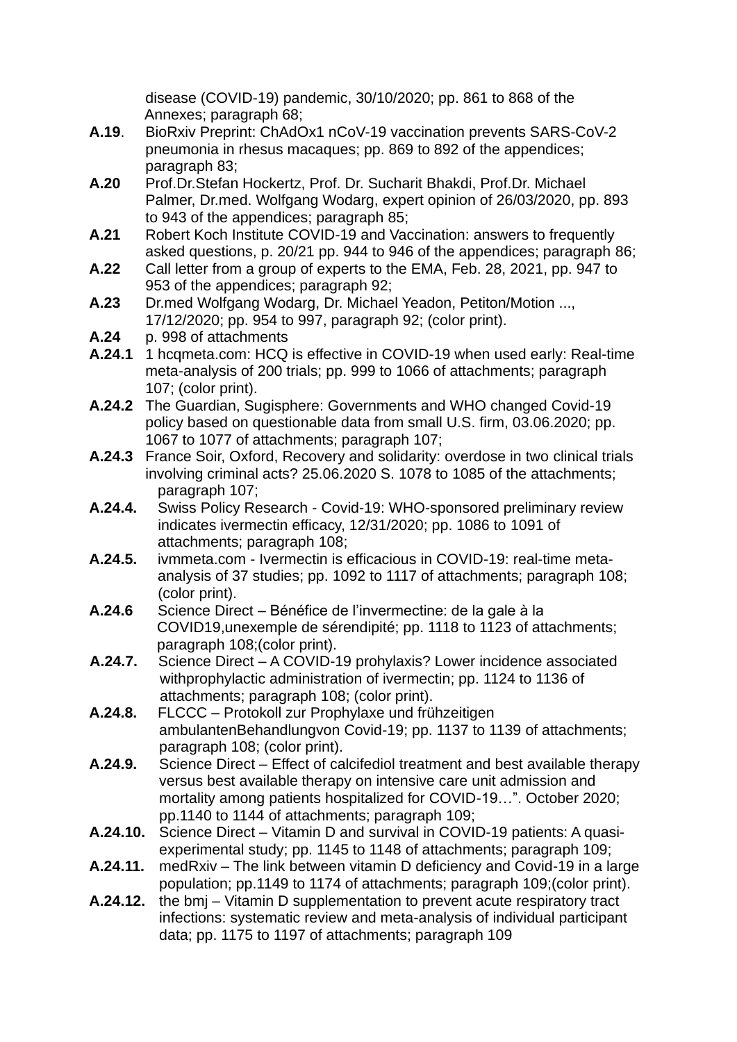disease (COVID-19) pandemic, 30/10/2020; pp. 861 to 868 of the Annexes; paragraph 68;

- **A.19**. BioRxiv Preprint: ChAdOx1 nCoV-19 vaccination prevents SARS-CoV-2 pneumonia in rhesus macaques; pp. 869 to 892 of the appendices; paragraph 83;
- **A.20** Prof.Dr.Stefan Hockertz, Prof. Dr. Sucharit Bhakdi, Prof.Dr. Michael Palmer, Dr.med. Wolfgang Wodarg, expert opinion of 26/03/2020, pp. 893 to 943 of the appendices; paragraph 85;
- **A.21** Robert Koch Institute COVID-19 and Vaccination: answers to frequently asked questions, p. 20/21 pp. 944 to 946 of the appendices; paragraph 86;
- **A.22** Call letter from a group of experts to the EMA, Feb. 28, 2021, pp. 947 to 953 of the appendices; paragraph 92;
- **A.23** Dr.med Wolfgang Wodarg, Dr. Michael Yeadon, Petiton/Motion ..., 17/12/2020; pp. 954 to 997, paragraph 92; (color print).
- **A.24** p. 998 of attachments
- **A.24.1** 1 hcqmeta.com: HCQ is effective in COVID-19 when used early: Real-time meta-analysis of 200 trials; pp. 999 to 1066 of attachments; paragraph 107; (color print).
- **A.24.2** The Guardian, Sugisphere: Governments and WHO changed Covid-19 policy based on questionable data from small U.S. firm, 03.06.2020; pp. 1067 to 1077 of attachments; paragraph 107;
- **A.24.3** France Soir, Oxford, Recovery and solidarity: overdose in two clinical trials involving criminal acts? 25.06.2020 S. 1078 to 1085 of the attachments; paragraph 107;
- **A.24.4.** Swiss Policy Research Covid-19: WHO-sponsored preliminary review indicates ivermectin efficacy, 12/31/2020; pp. 1086 to 1091 of attachments; paragraph 108;
- **A.24.5.** ivmmeta.com Ivermectin is efficacious in COVID-19: real-time meta analysis of 37 studies; pp. 1092 to 1117 of attachments; paragraph 108; (color print).
- **A.24.6** Science Direct Bénéfice de l'invermectine: de la gale à la COVID19,unexemple de sérendipité; pp. 1118 to 1123 of attachments; paragraph 108;(color print).
- **A.24.7.** Science Direct A COVID-19 prohylaxis? Lower incidence associated withprophylactic administration of ivermectin; pp. 1124 to 1136 of attachments; paragraph 108; (color print).
- **A.24.8.** FLCCC Protokoll zur Prophylaxe und frühzeitigen ambulantenBehandlungvon Covid-19; pp. 1137 to 1139 of attachments; paragraph 108; (color print).
- **A.24.9.** Science Direct Effect of calcifediol treatment and best available therapy versus best available therapy on intensive care unit admission and mortality among patients hospitalized for COVID-19…". October 2020; pp.1140 to 1144 of attachments; paragraph 109;
- **A.24.10.** Science Direct Vitamin D and survival in COVID-19 patients: A quasiexperimental study; pp. 1145 to 1148 of attachments; paragraph 109;
- **A.24.11.** medRxiv The link between vitamin D deficiency and Covid-19 in a large population; pp.1149 to 1174 of attachments; paragraph 109;(color print).
- **A.24.12.** the bmj Vitamin D supplementation to prevent acute respiratory tract infections: systematic review and meta-analysis of individual participant data; pp. 1175 to 1197 of attachments; paragraph 109